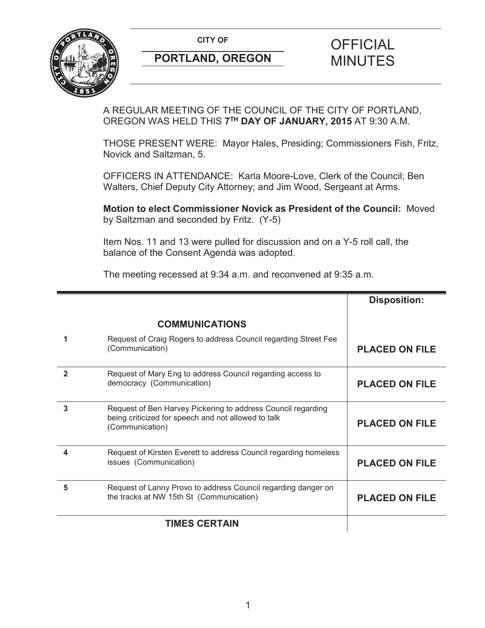

## **PORTLAND, OREGON MINUTES**

# **CITY OF CITY OF STRIPS OF FICIAL**

A REGULAR MEETING OF THE COUNCIL OF THE CITY OF PORTLAND, OREGON WAS HELD THIS **7TH DAY OF JANUARY, 2015** AT 9:30 A.M.

THOSE PRESENT WERE: Mayor Hales, Presiding; Commissioners Fish, Fritz, Novick and Saltzman, 5.

OFFICERS IN ATTENDANCE: Karla Moore-Love, Clerk of the Council; Ben Walters, Chief Deputy City Attorney; and Jim Wood, Sergeant at Arms.

**Motion to elect Commissioner Novick as President of the Council:** Moved by Saltzman and seconded by Fritz. (Y-5)

Item Nos. 11 and 13 were pulled for discussion and on a Y-5 roll call, the balance of the Consent Agenda was adopted.

The meeting recessed at 9:34 a.m. and reconvened at 9:35 a.m.

|              |                                                                                                                                        | <b>Disposition:</b>   |
|--------------|----------------------------------------------------------------------------------------------------------------------------------------|-----------------------|
|              | <b>COMMUNICATIONS</b>                                                                                                                  |                       |
|              | Request of Craig Rogers to address Council regarding Street Fee<br>(Communication)                                                     | <b>PLACED ON FILE</b> |
| $\mathbf{2}$ | Request of Mary Eng to address Council regarding access to<br>democracy (Communication)                                                | <b>PLACED ON FILE</b> |
| 3            | Request of Ben Harvey Pickering to address Council regarding<br>being criticized for speech and not allowed to talk<br>(Communication) | <b>PLACED ON FILE</b> |
|              | Request of Kirsten Everett to address Council regarding homeless<br>issues (Communication)                                             | <b>PLACED ON FILE</b> |
| 5            | Request of Lanny Provo to address Council regarding danger on<br>the tracks at NW 15th St (Communication)                              | <b>PLACED ON FILE</b> |
|              | <b>TIMES CERTAIN</b>                                                                                                                   |                       |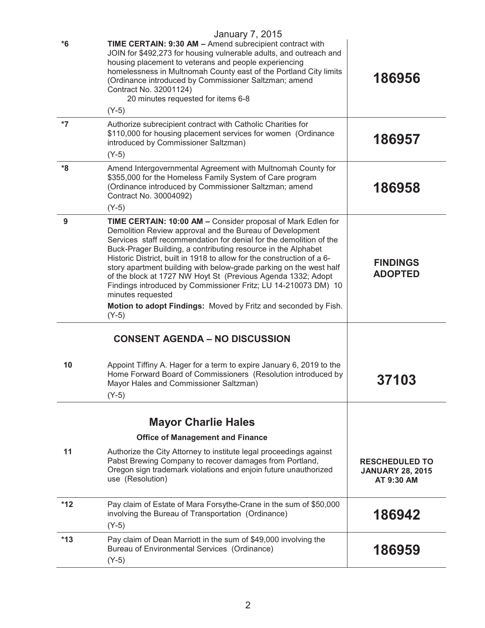|       | <b>January 7, 2015</b>                                                                                                                                                                                                                                                                                                                                                                                                                                                                                                                                                                                                                              |                                                                |
|-------|-----------------------------------------------------------------------------------------------------------------------------------------------------------------------------------------------------------------------------------------------------------------------------------------------------------------------------------------------------------------------------------------------------------------------------------------------------------------------------------------------------------------------------------------------------------------------------------------------------------------------------------------------------|----------------------------------------------------------------|
| $*6$  | TIME CERTAIN: 9:30 AM - Amend subrecipient contract with<br>JOIN for \$492,273 for housing vulnerable adults, and outreach and<br>housing placement to veterans and people experiencing<br>homelessness in Multnomah County east of the Portland City limits<br>(Ordinance introduced by Commissioner Saltzman; amend<br>Contract No. 32001124)<br>20 minutes requested for items 6-8                                                                                                                                                                                                                                                               | 186956                                                         |
|       | $(Y-5)$                                                                                                                                                                                                                                                                                                                                                                                                                                                                                                                                                                                                                                             |                                                                |
| *7    | Authorize subrecipient contract with Catholic Charities for<br>\$110,000 for housing placement services for women (Ordinance<br>introduced by Commissioner Saltzman)<br>$(Y-5)$                                                                                                                                                                                                                                                                                                                                                                                                                                                                     | 186957                                                         |
| *8    | Amend Intergovernmental Agreement with Multnomah County for<br>\$355,000 for the Homeless Family System of Care program<br>(Ordinance introduced by Commissioner Saltzman; amend<br>Contract No. 30004092)<br>$(Y-5)$                                                                                                                                                                                                                                                                                                                                                                                                                               | 186958                                                         |
| 9     | TIME CERTAIN: 10:00 AM - Consider proposal of Mark Edlen for<br>Demolition Review approval and the Bureau of Development<br>Services staff recommendation for denial for the demolition of the<br>Buck-Prager Building, a contributing resource in the Alphabet<br>Historic District, built in 1918 to allow for the construction of a 6-<br>story apartment building with below-grade parking on the west half<br>of the block at 1727 NW Hoyt St (Previous Agenda 1332; Adopt<br>Findings introduced by Commissioner Fritz; LU 14-210073 DM) 10<br>minutes requested<br>Motion to adopt Findings: Moved by Fritz and seconded by Fish.<br>$(Y-5)$ | <b>FINDINGS</b><br><b>ADOPTED</b>                              |
|       | <b>CONSENT AGENDA - NO DISCUSSION</b>                                                                                                                                                                                                                                                                                                                                                                                                                                                                                                                                                                                                               |                                                                |
| 10    | Appoint Tiffiny A. Hager for a term to expire January 6, 2019 to the<br>Home Forward Board of Commissioners (Resolution introduced by<br>Mayor Hales and Commissioner Saltzman)<br>$(Y-5)$                                                                                                                                                                                                                                                                                                                                                                                                                                                          | <b>37103</b>                                                   |
|       |                                                                                                                                                                                                                                                                                                                                                                                                                                                                                                                                                                                                                                                     |                                                                |
|       | <b>Mayor Charlie Hales</b>                                                                                                                                                                                                                                                                                                                                                                                                                                                                                                                                                                                                                          |                                                                |
|       | <b>Office of Management and Finance</b>                                                                                                                                                                                                                                                                                                                                                                                                                                                                                                                                                                                                             |                                                                |
| 11    | Authorize the City Attorney to institute legal proceedings against<br>Pabst Brewing Company to recover damages from Portland,<br>Oregon sign trademark violations and enjoin future unauthorized<br>use (Resolution)                                                                                                                                                                                                                                                                                                                                                                                                                                | <b>RESCHEDULED TO</b><br><b>JANUARY 28, 2015</b><br>AT 9:30 AM |
| $*12$ | Pay claim of Estate of Mara Forsythe-Crane in the sum of \$50,000<br>involving the Bureau of Transportation (Ordinance)<br>$(Y-5)$                                                                                                                                                                                                                                                                                                                                                                                                                                                                                                                  | 186942                                                         |
| $*13$ | Pay claim of Dean Marriott in the sum of \$49,000 involving the<br>Bureau of Environmental Services (Ordinance)<br>$(Y-5)$                                                                                                                                                                                                                                                                                                                                                                                                                                                                                                                          | 186959                                                         |
|       |                                                                                                                                                                                                                                                                                                                                                                                                                                                                                                                                                                                                                                                     |                                                                |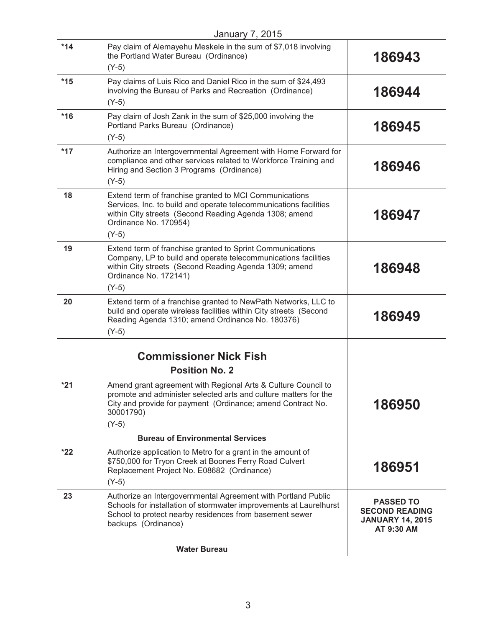| <b>January 7, 2015</b> |                                                                                                                                                                                                                           |                                                                                    |
|------------------------|---------------------------------------------------------------------------------------------------------------------------------------------------------------------------------------------------------------------------|------------------------------------------------------------------------------------|
| $*14$                  | Pay claim of Alemayehu Meskele in the sum of \$7,018 involving<br>the Portland Water Bureau (Ordinance)                                                                                                                   | 186943                                                                             |
|                        | $(Y-5)$                                                                                                                                                                                                                   |                                                                                    |
| $*15$                  | Pay claims of Luis Rico and Daniel Rico in the sum of \$24,493<br>involving the Bureau of Parks and Recreation (Ordinance)                                                                                                | 186944                                                                             |
|                        | $(Y-5)$                                                                                                                                                                                                                   |                                                                                    |
| $*16$                  | Pay claim of Josh Zank in the sum of \$25,000 involving the<br>Portland Parks Bureau (Ordinance)<br>$(Y-5)$                                                                                                               | 186945                                                                             |
|                        |                                                                                                                                                                                                                           |                                                                                    |
| $*17$                  | Authorize an Intergovernmental Agreement with Home Forward for<br>compliance and other services related to Workforce Training and<br>Hiring and Section 3 Programs (Ordinance)<br>$(Y-5)$                                 | 186946                                                                             |
|                        |                                                                                                                                                                                                                           |                                                                                    |
| 18                     | Extend term of franchise granted to MCI Communications<br>Services, Inc. to build and operate telecommunications facilities<br>within City streets (Second Reading Agenda 1308; amend<br>Ordinance No. 170954)            | 186947                                                                             |
|                        | $(Y-5)$                                                                                                                                                                                                                   |                                                                                    |
| 19                     | Extend term of franchise granted to Sprint Communications<br>Company, LP to build and operate telecommunications facilities<br>within City streets (Second Reading Agenda 1309; amend<br>Ordinance No. 172141)<br>$(Y-5)$ | 186948                                                                             |
| 20                     | Extend term of a franchise granted to NewPath Networks, LLC to                                                                                                                                                            |                                                                                    |
|                        | build and operate wireless facilities within City streets (Second<br>Reading Agenda 1310; amend Ordinance No. 180376)<br>$(Y-5)$                                                                                          | 186949                                                                             |
|                        |                                                                                                                                                                                                                           |                                                                                    |
|                        | <b>Commissioner Nick Fish</b>                                                                                                                                                                                             |                                                                                    |
|                        | <b>Position No. 2</b>                                                                                                                                                                                                     |                                                                                    |
|                        |                                                                                                                                                                                                                           |                                                                                    |
| $*21$                  | Amend grant agreement with Regional Arts & Culture Council to<br>promote and administer selected arts and culture matters for the<br>City and provide for payment (Ordinance; amend Contract No.<br>30001790)<br>$(Y-5)$  | 186950                                                                             |
|                        |                                                                                                                                                                                                                           |                                                                                    |
|                        | <b>Bureau of Environmental Services</b>                                                                                                                                                                                   |                                                                                    |
| $*22$                  | Authorize application to Metro for a grant in the amount of<br>\$750,000 for Tryon Creek at Boones Ferry Road Culvert<br>Replacement Project No. E08682 (Ordinance)<br>$(Y-5)$                                            | 186951                                                                             |
| 23                     | Authorize an Intergovernmental Agreement with Portland Public                                                                                                                                                             |                                                                                    |
|                        | Schools for installation of stormwater improvements at Laurelhurst<br>School to protect nearby residences from basement sewer<br>backups (Ordinance)                                                                      | <b>PASSED TO</b><br><b>SECOND READING</b><br><b>JANUARY 14, 2015</b><br>AT 9:30 AM |
|                        | <b>Water Bureau</b>                                                                                                                                                                                                       |                                                                                    |
|                        |                                                                                                                                                                                                                           |                                                                                    |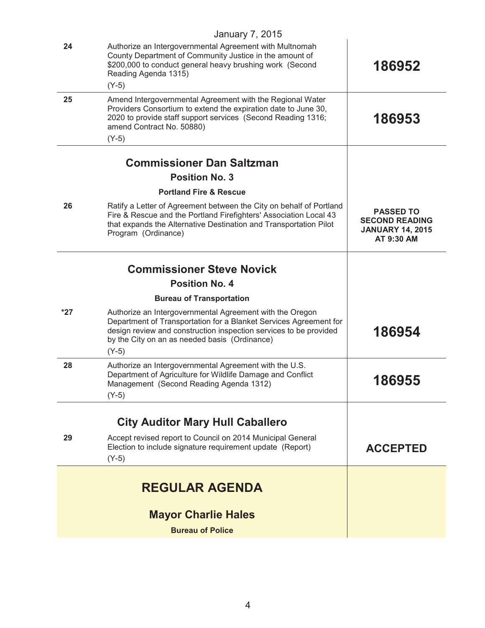| County Department of Community Justice in the amount of<br>\$200,000 to conduct general heavy brushing work (Second<br>186952<br>Reading Agenda 1315)<br>$(Y-5)$<br>Amend Intergovernmental Agreement with the Regional Water<br>25<br>Providers Consortium to extend the expiration date to June 30,<br>186953<br>2020 to provide staff support services (Second Reading 1316;<br>amend Contract No. 50880)<br>$(Y-5)$<br><b>Commissioner Dan Saltzman</b><br><b>Position No. 3</b><br><b>Portland Fire &amp; Rescue</b><br>26<br>Ratify a Letter of Agreement between the City on behalf of Portland<br><b>PASSED TO</b><br>Fire & Rescue and the Portland Firefighters' Association Local 43<br>that expands the Alternative Destination and Transportation Pilot<br>Program (Ordinance)<br>AT 9:30 AM<br><b>Commissioner Steve Novick</b><br><b>Position No. 4</b><br><b>Bureau of Transportation</b><br>$*27$<br>Authorize an Intergovernmental Agreement with the Oregon<br>Department of Transportation for a Blanket Services Agreement for<br>186954<br>design review and construction inspection services to be provided<br>by the City on an as needed basis (Ordinance)<br>$(Y-5)$<br>Authorize an Intergovernmental Agreement with the U.S.<br>28<br>Department of Agriculture for Wildlife Damage and Conflict<br>186955<br>Management (Second Reading Agenda 1312)<br>$(Y-5)$<br><b>City Auditor Mary Hull Caballero</b><br>Accept revised report to Council on 2014 Municipal General<br>29<br>Election to include signature requirement update (Report)<br>$(Y-5)$<br><b>REGULAR AGENDA</b> |    | <b>Mayor Charlie Hales</b><br><b>Bureau of Police</b>   |                                                  |
|--------------------------------------------------------------------------------------------------------------------------------------------------------------------------------------------------------------------------------------------------------------------------------------------------------------------------------------------------------------------------------------------------------------------------------------------------------------------------------------------------------------------------------------------------------------------------------------------------------------------------------------------------------------------------------------------------------------------------------------------------------------------------------------------------------------------------------------------------------------------------------------------------------------------------------------------------------------------------------------------------------------------------------------------------------------------------------------------------------------------------------------------------------------------------------------------------------------------------------------------------------------------------------------------------------------------------------------------------------------------------------------------------------------------------------------------------------------------------------------------------------------------------------------------------------------------------------------------------------------|----|---------------------------------------------------------|--------------------------------------------------|
|                                                                                                                                                                                                                                                                                                                                                                                                                                                                                                                                                                                                                                                                                                                                                                                                                                                                                                                                                                                                                                                                                                                                                                                                                                                                                                                                                                                                                                                                                                                                                                                                              |    |                                                         |                                                  |
|                                                                                                                                                                                                                                                                                                                                                                                                                                                                                                                                                                                                                                                                                                                                                                                                                                                                                                                                                                                                                                                                                                                                                                                                                                                                                                                                                                                                                                                                                                                                                                                                              |    |                                                         | <b>ACCEPTED</b>                                  |
|                                                                                                                                                                                                                                                                                                                                                                                                                                                                                                                                                                                                                                                                                                                                                                                                                                                                                                                                                                                                                                                                                                                                                                                                                                                                                                                                                                                                                                                                                                                                                                                                              |    |                                                         |                                                  |
|                                                                                                                                                                                                                                                                                                                                                                                                                                                                                                                                                                                                                                                                                                                                                                                                                                                                                                                                                                                                                                                                                                                                                                                                                                                                                                                                                                                                                                                                                                                                                                                                              |    |                                                         |                                                  |
|                                                                                                                                                                                                                                                                                                                                                                                                                                                                                                                                                                                                                                                                                                                                                                                                                                                                                                                                                                                                                                                                                                                                                                                                                                                                                                                                                                                                                                                                                                                                                                                                              |    |                                                         |                                                  |
|                                                                                                                                                                                                                                                                                                                                                                                                                                                                                                                                                                                                                                                                                                                                                                                                                                                                                                                                                                                                                                                                                                                                                                                                                                                                                                                                                                                                                                                                                                                                                                                                              |    |                                                         | <b>SECOND READING</b><br><b>JANUARY 14, 2015</b> |
|                                                                                                                                                                                                                                                                                                                                                                                                                                                                                                                                                                                                                                                                                                                                                                                                                                                                                                                                                                                                                                                                                                                                                                                                                                                                                                                                                                                                                                                                                                                                                                                                              |    |                                                         |                                                  |
|                                                                                                                                                                                                                                                                                                                                                                                                                                                                                                                                                                                                                                                                                                                                                                                                                                                                                                                                                                                                                                                                                                                                                                                                                                                                                                                                                                                                                                                                                                                                                                                                              |    |                                                         |                                                  |
| January 7, 2015                                                                                                                                                                                                                                                                                                                                                                                                                                                                                                                                                                                                                                                                                                                                                                                                                                                                                                                                                                                                                                                                                                                                                                                                                                                                                                                                                                                                                                                                                                                                                                                              | 24 | Authorize an Intergovernmental Agreement with Multnomah |                                                  |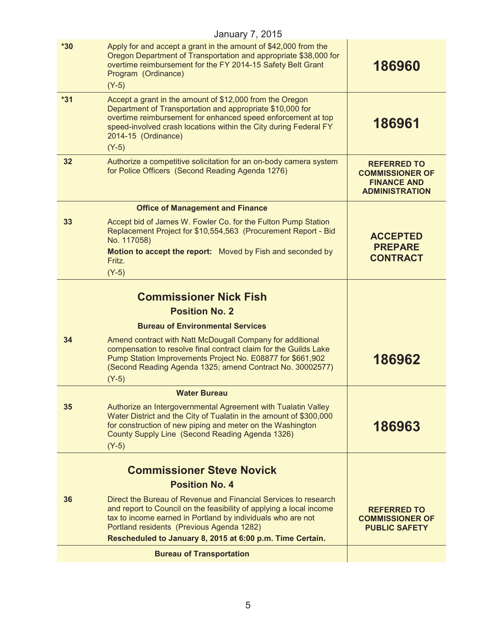| <b>January 7, 2015</b> |                                                                                                                                                                                                                                                                                             |                                                                                             |  |
|------------------------|---------------------------------------------------------------------------------------------------------------------------------------------------------------------------------------------------------------------------------------------------------------------------------------------|---------------------------------------------------------------------------------------------|--|
| $*30$                  | Apply for and accept a grant in the amount of \$42,000 from the<br>Oregon Department of Transportation and appropriate \$38,000 for<br>overtime reimbursement for the FY 2014-15 Safety Belt Grant<br>Program (Ordinance)<br>$(Y-5)$                                                        | 186960                                                                                      |  |
| $*31$                  | Accept a grant in the amount of \$12,000 from the Oregon<br>Department of Transportation and appropriate \$10,000 for<br>overtime reimbursement for enhanced speed enforcement at top<br>speed-involved crash locations within the City during Federal FY<br>2014-15 (Ordinance)<br>$(Y-5)$ | 186961                                                                                      |  |
| 32                     | Authorize a competitive solicitation for an on-body camera system<br>for Police Officers (Second Reading Agenda 1276)                                                                                                                                                                       | <b>REFERRED TO</b><br><b>COMMISSIONER OF</b><br><b>FINANCE AND</b><br><b>ADMINISTRATION</b> |  |
|                        | <b>Office of Management and Finance</b>                                                                                                                                                                                                                                                     |                                                                                             |  |
| 33                     | Accept bid of James W. Fowler Co. for the Fulton Pump Station<br>Replacement Project for \$10,554,563 (Procurement Report - Bid<br>No. 117058)<br>Motion to accept the report: Moved by Fish and seconded by<br>Fritz.                                                                      | <b>ACCEPTED</b><br><b>PREPARE</b><br><b>CONTRACT</b>                                        |  |
|                        | $(Y-5)$                                                                                                                                                                                                                                                                                     |                                                                                             |  |
|                        | <b>Commissioner Nick Fish</b>                                                                                                                                                                                                                                                               |                                                                                             |  |
|                        | <b>Position No. 2</b>                                                                                                                                                                                                                                                                       |                                                                                             |  |
|                        | <b>Bureau of Environmental Services</b>                                                                                                                                                                                                                                                     |                                                                                             |  |
| 34                     | Amend contract with Natt McDougall Company for additional<br>compensation to resolve final contract claim for the Guilds Lake<br>Pump Station Improvements Project No. E08877 for \$661,902<br>(Second Reading Agenda 1325; amend Contract No. 30002577)<br>$(Y-5)$                         | 186962                                                                                      |  |
|                        | <b>Water Bureau</b>                                                                                                                                                                                                                                                                         |                                                                                             |  |
| 35                     | Authorize an Intergovernmental Agreement with Tualatin Valley<br>Water District and the City of Tualatin in the amount of \$300,000<br>for construction of new piping and meter on the Washington<br>County Supply Line (Second Reading Agenda 1326)<br>$(Y-5)$                             | 186963                                                                                      |  |
|                        |                                                                                                                                                                                                                                                                                             |                                                                                             |  |
|                        | <b>Commissioner Steve Novick</b><br><b>Position No. 4</b>                                                                                                                                                                                                                                   |                                                                                             |  |
| 36                     | Direct the Bureau of Revenue and Financial Services to research                                                                                                                                                                                                                             |                                                                                             |  |
|                        | and report to Council on the feasibility of applying a local income<br>tax to income earned in Portland by individuals who are not<br>Portland residents (Previous Agenda 1282)                                                                                                             | <b>REFERRED TO</b><br><b>COMMISSIONER OF</b><br><b>PUBLIC SAFETY</b>                        |  |
|                        | Rescheduled to January 8, 2015 at 6:00 p.m. Time Certain.                                                                                                                                                                                                                                   |                                                                                             |  |
|                        | <b>Bureau of Transportation</b>                                                                                                                                                                                                                                                             |                                                                                             |  |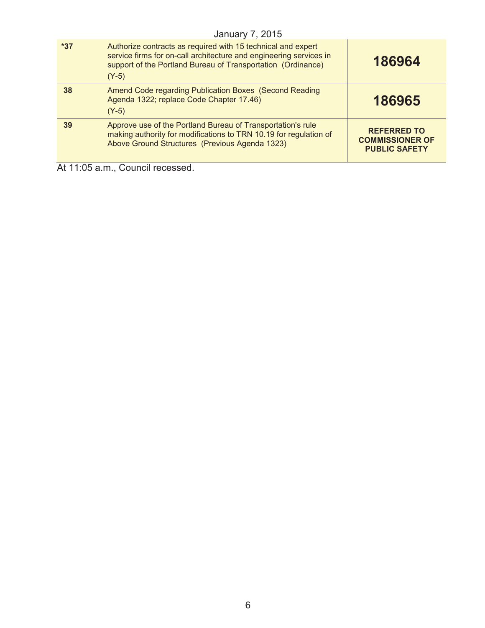|       | <b>January 7, 2015</b>                                                                                                                                                                                        |                                                                      |
|-------|---------------------------------------------------------------------------------------------------------------------------------------------------------------------------------------------------------------|----------------------------------------------------------------------|
| $*37$ | Authorize contracts as required with 15 technical and expert<br>service firms for on-call architecture and engineering services in<br>support of the Portland Bureau of Transportation (Ordinance)<br>$(Y-5)$ | 186964                                                               |
| 38    | Amend Code regarding Publication Boxes (Second Reading<br>Agenda 1322; replace Code Chapter 17.46)<br>$(Y-5)$                                                                                                 | 186965                                                               |
| 39    | Approve use of the Portland Bureau of Transportation's rule<br>making authority for modifications to TRN 10.19 for regulation of<br>Above Ground Structures (Previous Agenda 1323)                            | <b>REFERRED TO</b><br><b>COMMISSIONER OF</b><br><b>PUBLIC SAFETY</b> |

At 11:05 a.m., Council recessed.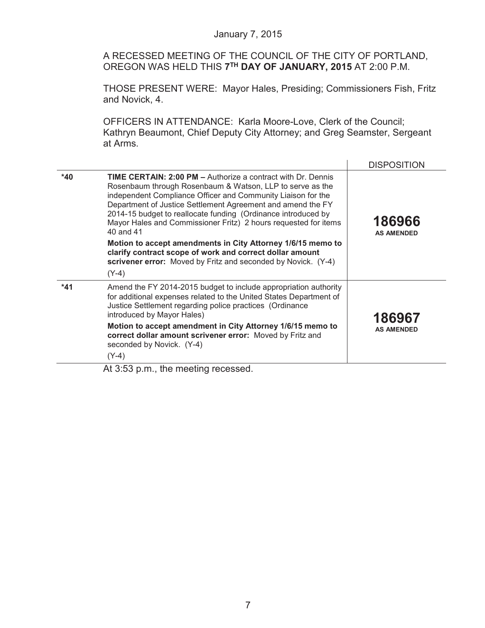A RECESSED MEETING OF THE COUNCIL OF THE CITY OF PORTLAND, OREGON WAS HELD THIS **7TH DAY OF JANUARY, 2015** AT 2:00 P.M.

THOSE PRESENT WERE: Mayor Hales, Presiding; Commissioners Fish, Fritz and Novick, 4.

OFFICERS IN ATTENDANCE: Karla Moore-Love, Clerk of the Council; Kathryn Beaumont, Chief Deputy City Attorney; and Greg Seamster, Sergeant at Arms.

|       |                                                                                                                                                                                                                                                                                                                                                                                                                  | <b>DISPOSITION</b>          |
|-------|------------------------------------------------------------------------------------------------------------------------------------------------------------------------------------------------------------------------------------------------------------------------------------------------------------------------------------------------------------------------------------------------------------------|-----------------------------|
| $*40$ | <b>TIME CERTAIN: 2:00 PM - Authorize a contract with Dr. Dennis</b><br>Rosenbaum through Rosenbaum & Watson, LLP to serve as the<br>independent Compliance Officer and Community Liaison for the<br>Department of Justice Settlement Agreement and amend the FY<br>2014-15 budget to reallocate funding (Ordinance introduced by<br>Mayor Hales and Commissioner Fritz) 2 hours requested for items<br>40 and 41 | 186966<br><b>AS AMENDED</b> |
|       | Motion to accept amendments in City Attorney 1/6/15 memo to<br>clarify contract scope of work and correct dollar amount<br>scrivener error: Moved by Fritz and seconded by Novick. (Y-4)<br>$(Y-4)$                                                                                                                                                                                                              |                             |
| $*41$ | Amend the FY 2014-2015 budget to include appropriation authority<br>for additional expenses related to the United States Department of<br>Justice Settlement regarding police practices (Ordinance<br>introduced by Mayor Hales)                                                                                                                                                                                 | 186967                      |
|       | Motion to accept amendment in City Attorney 1/6/15 memo to<br>correct dollar amount scrivener error: Moved by Fritz and<br>seconded by Novick. (Y-4)<br>$(Y-4)$                                                                                                                                                                                                                                                  | <b>AS AMENDED</b>           |
|       | At 3:53 p.m., the meeting recessed.                                                                                                                                                                                                                                                                                                                                                                              |                             |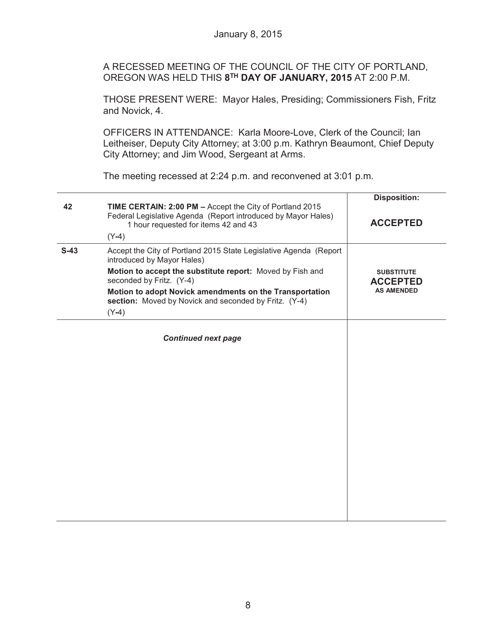A RECESSED MEETING OF THE COUNCIL OF THE CITY OF PORTLAND, OREGON WAS HELD THIS **8TH DAY OF JANUARY, 2015** AT 2:00 P.M.

THOSE PRESENT WERE: Mayor Hales, Presiding; Commissioners Fish, Fritz and Novick, 4.

OFFICERS IN ATTENDANCE: Karla Moore-Love, Clerk of the Council; Ian Leitheiser, Deputy City Attorney; at 3:00 p.m. Kathryn Beaumont, Chief Deputy City Attorney; and Jim Wood, Sergeant at Arms.

The meeting recessed at 2:24 p.m. and reconvened at 3:01 p.m.

|        |                                                                                                                                                                   | <b>Disposition:</b>                  |
|--------|-------------------------------------------------------------------------------------------------------------------------------------------------------------------|--------------------------------------|
| 42     | TIME CERTAIN: 2:00 PM - Accept the City of Portland 2015<br>Federal Legislative Agenda (Report introduced by Mayor Hales)<br>1 hour requested for items 42 and 43 | <b>ACCEPTED</b>                      |
|        | $(Y-4)$                                                                                                                                                           |                                      |
| $S-43$ | Accept the City of Portland 2015 State Legislative Agenda (Report<br>introduced by Mayor Hales)                                                                   |                                      |
|        | Motion to accept the substitute report: Moved by Fish and<br>seconded by Fritz. (Y-4)                                                                             | <b>SUBSTITUTE</b><br><b>ACCEPTED</b> |
|        | Motion to adopt Novick amendments on the Transportation<br>section: Moved by Novick and seconded by Fritz. (Y-4)                                                  | <b>AS AMENDED</b>                    |
|        | $(Y-4)$                                                                                                                                                           |                                      |
|        | <b>Continued next page</b>                                                                                                                                        |                                      |
|        |                                                                                                                                                                   |                                      |
|        |                                                                                                                                                                   |                                      |
|        |                                                                                                                                                                   |                                      |
|        |                                                                                                                                                                   |                                      |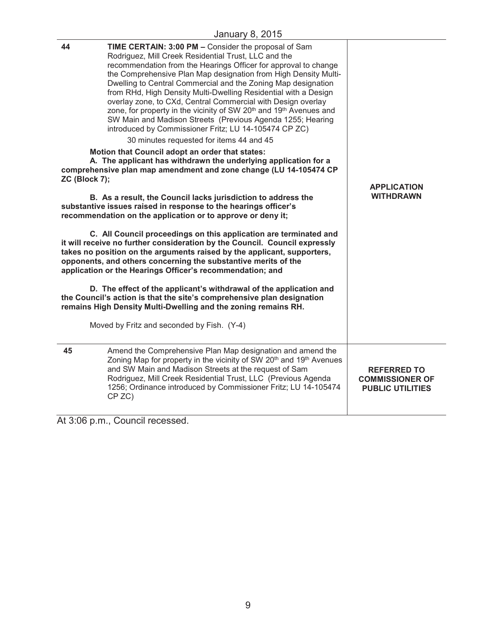|                     | January U, ZUTU                                                                                                                                                                                                                                                                                                                                                                                                                                                                                                                                                                                                                                                                                                                                                                                                                                                                                                                                                                                                                                                                                                                                                                                                                                                                                                                                                                                                                                                                                                                                                                                                                                                                                                                                    |                                                                         |
|---------------------|----------------------------------------------------------------------------------------------------------------------------------------------------------------------------------------------------------------------------------------------------------------------------------------------------------------------------------------------------------------------------------------------------------------------------------------------------------------------------------------------------------------------------------------------------------------------------------------------------------------------------------------------------------------------------------------------------------------------------------------------------------------------------------------------------------------------------------------------------------------------------------------------------------------------------------------------------------------------------------------------------------------------------------------------------------------------------------------------------------------------------------------------------------------------------------------------------------------------------------------------------------------------------------------------------------------------------------------------------------------------------------------------------------------------------------------------------------------------------------------------------------------------------------------------------------------------------------------------------------------------------------------------------------------------------------------------------------------------------------------------------|-------------------------------------------------------------------------|
| 44<br>ZC (Block 7); | TIME CERTAIN: 3:00 PM - Consider the proposal of Sam<br>Rodriguez, Mill Creek Residential Trust, LLC and the<br>recommendation from the Hearings Officer for approval to change<br>the Comprehensive Plan Map designation from High Density Multi-<br>Dwelling to Central Commercial and the Zoning Map designation<br>from RHd, High Density Multi-Dwelling Residential with a Design<br>overlay zone, to CXd, Central Commercial with Design overlay<br>zone, for property in the vicinity of SW 20 <sup>th</sup> and 19 <sup>th</sup> Avenues and<br>SW Main and Madison Streets (Previous Agenda 1255; Hearing<br>introduced by Commissioner Fritz; LU 14-105474 CP ZC)<br>30 minutes requested for items 44 and 45<br>Motion that Council adopt an order that states:<br>A. The applicant has withdrawn the underlying application for a<br>comprehensive plan map amendment and zone change (LU 14-105474 CP<br>B. As a result, the Council lacks jurisdiction to address the<br>substantive issues raised in response to the hearings officer's<br>recommendation on the application or to approve or deny it;<br>C. All Council proceedings on this application are terminated and<br>it will receive no further consideration by the Council. Council expressly<br>takes no position on the arguments raised by the applicant, supporters,<br>opponents, and others concerning the substantive merits of the<br>application or the Hearings Officer's recommendation; and<br>D. The effect of the applicant's withdrawal of the application and<br>the Council's action is that the site's comprehensive plan designation<br>remains High Density Multi-Dwelling and the zoning remains RH.<br>Moved by Fritz and seconded by Fish. (Y-4) | <b>APPLICATION</b><br><b>WITHDRAWN</b>                                  |
| 45                  | Amend the Comprehensive Plan Map designation and amend the<br>Zoning Map for property in the vicinity of SW 20 <sup>th</sup> and 19 <sup>th</sup> Avenues<br>and SW Main and Madison Streets at the request of Sam<br>Rodriguez, Mill Creek Residential Trust, LLC (Previous Agenda<br>1256; Ordinance introduced by Commissioner Fritz; LU 14-105474<br>CP ZC)                                                                                                                                                                                                                                                                                                                                                                                                                                                                                                                                                                                                                                                                                                                                                                                                                                                                                                                                                                                                                                                                                                                                                                                                                                                                                                                                                                                    | <b>REFERRED TO</b><br><b>COMMISSIONER OF</b><br><b>PUBLIC UTILITIES</b> |

At 3:06 p.m., Council recessed.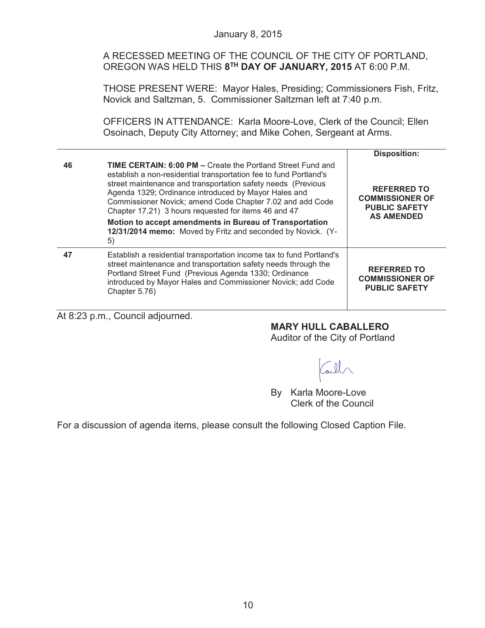#### January 8, 2015

A RECESSED MEETING OF THE COUNCIL OF THE CITY OF PORTLAND, OREGON WAS HELD THIS **8TH DAY OF JANUARY, 2015** AT 6:00 P.M.

THOSE PRESENT WERE: Mayor Hales, Presiding; Commissioners Fish, Fritz, Novick and Saltzman, 5. Commissioner Saltzman left at 7:40 p.m.

OFFICERS IN ATTENDANCE: Karla Moore-Love, Clerk of the Council; Ellen Osoinach, Deputy City Attorney; and Mike Cohen, Sergeant at Arms.

|    |                                                                                                                                                                                                                                                                                                                                                                                                                                                                                                                      | <b>Disposition:</b>                                                                       |
|----|----------------------------------------------------------------------------------------------------------------------------------------------------------------------------------------------------------------------------------------------------------------------------------------------------------------------------------------------------------------------------------------------------------------------------------------------------------------------------------------------------------------------|-------------------------------------------------------------------------------------------|
| 46 | <b>TIME CERTAIN: 6:00 PM – Create the Portland Street Fund and</b><br>establish a non-residential transportation fee to fund Portland's<br>street maintenance and transportation safety needs (Previous<br>Agenda 1329; Ordinance introduced by Mayor Hales and<br>Commissioner Novick; amend Code Chapter 7.02 and add Code<br>Chapter 17.21) 3 hours requested for items 46 and 47<br>Motion to accept amendments in Bureau of Transportation<br>12/31/2014 memo: Moved by Fritz and seconded by Novick. (Y-<br>5) | <b>REFERRED TO</b><br><b>COMMISSIONER OF</b><br><b>PUBLIC SAFETY</b><br><b>AS AMENDED</b> |
| 47 | Establish a residential transportation income tax to fund Portland's<br>street maintenance and transportation safety needs through the<br>Portland Street Fund (Previous Agenda 1330; Ordinance<br>introduced by Mayor Hales and Commissioner Novick; add Code<br>Chapter 5.76)                                                                                                                                                                                                                                      | <b>REFERRED TO</b><br><b>COMMISSIONER OF</b><br><b>PUBLIC SAFETY</b>                      |

At 8:23 p.m., Council adjourned.

## **MARY HULL CABALLERO**

Auditor of the City of Portland

all

By Karla Moore-Love Clerk of the Council

For a discussion of agenda items, please consult the following Closed Caption File.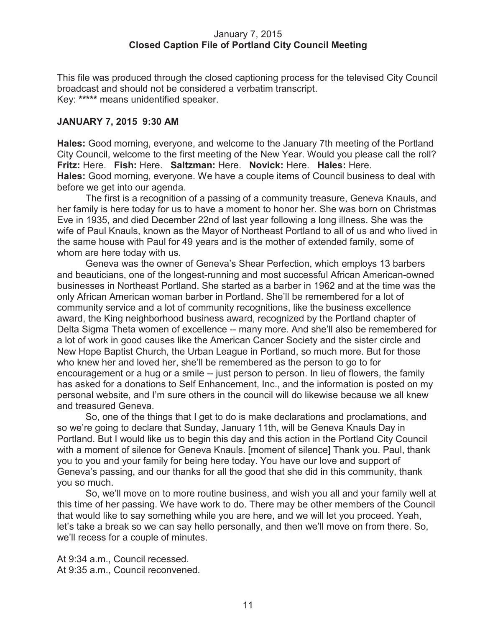#### January 7, 2015 **Closed Caption File of Portland City Council Meeting**

This file was produced through the closed captioning process for the televised City Council broadcast and should not be considered a verbatim transcript. Key: **\*\*\*\*\*** means unidentified speaker.

### **JANUARY 7, 2015 9:30 AM**

**Hales:** Good morning, everyone, and welcome to the January 7th meeting of the Portland City Council, welcome to the first meeting of the New Year. Would you please call the roll? **Fritz:** Here. **Fish:** Here. **Saltzman:** Here. **Novick:** Here. **Hales:** Here. **Hales:** Good morning, everyone. We have a couple items of Council business to deal with before we get into our agenda.

The first is a recognition of a passing of a community treasure, Geneva Knauls, and her family is here today for us to have a moment to honor her. She was born on Christmas Eve in 1935, and died December 22nd of last year following a long illness. She was the wife of Paul Knauls, known as the Mayor of Northeast Portland to all of us and who lived in the same house with Paul for 49 years and is the mother of extended family, some of whom are here today with us.

Geneva was the owner of Geneva's Shear Perfection, which employs 13 barbers and beauticians, one of the longest-running and most successful African American-owned businesses in Northeast Portland. She started as a barber in 1962 and at the time was the only African American woman barber in Portland. She'll be remembered for a lot of community service and a lot of community recognitions, like the business excellence award, the King neighborhood business award, recognized by the Portland chapter of Delta Sigma Theta women of excellence -- many more. And she'll also be remembered for a lot of work in good causes like the American Cancer Society and the sister circle and New Hope Baptist Church, the Urban League in Portland, so much more. But for those who knew her and loved her, she'll be remembered as the person to go to for encouragement or a hug or a smile -- just person to person. In lieu of flowers, the family has asked for a donations to Self Enhancement, Inc., and the information is posted on my personal website, and I'm sure others in the council will do likewise because we all knew and treasured Geneva.

So, one of the things that I get to do is make declarations and proclamations, and so we're going to declare that Sunday, January 11th, will be Geneva Knauls Day in Portland. But I would like us to begin this day and this action in the Portland City Council with a moment of silence for Geneva Knauls. [moment of silence] Thank you. Paul, thank you to you and your family for being here today. You have our love and support of Geneva's passing, and our thanks for all the good that she did in this community, thank you so much.

So, we'll move on to more routine business, and wish you all and your family well at this time of her passing. We have work to do. There may be other members of the Council that would like to say something while you are here, and we will let you proceed. Yeah, let's take a break so we can say hello personally, and then we'll move on from there. So, we'll recess for a couple of minutes.

At 9:34 a.m., Council recessed. At 9:35 a.m., Council reconvened.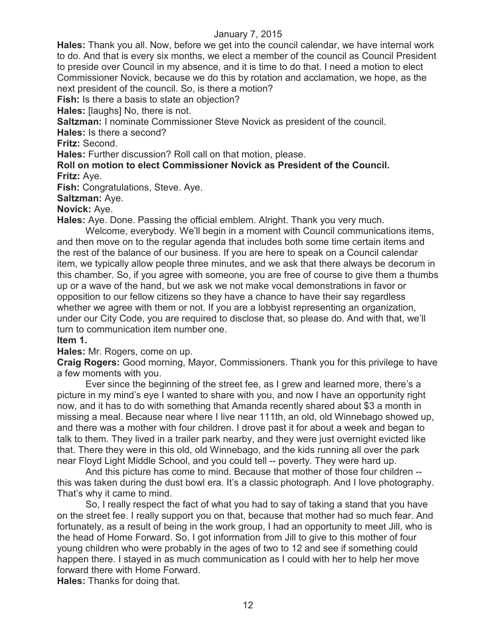**Hales:** Thank you all. Now, before we get into the council calendar, we have internal work to do. And that is every six months, we elect a member of the council as Council President to preside over Council in my absence, and it is time to do that. I need a motion to elect Commissioner Novick, because we do this by rotation and acclamation, we hope, as the next president of the council. So, is there a motion?

**Fish:** Is there a basis to state an objection?

**Hales:** [laughs] No, there is not.

**Saltzman:** I nominate Commissioner Steve Novick as president of the council.

**Hales:** Is there a second?

**Fritz:** Second.

**Hales:** Further discussion? Roll call on that motion, please.

**Roll on motion to elect Commissioner Novick as President of the Council. Fritz:** Aye.

**Fish:** Congratulations, Steve. Aye.

**Saltzman:** Aye.

**Novick:** Aye.

**Hales:** Aye. Done. Passing the official emblem. Alright. Thank you very much.

Welcome, everybody. We'll begin in a moment with Council communications items, and then move on to the regular agenda that includes both some time certain items and the rest of the balance of our business. If you are here to speak on a Council calendar item, we typically allow people three minutes, and we ask that there always be decorum in this chamber. So, if you agree with someone, you are free of course to give them a thumbs up or a wave of the hand, but we ask we not make vocal demonstrations in favor or opposition to our fellow citizens so they have a chance to have their say regardless whether we agree with them or not. If you are a lobbyist representing an organization, under our City Code, you are required to disclose that, so please do. And with that, we'll turn to communication item number one.

#### **Item 1.**

**Hales:** Mr. Rogers, come on up.

**Craig Rogers:** Good morning, Mayor, Commissioners. Thank you for this privilege to have a few moments with you.

Ever since the beginning of the street fee, as I grew and learned more, there's a picture in my mind's eye I wanted to share with you, and now I have an opportunity right now, and it has to do with something that Amanda recently shared about \$3 a month in missing a meal. Because near where I live near 111th, an old, old Winnebago showed up, and there was a mother with four children. I drove past it for about a week and began to talk to them. They lived in a trailer park nearby, and they were just overnight evicted like that. There they were in this old, old Winnebago, and the kids running all over the park near Floyd Light Middle School, and you could tell -- poverty. They were hard up.

And this picture has come to mind. Because that mother of those four children - this was taken during the dust bowl era. It's a classic photograph. And I love photography. That's why it came to mind.

So, I really respect the fact of what you had to say of taking a stand that you have on the street fee. I really support you on that, because that mother had so much fear. And fortunately, as a result of being in the work group, I had an opportunity to meet Jill, who is the head of Home Forward. So, I got information from Jill to give to this mother of four young children who were probably in the ages of two to 12 and see if something could happen there. I stayed in as much communication as I could with her to help her move forward there with Home Forward.

**Hales:** Thanks for doing that.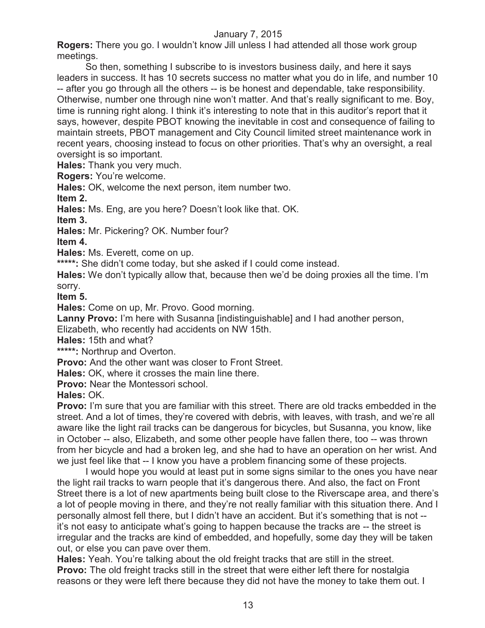**Rogers:** There you go. I wouldn't know Jill unless I had attended all those work group meetings.

So then, something I subscribe to is investors business daily, and here it says leaders in success. It has 10 secrets success no matter what you do in life, and number 10 -- after you go through all the others -- is be honest and dependable, take responsibility. Otherwise, number one through nine won't matter. And that's really significant to me. Boy, time is running right along. I think it's interesting to note that in this auditor's report that it says, however, despite PBOT knowing the inevitable in cost and consequence of failing to maintain streets, PBOT management and City Council limited street maintenance work in recent years, choosing instead to focus on other priorities. That's why an oversight, a real oversight is so important.

**Hales:** Thank you very much.

**Rogers:** You're welcome.

**Hales:** OK, welcome the next person, item number two.

**Item 2.**

**Hales:** Ms. Eng, are you here? Doesn't look like that. OK.

**Item 3.**

**Hales:** Mr. Pickering? OK. Number four?

**Item 4.**

**Hales:** Ms. Everett, come on up.

**\*\*\*\*\*:** She didn't come today, but she asked if I could come instead.

**Hales:** We don't typically allow that, because then we'd be doing proxies all the time. I'm sorry.

**Item 5.**

**Hales:** Come on up, Mr. Provo. Good morning.

**Lanny Provo:** I'm here with Susanna [indistinguishable] and I had another person,

Elizabeth, who recently had accidents on NW 15th.

**Hales:** 15th and what?

**\*\*\*\*\*:** Northrup and Overton.

**Provo:** And the other want was closer to Front Street.

**Hales:** OK, where it crosses the main line there.

**Provo: Near the Montessori school.** 

**Hales:** OK.

**Provo:** I'm sure that you are familiar with this street. There are old tracks embedded in the street. And a lot of times, they're covered with debris, with leaves, with trash, and we're all aware like the light rail tracks can be dangerous for bicycles, but Susanna, you know, like in October -- also, Elizabeth, and some other people have fallen there, too -- was thrown from her bicycle and had a broken leg, and she had to have an operation on her wrist. And we just feel like that -- I know you have a problem financing some of these projects.

I would hope you would at least put in some signs similar to the ones you have near the light rail tracks to warn people that it's dangerous there. And also, the fact on Front Street there is a lot of new apartments being built close to the Riverscape area, and there's a lot of people moving in there, and they're not really familiar with this situation there. And I personally almost fell there, but I didn't have an accident. But it's something that is not - it's not easy to anticipate what's going to happen because the tracks are -- the street is irregular and the tracks are kind of embedded, and hopefully, some day they will be taken out, or else you can pave over them.

**Hales:** Yeah. You're talking about the old freight tracks that are still in the street. **Provo:** The old freight tracks still in the street that were either left there for nostalgia reasons or they were left there because they did not have the money to take them out. I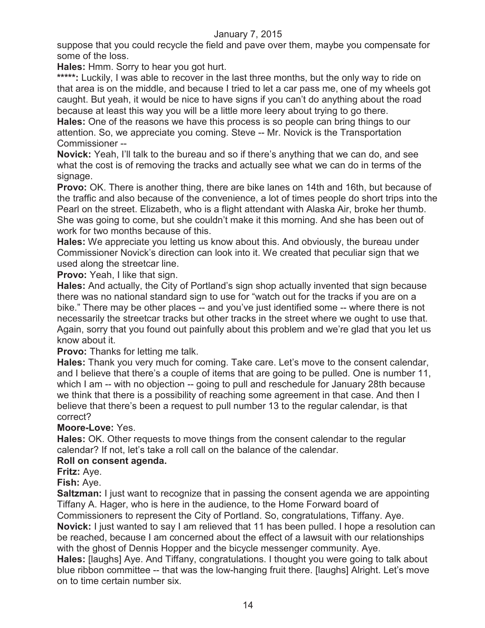suppose that you could recycle the field and pave over them, maybe you compensate for some of the loss.

**Hales:** Hmm. Sorry to hear you got hurt.

\*\*\*\*\*: Luckily, I was able to recover in the last three months, but the only way to ride on that area is on the middle, and because I tried to let a car pass me, one of my wheels got caught. But yeah, it would be nice to have signs if you can't do anything about the road because at least this way you will be a little more leery about trying to go there.

**Hales:** One of the reasons we have this process is so people can bring things to our attention. So, we appreciate you coming. Steve -- Mr. Novick is the Transportation Commissioner --

**Novick:** Yeah, I'll talk to the bureau and so if there's anything that we can do, and see what the cost is of removing the tracks and actually see what we can do in terms of the signage.

**Provo:** OK. There is another thing, there are bike lanes on 14th and 16th, but because of the traffic and also because of the convenience, a lot of times people do short trips into the Pearl on the street. Elizabeth, who is a flight attendant with Alaska Air, broke her thumb. She was going to come, but she couldn't make it this morning. And she has been out of work for two months because of this.

**Hales:** We appreciate you letting us know about this. And obviously, the bureau under Commissioner Novick's direction can look into it. We created that peculiar sign that we used along the streetcar line.

**Provo:** Yeah, I like that sign.

**Hales:** And actually, the City of Portland's sign shop actually invented that sign because there was no national standard sign to use for "watch out for the tracks if you are on a bike." There may be other places -- and you've just identified some -- where there is not necessarily the streetcar tracks but other tracks in the street where we ought to use that. Again, sorry that you found out painfully about this problem and we're glad that you let us know about it.

**Provo:** Thanks for letting me talk.

**Hales:** Thank you very much for coming. Take care. Let's move to the consent calendar, and I believe that there's a couple of items that are going to be pulled. One is number 11, which I am -- with no objection -- going to pull and reschedule for January 28th because we think that there is a possibility of reaching some agreement in that case. And then I believe that there's been a request to pull number 13 to the regular calendar, is that correct?

## **Moore-Love:** Yes.

**Hales:** OK. Other requests to move things from the consent calendar to the regular calendar? If not, let's take a roll call on the balance of the calendar.

## **Roll on consent agenda.**

**Fritz:** Aye.

**Fish:** Aye.

**Saltzman:** I just want to recognize that in passing the consent agenda we are appointing Tiffany A. Hager, who is here in the audience, to the Home Forward board of Commissioners to represent the City of Portland. So, congratulations, Tiffany. Aye.

**Novick:** I just wanted to say I am relieved that 11 has been pulled. I hope a resolution can be reached, because I am concerned about the effect of a lawsuit with our relationships with the ghost of Dennis Hopper and the bicycle messenger community. Aye.

**Hales:** [laughs] Aye. And Tiffany, congratulations. I thought you were going to talk about blue ribbon committee -- that was the low-hanging fruit there. [laughs] Alright. Let's move on to time certain number six.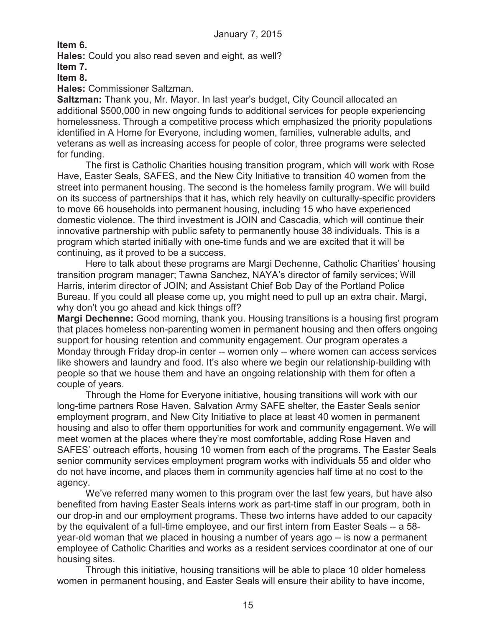**Item 6.**

**Hales:** Could you also read seven and eight, as well? **Item 7.**

**Item 8.**

**Hales:** Commissioner Saltzman.

**Saltzman:** Thank you, Mr. Mayor. In last year's budget, City Council allocated an additional \$500,000 in new ongoing funds to additional services for people experiencing homelessness. Through a competitive process which emphasized the priority populations identified in A Home for Everyone, including women, families, vulnerable adults, and veterans as well as increasing access for people of color, three programs were selected for funding.

The first is Catholic Charities housing transition program, which will work with Rose Have, Easter Seals, SAFES, and the New City Initiative to transition 40 women from the street into permanent housing. The second is the homeless family program. We will build on its success of partnerships that it has, which rely heavily on culturally-specific providers to move 66 households into permanent housing, including 15 who have experienced domestic violence. The third investment is JOIN and Cascadia, which will continue their innovative partnership with public safety to permanently house 38 individuals. This is a program which started initially with one-time funds and we are excited that it will be continuing, as it proved to be a success.

Here to talk about these programs are Margi Dechenne, Catholic Charities' housing transition program manager; Tawna Sanchez, NAYA's director of family services; Will Harris, interim director of JOIN; and Assistant Chief Bob Day of the Portland Police Bureau. If you could all please come up, you might need to pull up an extra chair. Margi, why don't you go ahead and kick things off?

**Margi Dechenne:** Good morning, thank you. Housing transitions is a housing first program that places homeless non-parenting women in permanent housing and then offers ongoing support for housing retention and community engagement. Our program operates a Monday through Friday drop-in center -- women only -- where women can access services like showers and laundry and food. It's also where we begin our relationship-building with people so that we house them and have an ongoing relationship with them for often a couple of years.

Through the Home for Everyone initiative, housing transitions will work with our long-time partners Rose Haven, Salvation Army SAFE shelter, the Easter Seals senior employment program, and New City Initiative to place at least 40 women in permanent housing and also to offer them opportunities for work and community engagement. We will meet women at the places where they're most comfortable, adding Rose Haven and SAFES' outreach efforts, housing 10 women from each of the programs. The Easter Seals senior community services employment program works with individuals 55 and older who do not have income, and places them in community agencies half time at no cost to the agency.

We've referred many women to this program over the last few years, but have also benefited from having Easter Seals interns work as part-time staff in our program, both in our drop-in and our employment programs. These two interns have added to our capacity by the equivalent of a full-time employee, and our first intern from Easter Seals -- a 58 year-old woman that we placed in housing a number of years ago -- is now a permanent employee of Catholic Charities and works as a resident services coordinator at one of our housing sites.

Through this initiative, housing transitions will be able to place 10 older homeless women in permanent housing, and Easter Seals will ensure their ability to have income,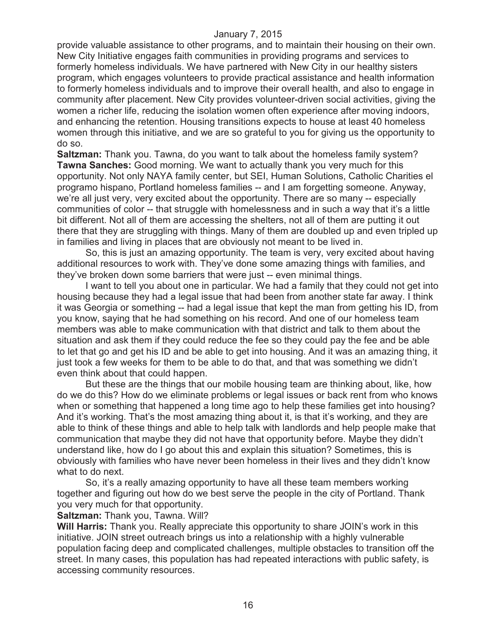provide valuable assistance to other programs, and to maintain their housing on their own. New City Initiative engages faith communities in providing programs and services to formerly homeless individuals. We have partnered with New City in our healthy sisters program, which engages volunteers to provide practical assistance and health information to formerly homeless individuals and to improve their overall health, and also to engage in community after placement. New City provides volunteer-driven social activities, giving the women a richer life, reducing the isolation women often experience after moving indoors, and enhancing the retention. Housing transitions expects to house at least 40 homeless women through this initiative, and we are so grateful to you for giving us the opportunity to do so.

**Saltzman:** Thank you. Tawna, do you want to talk about the homeless family system? **Tawna Sanches:** Good morning. We want to actually thank you very much for this opportunity. Not only NAYA family center, but SEI, Human Solutions, Catholic Charities el programo hispano, Portland homeless families -- and I am forgetting someone. Anyway, we're all just very, very excited about the opportunity. There are so many -- especially communities of color -- that struggle with homelessness and in such a way that it's a little bit different. Not all of them are accessing the shelters, not all of them are putting it out there that they are struggling with things. Many of them are doubled up and even tripled up in families and living in places that are obviously not meant to be lived in.

So, this is just an amazing opportunity. The team is very, very excited about having additional resources to work with. They've done some amazing things with families, and they've broken down some barriers that were just -- even minimal things.

I want to tell you about one in particular. We had a family that they could not get into housing because they had a legal issue that had been from another state far away. I think it was Georgia or something -- had a legal issue that kept the man from getting his ID, from you know, saying that he had something on his record. And one of our homeless team members was able to make communication with that district and talk to them about the situation and ask them if they could reduce the fee so they could pay the fee and be able to let that go and get his ID and be able to get into housing. And it was an amazing thing, it just took a few weeks for them to be able to do that, and that was something we didn't even think about that could happen.

But these are the things that our mobile housing team are thinking about, like, how do we do this? How do we eliminate problems or legal issues or back rent from who knows when or something that happened a long time ago to help these families get into housing? And it's working. That's the most amazing thing about it, is that it's working, and they are able to think of these things and able to help talk with landlords and help people make that communication that maybe they did not have that opportunity before. Maybe they didn't understand like, how do I go about this and explain this situation? Sometimes, this is obviously with families who have never been homeless in their lives and they didn't know what to do next.

So, it's a really amazing opportunity to have all these team members working together and figuring out how do we best serve the people in the city of Portland. Thank you very much for that opportunity.

**Saltzman:** Thank you, Tawna. Will?

**Will Harris:** Thank you. Really appreciate this opportunity to share JOIN's work in this initiative. JOIN street outreach brings us into a relationship with a highly vulnerable population facing deep and complicated challenges, multiple obstacles to transition off the street. In many cases, this population has had repeated interactions with public safety, is accessing community resources.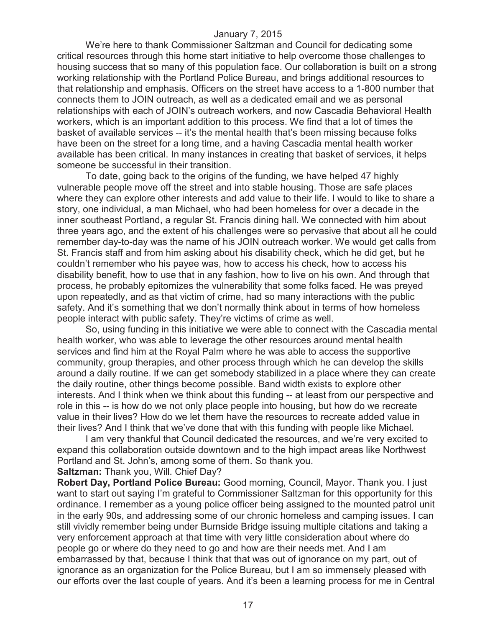We're here to thank Commissioner Saltzman and Council for dedicating some critical resources through this home start initiative to help overcome those challenges to housing success that so many of this population face. Our collaboration is built on a strong working relationship with the Portland Police Bureau, and brings additional resources to that relationship and emphasis. Officers on the street have access to a 1-800 number that connects them to JOIN outreach, as well as a dedicated email and we as personal relationships with each of JOIN's outreach workers, and now Cascadia Behavioral Health workers, which is an important addition to this process. We find that a lot of times the basket of available services -- it's the mental health that's been missing because folks have been on the street for a long time, and a having Cascadia mental health worker available has been critical. In many instances in creating that basket of services, it helps someone be successful in their transition.

To date, going back to the origins of the funding, we have helped 47 highly vulnerable people move off the street and into stable housing. Those are safe places where they can explore other interests and add value to their life. I would to like to share a story, one individual, a man Michael, who had been homeless for over a decade in the inner southeast Portland, a regular St. Francis dining hall. We connected with him about three years ago, and the extent of his challenges were so pervasive that about all he could remember day-to-day was the name of his JOIN outreach worker. We would get calls from St. Francis staff and from him asking about his disability check, which he did get, but he couldn't remember who his payee was, how to access his check, how to access his disability benefit, how to use that in any fashion, how to live on his own. And through that process, he probably epitomizes the vulnerability that some folks faced. He was preyed upon repeatedly, and as that victim of crime, had so many interactions with the public safety. And it's something that we don't normally think about in terms of how homeless people interact with public safety. They're victims of crime as well.

So, using funding in this initiative we were able to connect with the Cascadia mental health worker, who was able to leverage the other resources around mental health services and find him at the Royal Palm where he was able to access the supportive community, group therapies, and other process through which he can develop the skills around a daily routine. If we can get somebody stabilized in a place where they can create the daily routine, other things become possible. Band width exists to explore other interests. And I think when we think about this funding -- at least from our perspective and role in this -- is how do we not only place people into housing, but how do we recreate value in their lives? How do we let them have the resources to recreate added value in their lives? And I think that we've done that with this funding with people like Michael.

I am very thankful that Council dedicated the resources, and we're very excited to expand this collaboration outside downtown and to the high impact areas like Northwest Portland and St. John's, among some of them. So thank you.

**Saltzman:** Thank you, Will. Chief Day?

**Robert Day, Portland Police Bureau:** Good morning, Council, Mayor. Thank you. I just want to start out saying I'm grateful to Commissioner Saltzman for this opportunity for this ordinance. I remember as a young police officer being assigned to the mounted patrol unit in the early 90s, and addressing some of our chronic homeless and camping issues. I can still vividly remember being under Burnside Bridge issuing multiple citations and taking a very enforcement approach at that time with very little consideration about where do people go or where do they need to go and how are their needs met. And I am embarrassed by that, because I think that that was out of ignorance on my part, out of ignorance as an organization for the Police Bureau, but I am so immensely pleased with our efforts over the last couple of years. And it's been a learning process for me in Central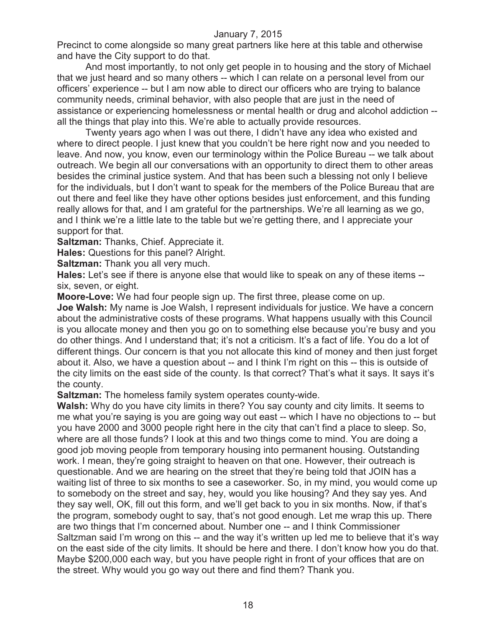Precinct to come alongside so many great partners like here at this table and otherwise and have the City support to do that.

And most importantly, to not only get people in to housing and the story of Michael that we just heard and so many others -- which I can relate on a personal level from our officers' experience -- but I am now able to direct our officers who are trying to balance community needs, criminal behavior, with also people that are just in the need of assistance or experiencing homelessness or mental health or drug and alcohol addiction - all the things that play into this. We're able to actually provide resources.

Twenty years ago when I was out there, I didn't have any idea who existed and where to direct people. I just knew that you couldn't be here right now and you needed to leave. And now, you know, even our terminology within the Police Bureau -- we talk about outreach. We begin all our conversations with an opportunity to direct them to other areas besides the criminal justice system. And that has been such a blessing not only I believe for the individuals, but I don't want to speak for the members of the Police Bureau that are out there and feel like they have other options besides just enforcement, and this funding really allows for that, and I am grateful for the partnerships. We're all learning as we go, and I think we're a little late to the table but we're getting there, and I appreciate your support for that.

**Saltzman:** Thanks, Chief. Appreciate it.

**Hales:** Questions for this panel? Alright.

**Saltzman:** Thank you all very much.

**Hales:** Let's see if there is anyone else that would like to speak on any of these items - six, seven, or eight.

**Moore-Love:** We had four people sign up. The first three, please come on up.

**Joe Walsh:** My name is Joe Walsh, I represent individuals for justice. We have a concern about the administrative costs of these programs. What happens usually with this Council is you allocate money and then you go on to something else because you're busy and you do other things. And I understand that; it's not a criticism. It's a fact of life. You do a lot of different things. Our concern is that you not allocate this kind of money and then just forget about it. Also, we have a question about -- and I think I'm right on this -- this is outside of the city limits on the east side of the county. Is that correct? That's what it says. It says it's the county.

**Saltzman:** The homeless family system operates county-wide.

**Walsh:** Why do you have city limits in there? You say county and city limits. It seems to me what you're saying is you are going way out east -- which I have no objections to -- but you have 2000 and 3000 people right here in the city that can't find a place to sleep. So, where are all those funds? I look at this and two things come to mind. You are doing a good job moving people from temporary housing into permanent housing. Outstanding work. I mean, they're going straight to heaven on that one. However, their outreach is questionable. And we are hearing on the street that they're being told that JOIN has a waiting list of three to six months to see a caseworker. So, in my mind, you would come up to somebody on the street and say, hey, would you like housing? And they say yes. And they say well, OK, fill out this form, and we'll get back to you in six months. Now, if that's the program, somebody ought to say, that's not good enough. Let me wrap this up. There are two things that I'm concerned about. Number one -- and I think Commissioner Saltzman said I'm wrong on this -- and the way it's written up led me to believe that it's way on the east side of the city limits. It should be here and there. I don't know how you do that. Maybe \$200,000 each way, but you have people right in front of your offices that are on the street. Why would you go way out there and find them? Thank you.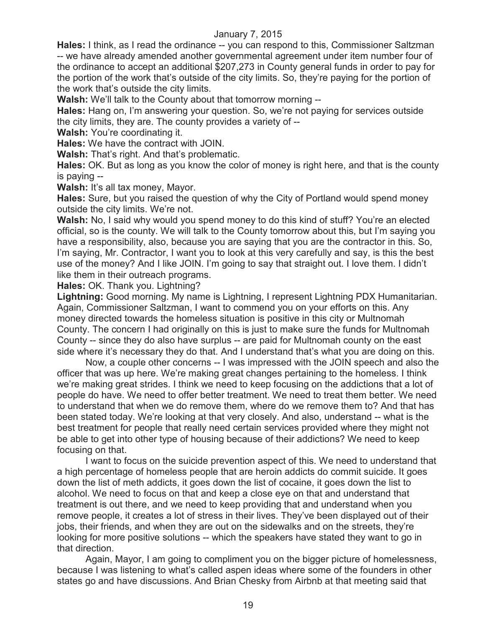**Hales:** I think, as I read the ordinance -- you can respond to this, Commissioner Saltzman -- we have already amended another governmental agreement under item number four of the ordinance to accept an additional \$207,273 in County general funds in order to pay for the portion of the work that's outside of the city limits. So, they're paying for the portion of the work that's outside the city limits.

**Walsh:** We'll talk to the County about that tomorrow morning --

**Hales:** Hang on, I'm answering your question. So, we're not paying for services outside the city limits, they are. The county provides a variety of --

**Walsh:** You're coordinating it.

**Hales:** We have the contract with JOIN.

**Walsh:** That's right. And that's problematic.

**Hales:** OK. But as long as you know the color of money is right here, and that is the county is paying --

Walsh: It's all tax money, Mayor.

**Hales:** Sure, but you raised the question of why the City of Portland would spend money outside the city limits. We're not.

**Walsh:** No, I said why would you spend money to do this kind of stuff? You're an elected official, so is the county. We will talk to the County tomorrow about this, but I'm saying you have a responsibility, also, because you are saying that you are the contractor in this. So, I'm saying, Mr. Contractor, I want you to look at this very carefully and say, is this the best use of the money? And I like JOIN. I'm going to say that straight out. I love them. I didn't like them in their outreach programs.

**Hales:** OK. Thank you. Lightning?

**Lightning:** Good morning. My name is Lightning, I represent Lightning PDX Humanitarian. Again, Commissioner Saltzman, I want to commend you on your efforts on this. Any money directed towards the homeless situation is positive in this city or Multnomah County. The concern I had originally on this is just to make sure the funds for Multnomah County -- since they do also have surplus -- are paid for Multnomah county on the east side where it's necessary they do that. And I understand that's what you are doing on this.

Now, a couple other concerns -- I was impressed with the JOIN speech and also the officer that was up here. We're making great changes pertaining to the homeless. I think we're making great strides. I think we need to keep focusing on the addictions that a lot of people do have. We need to offer better treatment. We need to treat them better. We need to understand that when we do remove them, where do we remove them to? And that has been stated today. We're looking at that very closely. And also, understand -- what is the best treatment for people that really need certain services provided where they might not be able to get into other type of housing because of their addictions? We need to keep focusing on that.

I want to focus on the suicide prevention aspect of this. We need to understand that a high percentage of homeless people that are heroin addicts do commit suicide. It goes down the list of meth addicts, it goes down the list of cocaine, it goes down the list to alcohol. We need to focus on that and keep a close eye on that and understand that treatment is out there, and we need to keep providing that and understand when you remove people, it creates a lot of stress in their lives. They've been displayed out of their jobs, their friends, and when they are out on the sidewalks and on the streets, they're looking for more positive solutions -- which the speakers have stated they want to go in that direction.

Again, Mayor, I am going to compliment you on the bigger picture of homelessness, because I was listening to what's called aspen ideas where some of the founders in other states go and have discussions. And Brian Chesky from Airbnb at that meeting said that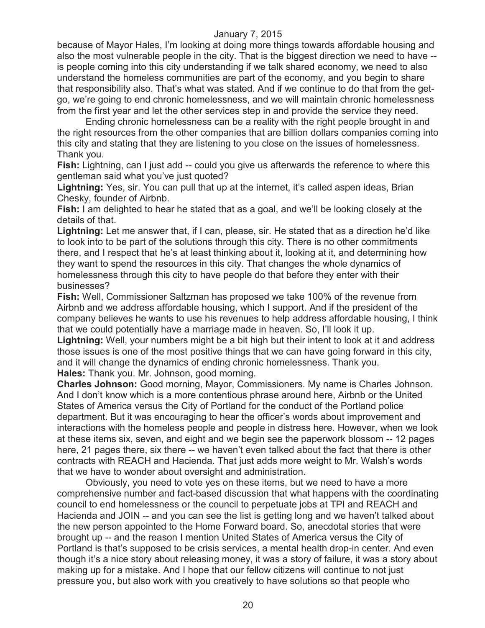because of Mayor Hales, I'm looking at doing more things towards affordable housing and also the most vulnerable people in the city. That is the biggest direction we need to have - is people coming into this city understanding if we talk shared economy, we need to also understand the homeless communities are part of the economy, and you begin to share that responsibility also. That's what was stated. And if we continue to do that from the getgo, we're going to end chronic homelessness, and we will maintain chronic homelessness from the first year and let the other services step in and provide the service they need.

Ending chronic homelessness can be a reality with the right people brought in and the right resources from the other companies that are billion dollars companies coming into this city and stating that they are listening to you close on the issues of homelessness. Thank you.

**Fish:** Lightning, can I just add -- could you give us afterwards the reference to where this gentleman said what you've just quoted?

**Lightning:** Yes, sir. You can pull that up at the internet, it's called aspen ideas, Brian Chesky, founder of Airbnb.

**Fish:** I am delighted to hear he stated that as a goal, and we'll be looking closely at the details of that.

**Lightning:** Let me answer that, if I can, please, sir. He stated that as a direction he'd like to look into to be part of the solutions through this city. There is no other commitments there, and I respect that he's at least thinking about it, looking at it, and determining how they want to spend the resources in this city. That changes the whole dynamics of homelessness through this city to have people do that before they enter with their businesses?

**Fish:** Well, Commissioner Saltzman has proposed we take 100% of the revenue from Airbnb and we address affordable housing, which I support. And if the president of the company believes he wants to use his revenues to help address affordable housing, I think that we could potentially have a marriage made in heaven. So, I'll look it up.

**Lightning:** Well, your numbers might be a bit high but their intent to look at it and address those issues is one of the most positive things that we can have going forward in this city, and it will change the dynamics of ending chronic homelessness. Thank you. **Hales:** Thank you. Mr. Johnson, good morning.

**Charles Johnson:** Good morning, Mayor, Commissioners. My name is Charles Johnson. And I don't know which is a more contentious phrase around here, Airbnb or the United States of America versus the City of Portland for the conduct of the Portland police department. But it was encouraging to hear the officer's words about improvement and interactions with the homeless people and people in distress here. However, when we look at these items six, seven, and eight and we begin see the paperwork blossom -- 12 pages here, 21 pages there, six there -- we haven't even talked about the fact that there is other contracts with REACH and Hacienda. That just adds more weight to Mr. Walsh's words that we have to wonder about oversight and administration.

Obviously, you need to vote yes on these items, but we need to have a more comprehensive number and fact-based discussion that what happens with the coordinating council to end homelessness or the council to perpetuate jobs at TPI and REACH and Hacienda and JOIN -- and you can see the list is getting long and we haven't talked about the new person appointed to the Home Forward board. So, anecdotal stories that were brought up -- and the reason I mention United States of America versus the City of Portland is that's supposed to be crisis services, a mental health drop-in center. And even though it's a nice story about releasing money, it was a story of failure, it was a story about making up for a mistake. And I hope that our fellow citizens will continue to not just pressure you, but also work with you creatively to have solutions so that people who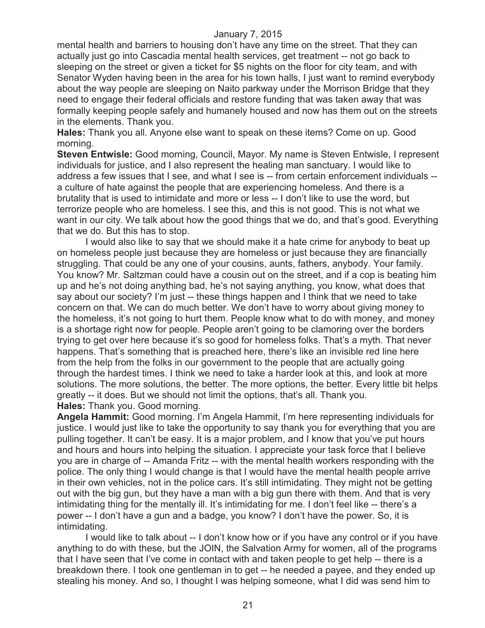mental health and barriers to housing don't have any time on the street. That they can actually just go into Cascadia mental health services, get treatment -- not go back to sleeping on the street or given a ticket for \$5 nights on the floor for city team, and with Senator Wyden having been in the area for his town halls, I just want to remind everybody about the way people are sleeping on Naito parkway under the Morrison Bridge that they need to engage their federal officials and restore funding that was taken away that was formally keeping people safely and humanely housed and now has them out on the streets in the elements. Thank you.

**Hales:** Thank you all. Anyone else want to speak on these items? Come on up. Good morning.

**Steven Entwisle:** Good morning, Council, Mayor. My name is Steven Entwisle, I represent individuals for justice, and I also represent the healing man sanctuary. I would like to address a few issues that I see, and what I see is -- from certain enforcement individuals - a culture of hate against the people that are experiencing homeless. And there is a brutality that is used to intimidate and more or less -- I don't like to use the word, but terrorize people who are homeless. I see this, and this is not good. This is not what we want in our city. We talk about how the good things that we do, and that's good. Everything that we do. But this has to stop.

I would also like to say that we should make it a hate crime for anybody to beat up on homeless people just because they are homeless or just because they are financially struggling. That could be any one of your cousins, aunts, fathers, anybody. Your family. You know? Mr. Saltzman could have a cousin out on the street, and if a cop is beating him up and he's not doing anything bad, he's not saying anything, you know, what does that say about our society? I'm just -- these things happen and I think that we need to take concern on that. We can do much better. We don't have to worry about giving money to the homeless, it's not going to hurt them. People know what to do with money, and money is a shortage right now for people. People aren't going to be clamoring over the borders trying to get over here because it's so good for homeless folks. That's a myth. That never happens. That's something that is preached here, there's like an invisible red line here from the help from the folks in our government to the people that are actually going through the hardest times. I think we need to take a harder look at this, and look at more solutions. The more solutions, the better. The more options, the better. Every little bit helps greatly -- it does. But we should not limit the options, that's all. Thank you. **Hales:** Thank you. Good morning.

**Angela Hammit:** Good morning. I'm Angela Hammit, I'm here representing individuals for justice. I would just like to take the opportunity to say thank you for everything that you are pulling together. It can't be easy. It is a major problem, and I know that you've put hours and hours and hours into helping the situation. I appreciate your task force that I believe you are in charge of -- Amanda Fritz -- with the mental health workers responding with the police. The only thing I would change is that I would have the mental health people arrive in their own vehicles, not in the police cars. It's still intimidating. They might not be getting out with the big gun, but they have a man with a big gun there with them. And that is very intimidating thing for the mentally ill. It's intimidating for me. I don't feel like -- there's a power -- I don't have a gun and a badge, you know? I don't have the power. So, it is intimidating.

I would like to talk about -- I don't know how or if you have any control or if you have anything to do with these, but the JOIN, the Salvation Army for women, all of the programs that I have seen that I've come in contact with and taken people to get help -- there is a breakdown there. I took one gentleman in to get -- he needed a payee, and they ended up stealing his money. And so, I thought I was helping someone, what I did was send him to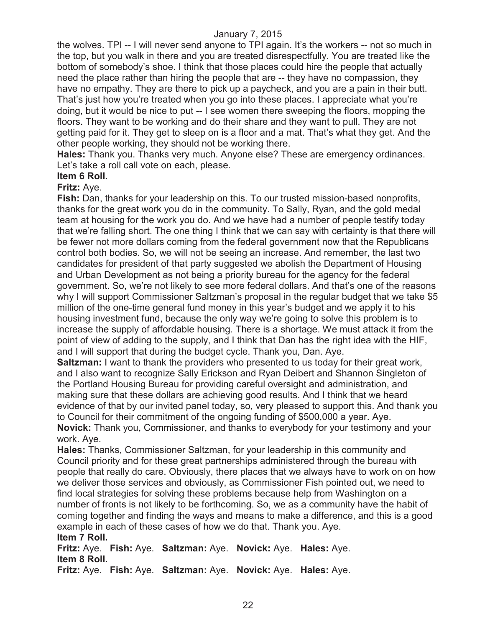the wolves. TPI -- I will never send anyone to TPI again. It's the workers -- not so much in the top, but you walk in there and you are treated disrespectfully. You are treated like the bottom of somebody's shoe. I think that those places could hire the people that actually need the place rather than hiring the people that are -- they have no compassion, they have no empathy. They are there to pick up a paycheck, and you are a pain in their butt. That's just how you're treated when you go into these places. I appreciate what you're doing, but it would be nice to put -- I see women there sweeping the floors, mopping the floors. They want to be working and do their share and they want to pull. They are not getting paid for it. They get to sleep on is a floor and a mat. That's what they get. And the other people working, they should not be working there.

**Hales:** Thank you. Thanks very much. Anyone else? These are emergency ordinances. Let's take a roll call vote on each, please.

## **Item 6 Roll.**

#### **Fritz:** Aye.

**Fish:** Dan, thanks for your leadership on this. To our trusted mission-based nonprofits, thanks for the great work you do in the community. To Sally, Ryan, and the gold medal team at housing for the work you do. And we have had a number of people testify today that we're falling short. The one thing I think that we can say with certainty is that there will be fewer not more dollars coming from the federal government now that the Republicans control both bodies. So, we will not be seeing an increase. And remember, the last two candidates for president of that party suggested we abolish the Department of Housing and Urban Development as not being a priority bureau for the agency for the federal government. So, we're not likely to see more federal dollars. And that's one of the reasons why I will support Commissioner Saltzman's proposal in the regular budget that we take \$5 million of the one-time general fund money in this year's budget and we apply it to his housing investment fund, because the only way we're going to solve this problem is to increase the supply of affordable housing. There is a shortage. We must attack it from the point of view of adding to the supply, and I think that Dan has the right idea with the HIF, and I will support that during the budget cycle. Thank you, Dan. Aye.

**Saltzman:** I want to thank the providers who presented to us today for their great work, and I also want to recognize Sally Erickson and Ryan Deibert and Shannon Singleton of the Portland Housing Bureau for providing careful oversight and administration, and making sure that these dollars are achieving good results. And I think that we heard evidence of that by our invited panel today, so, very pleased to support this. And thank you to Council for their commitment of the ongoing funding of \$500,000 a year. Aye. **Novick:** Thank you, Commissioner, and thanks to everybody for your testimony and your work. Aye.

**Hales:** Thanks, Commissioner Saltzman, for your leadership in this community and Council priority and for these great partnerships administered through the bureau with people that really do care. Obviously, there places that we always have to work on on how we deliver those services and obviously, as Commissioner Fish pointed out, we need to find local strategies for solving these problems because help from Washington on a number of fronts is not likely to be forthcoming. So, we as a community have the habit of coming together and finding the ways and means to make a difference, and this is a good example in each of these cases of how we do that. Thank you. Aye. **Item 7 Roll.**

**Fritz:** Aye. **Fish:** Aye. **Saltzman:** Aye. **Novick:** Aye. **Hales:** Aye. **Item 8 Roll. Fritz:** Aye. **Fish:** Aye. **Saltzman:** Aye. **Novick:** Aye. **Hales:** Aye.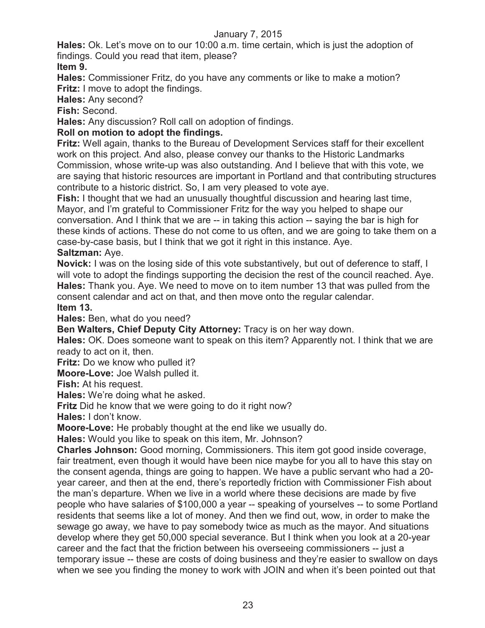**Hales:** Ok. Let's move on to our 10:00 a.m. time certain, which is just the adoption of findings. Could you read that item, please?

**Item 9.**

**Hales:** Commissioner Fritz, do you have any comments or like to make a motion? **Fritz:** I move to adopt the findings.

**Hales:** Any second?

**Fish:** Second.

**Hales:** Any discussion? Roll call on adoption of findings.

## **Roll on motion to adopt the findings.**

**Fritz:** Well again, thanks to the Bureau of Development Services staff for their excellent work on this project. And also, please convey our thanks to the Historic Landmarks Commission, whose write-up was also outstanding. And I believe that with this vote, we are saying that historic resources are important in Portland and that contributing structures contribute to a historic district. So, I am very pleased to vote aye.

**Fish:** I thought that we had an unusually thoughtful discussion and hearing last time, Mayor, and I'm grateful to Commissioner Fritz for the way you helped to shape our conversation. And I think that we are -- in taking this action -- saying the bar is high for these kinds of actions. These do not come to us often, and we are going to take them on a case-by-case basis, but I think that we got it right in this instance. Aye.

## **Saltzman:** Aye.

**Novick:** I was on the losing side of this vote substantively, but out of deference to staff, I will vote to adopt the findings supporting the decision the rest of the council reached. Aye. **Hales:** Thank you. Aye. We need to move on to item number 13 that was pulled from the consent calendar and act on that, and then move onto the regular calendar.

**Item 13.**

**Hales:** Ben, what do you need?

**Ben Walters, Chief Deputy City Attorney:** Tracy is on her way down.

**Hales:** OK. Does someone want to speak on this item? Apparently not. I think that we are ready to act on it, then.

**Fritz:** Do we know who pulled it?

**Moore-Love:** Joe Walsh pulled it.

**Fish:** At his request.

**Hales:** We're doing what he asked.

**Fritz** Did he know that we were going to do it right now?

**Hales:** I don't know.

**Moore-Love:** He probably thought at the end like we usually do.

**Hales:** Would you like to speak on this item, Mr. Johnson?

**Charles Johnson:** Good morning, Commissioners. This item got good inside coverage, fair treatment, even though it would have been nice maybe for you all to have this stay on the consent agenda, things are going to happen. We have a public servant who had a 20 year career, and then at the end, there's reportedly friction with Commissioner Fish about the man's departure. When we live in a world where these decisions are made by five people who have salaries of \$100,000 a year -- speaking of yourselves -- to some Portland residents that seems like a lot of money. And then we find out, wow, in order to make the sewage go away, we have to pay somebody twice as much as the mayor. And situations develop where they get 50,000 special severance. But I think when you look at a 20-year career and the fact that the friction between his overseeing commissioners -- just a temporary issue -- these are costs of doing business and they're easier to swallow on days when we see you finding the money to work with JOIN and when it's been pointed out that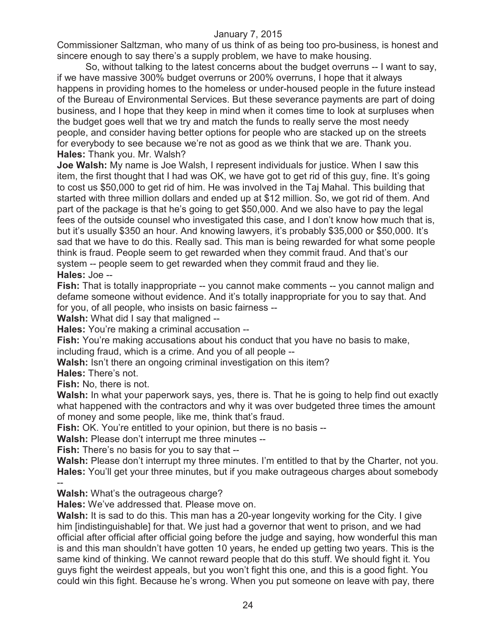Commissioner Saltzman, who many of us think of as being too pro-business, is honest and sincere enough to say there's a supply problem, we have to make housing.

So, without talking to the latest concerns about the budget overruns -- I want to say, if we have massive 300% budget overruns or 200% overruns, I hope that it always happens in providing homes to the homeless or under-housed people in the future instead of the Bureau of Environmental Services. But these severance payments are part of doing business, and I hope that they keep in mind when it comes time to look at surpluses when the budget goes well that we try and match the funds to really serve the most needy people, and consider having better options for people who are stacked up on the streets for everybody to see because we're not as good as we think that we are. Thank you. **Hales:** Thank you. Mr. Walsh?

**Joe Walsh:** My name is Joe Walsh, I represent individuals for justice. When I saw this item, the first thought that I had was OK, we have got to get rid of this guy, fine. It's going to cost us \$50,000 to get rid of him. He was involved in the Taj Mahal. This building that started with three million dollars and ended up at \$12 million. So, we got rid of them. And part of the package is that he's going to get \$50,000. And we also have to pay the legal fees of the outside counsel who investigated this case, and I don't know how much that is, but it's usually \$350 an hour. And knowing lawyers, it's probably \$35,000 or \$50,000. It's sad that we have to do this. Really sad. This man is being rewarded for what some people think is fraud. People seem to get rewarded when they commit fraud. And that's our system -- people seem to get rewarded when they commit fraud and they lie. **Hales:** Joe --

**Fish:** That is totally inappropriate -- you cannot make comments -- you cannot malign and defame someone without evidence. And it's totally inappropriate for you to say that. And for you, of all people, who insists on basic fairness --

**Walsh:** What did I say that maligned --

**Hales:** You're making a criminal accusation --

**Fish:** You're making accusations about his conduct that you have no basis to make, including fraud, which is a crime. And you of all people --

**Walsh:** Isn't there an ongoing criminal investigation on this item?

**Hales:** There's not.

--

**Fish:** No, there is not.

**Walsh:** In what your paperwork says, yes, there is. That he is going to help find out exactly what happened with the contractors and why it was over budgeted three times the amount of money and some people, like me, think that's fraud.

**Fish:** OK. You're entitled to your opinion, but there is no basis --

**Walsh:** Please don't interrupt me three minutes --

**Fish:** There's no basis for you to say that --

Walsh: Please don't interrupt my three minutes. I'm entitled to that by the Charter, not you. **Hales:** You'll get your three minutes, but if you make outrageous charges about somebody

**Walsh:** What's the outrageous charge?

**Hales:** We've addressed that. Please move on.

**Walsh:** It is sad to do this. This man has a 20-year longevity working for the City. I give him [indistinguishable] for that. We just had a governor that went to prison, and we had official after official after official going before the judge and saying, how wonderful this man is and this man shouldn't have gotten 10 years, he ended up getting two years. This is the same kind of thinking. We cannot reward people that do this stuff. We should fight it. You guys fight the weirdest appeals, but you won't fight this one, and this is a good fight. You could win this fight. Because he's wrong. When you put someone on leave with pay, there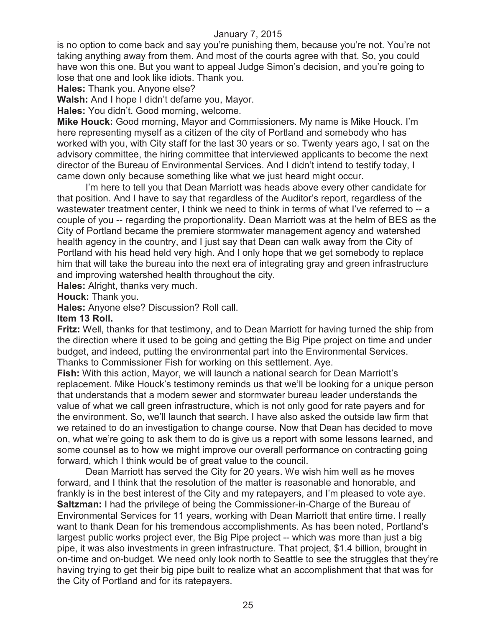is no option to come back and say you're punishing them, because you're not. You're not taking anything away from them. And most of the courts agree with that. So, you could have won this one. But you want to appeal Judge Simon's decision, and you're going to lose that one and look like idiots. Thank you.

**Hales:** Thank you. Anyone else?

**Walsh:** And I hope I didn't defame you, Mayor.

**Hales:** You didn't. Good morning, welcome.

**Mike Houck:** Good morning, Mayor and Commissioners. My name is Mike Houck. I'm here representing myself as a citizen of the city of Portland and somebody who has worked with you, with City staff for the last 30 years or so. Twenty years ago, I sat on the advisory committee, the hiring committee that interviewed applicants to become the next director of the Bureau of Environmental Services. And I didn't intend to testify today, I came down only because something like what we just heard might occur.

I'm here to tell you that Dean Marriott was heads above every other candidate for that position. And I have to say that regardless of the Auditor's report, regardless of the wastewater treatment center, I think we need to think in terms of what I've referred to -- a couple of you -- regarding the proportionality. Dean Marriott was at the helm of BES as the City of Portland became the premiere stormwater management agency and watershed health agency in the country, and I just say that Dean can walk away from the City of Portland with his head held very high. And I only hope that we get somebody to replace him that will take the bureau into the next era of integrating gray and green infrastructure and improving watershed health throughout the city.

**Hales:** Alright, thanks very much.

**Houck:** Thank you.

**Hales:** Anyone else? Discussion? Roll call.

#### **Item 13 Roll.**

**Fritz:** Well, thanks for that testimony, and to Dean Marriott for having turned the ship from the direction where it used to be going and getting the Big Pipe project on time and under budget, and indeed, putting the environmental part into the Environmental Services. Thanks to Commissioner Fish for working on this settlement. Aye.

**Fish:** With this action, Mayor, we will launch a national search for Dean Marriott's replacement. Mike Houck's testimony reminds us that we'll be looking for a unique person that understands that a modern sewer and stormwater bureau leader understands the value of what we call green infrastructure, which is not only good for rate payers and for the environment. So, we'll launch that search. I have also asked the outside law firm that we retained to do an investigation to change course. Now that Dean has decided to move on, what we're going to ask them to do is give us a report with some lessons learned, and some counsel as to how we might improve our overall performance on contracting going forward, which I think would be of great value to the council.

Dean Marriott has served the City for 20 years. We wish him well as he moves forward, and I think that the resolution of the matter is reasonable and honorable, and frankly is in the best interest of the City and my ratepayers, and I'm pleased to vote aye. **Saltzman:** I had the privilege of being the Commissioner-in-Charge of the Bureau of Environmental Services for 11 years, working with Dean Marriott that entire time. I really want to thank Dean for his tremendous accomplishments. As has been noted, Portland's largest public works project ever, the Big Pipe project -- which was more than just a big pipe, it was also investments in green infrastructure. That project, \$1.4 billion, brought in on-time and on-budget. We need only look north to Seattle to see the struggles that they're having trying to get their big pipe built to realize what an accomplishment that that was for the City of Portland and for its ratepayers.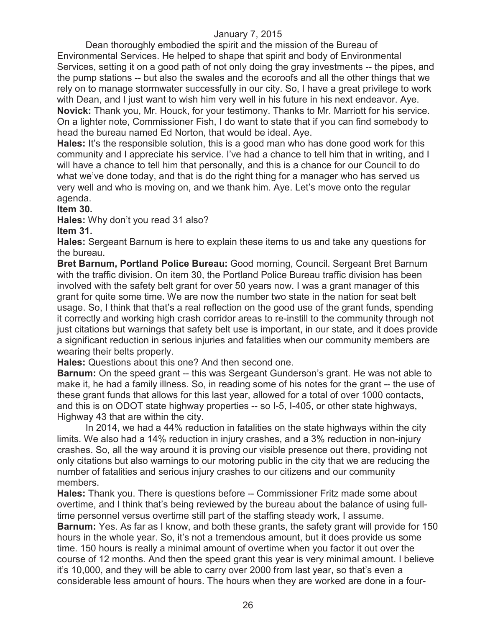Dean thoroughly embodied the spirit and the mission of the Bureau of Environmental Services. He helped to shape that spirit and body of Environmental Services, setting it on a good path of not only doing the gray investments -- the pipes, and the pump stations -- but also the swales and the ecoroofs and all the other things that we rely on to manage stormwater successfully in our city. So, I have a great privilege to work with Dean, and I just want to wish him very well in his future in his next endeavor. Aye. **Novick:** Thank you, Mr. Houck, for your testimony. Thanks to Mr. Marriott for his service. On a lighter note, Commissioner Fish, I do want to state that if you can find somebody to head the bureau named Ed Norton, that would be ideal. Aye.

**Hales:** It's the responsible solution, this is a good man who has done good work for this community and I appreciate his service. I've had a chance to tell him that in writing, and I will have a chance to tell him that personally, and this is a chance for our Council to do what we've done today, and that is do the right thing for a manager who has served us very well and who is moving on, and we thank him. Aye. Let's move onto the regular agenda.

#### **Item 30.**

**Hales:** Why don't you read 31 also?

**Item 31.**

**Hales:** Sergeant Barnum is here to explain these items to us and take any questions for the bureau.

**Bret Barnum, Portland Police Bureau:** Good morning, Council. Sergeant Bret Barnum with the traffic division. On item 30, the Portland Police Bureau traffic division has been involved with the safety belt grant for over 50 years now. I was a grant manager of this grant for quite some time. We are now the number two state in the nation for seat belt usage. So, I think that that's a real reflection on the good use of the grant funds, spending it correctly and working high crash corridor areas to re-instill to the community through not just citations but warnings that safety belt use is important, in our state, and it does provide a significant reduction in serious injuries and fatalities when our community members are wearing their belts properly.

**Hales:** Questions about this one? And then second one.

**Barnum:** On the speed grant -- this was Sergeant Gunderson's grant. He was not able to make it, he had a family illness. So, in reading some of his notes for the grant -- the use of these grant funds that allows for this last year, allowed for a total of over 1000 contacts, and this is on ODOT state highway properties -- so I-5, I-405, or other state highways, Highway 43 that are within the city.

In 2014, we had a 44% reduction in fatalities on the state highways within the city limits. We also had a 14% reduction in injury crashes, and a 3% reduction in non-injury crashes. So, all the way around it is proving our visible presence out there, providing not only citations but also warnings to our motoring public in the city that we are reducing the number of fatalities and serious injury crashes to our citizens and our community members.

**Hales:** Thank you. There is questions before -- Commissioner Fritz made some about overtime, and I think that's being reviewed by the bureau about the balance of using fulltime personnel versus overtime still part of the staffing steady work, I assume.

**Barnum:** Yes. As far as I know, and both these grants, the safety grant will provide for 150 hours in the whole year. So, it's not a tremendous amount, but it does provide us some time. 150 hours is really a minimal amount of overtime when you factor it out over the course of 12 months. And then the speed grant this year is very minimal amount. I believe it's 10,000, and they will be able to carry over 2000 from last year, so that's even a considerable less amount of hours. The hours when they are worked are done in a four-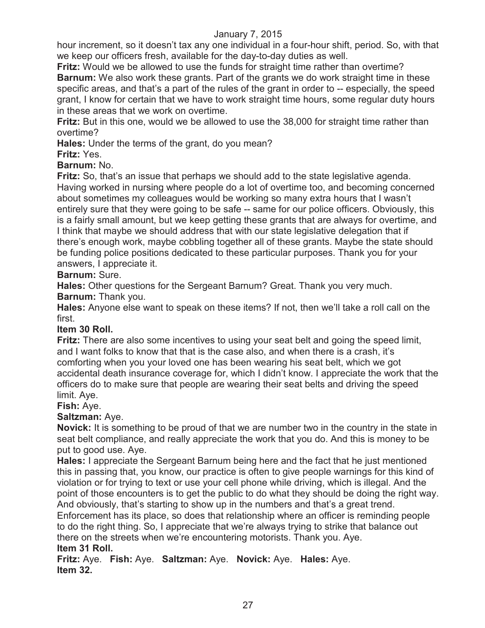hour increment, so it doesn't tax any one individual in a four-hour shift, period. So, with that we keep our officers fresh, available for the day-to-day duties as well.

**Fritz:** Would we be allowed to use the funds for straight time rather than overtime? **Barnum:** We also work these grants. Part of the grants we do work straight time in these specific areas, and that's a part of the rules of the grant in order to -- especially, the speed grant, I know for certain that we have to work straight time hours, some regular duty hours in these areas that we work on overtime.

**Fritz:** But in this one, would we be allowed to use the 38,000 for straight time rather than overtime?

**Hales:** Under the terms of the grant, do you mean?

## **Fritz:** Yes.

## **Barnum:** No.

**Fritz:** So, that's an issue that perhaps we should add to the state legislative agenda. Having worked in nursing where people do a lot of overtime too, and becoming concerned about sometimes my colleagues would be working so many extra hours that I wasn't entirely sure that they were going to be safe -- same for our police officers. Obviously, this is a fairly small amount, but we keep getting these grants that are always for overtime, and I think that maybe we should address that with our state legislative delegation that if there's enough work, maybe cobbling together all of these grants. Maybe the state should be funding police positions dedicated to these particular purposes. Thank you for your answers, I appreciate it.

## **Barnum:** Sure.

**Hales:** Other questions for the Sergeant Barnum? Great. Thank you very much. **Barnum:** Thank you.

**Hales:** Anyone else want to speak on these items? If not, then we'll take a roll call on the first.

## **Item 30 Roll.**

**Fritz:** There are also some incentives to using your seat belt and going the speed limit, and I want folks to know that that is the case also, and when there is a crash, it's comforting when you your loved one has been wearing his seat belt, which we got accidental death insurance coverage for, which I didn't know. I appreciate the work that the officers do to make sure that people are wearing their seat belts and driving the speed limit. Aye.

**Fish:** Aye.

## **Saltzman:** Aye.

**Novick:** It is something to be proud of that we are number two in the country in the state in seat belt compliance, and really appreciate the work that you do. And this is money to be put to good use. Aye.

**Hales:** I appreciate the Sergeant Barnum being here and the fact that he just mentioned this in passing that, you know, our practice is often to give people warnings for this kind of violation or for trying to text or use your cell phone while driving, which is illegal. And the point of those encounters is to get the public to do what they should be doing the right way. And obviously, that's starting to show up in the numbers and that's a great trend.

Enforcement has its place, so does that relationship where an officer is reminding people to do the right thing. So, I appreciate that we're always trying to strike that balance out there on the streets when we're encountering motorists. Thank you. Aye.

## **Item 31 Roll.**

**Fritz:** Aye. **Fish:** Aye. **Saltzman:** Aye. **Novick:** Aye. **Hales:** Aye. **Item 32.**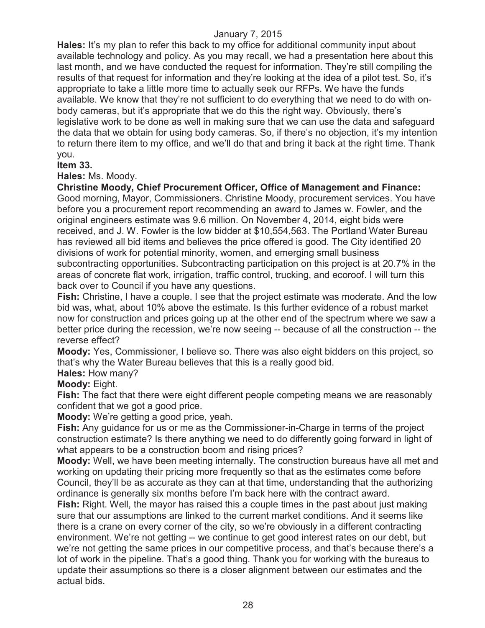**Hales:** It's my plan to refer this back to my office for additional community input about available technology and policy. As you may recall, we had a presentation here about this last month, and we have conducted the request for information. They're still compiling the results of that request for information and they're looking at the idea of a pilot test. So, it's appropriate to take a little more time to actually seek our RFPs. We have the funds available. We know that they're not sufficient to do everything that we need to do with onbody cameras, but it's appropriate that we do this the right way. Obviously, there's legislative work to be done as well in making sure that we can use the data and safeguard the data that we obtain for using body cameras. So, if there's no objection, it's my intention to return there item to my office, and we'll do that and bring it back at the right time. Thank you.

## **Item 33.**

**Hales:** Ms. Moody.

**Christine Moody, Chief Procurement Officer, Office of Management and Finance:**  Good morning, Mayor, Commissioners. Christine Moody, procurement services. You have before you a procurement report recommending an award to James w. Fowler, and the original engineers estimate was 9.6 million. On November 4, 2014, eight bids were received, and J. W. Fowler is the low bidder at \$10,554,563. The Portland Water Bureau has reviewed all bid items and believes the price offered is good. The City identified 20 divisions of work for potential minority, women, and emerging small business subcontracting opportunities. Subcontracting participation on this project is at 20.7% in the areas of concrete flat work, irrigation, traffic control, trucking, and ecoroof. I will turn this back over to Council if you have any questions.

**Fish:** Christine, I have a couple. I see that the project estimate was moderate. And the low bid was, what, about 10% above the estimate. Is this further evidence of a robust market now for construction and prices going up at the other end of the spectrum where we saw a better price during the recession, we're now seeing -- because of all the construction -- the reverse effect?

**Moody:** Yes, Commissioner, I believe so. There was also eight bidders on this project, so that's why the Water Bureau believes that this is a really good bid.

**Hales:** How many?

**Moody:** Eight.

**Fish:** The fact that there were eight different people competing means we are reasonably confident that we got a good price.

**Moody:** We're getting a good price, yeah.

**Fish:** Any guidance for us or me as the Commissioner-in-Charge in terms of the project construction estimate? Is there anything we need to do differently going forward in light of what appears to be a construction boom and rising prices?

**Moody:** Well, we have been meeting internally. The construction bureaus have all met and working on updating their pricing more frequently so that as the estimates come before Council, they'll be as accurate as they can at that time, understanding that the authorizing ordinance is generally six months before I'm back here with the contract award.

**Fish:** Right. Well, the mayor has raised this a couple times in the past about just making sure that our assumptions are linked to the current market conditions. And it seems like there is a crane on every corner of the city, so we're obviously in a different contracting environment. We're not getting -- we continue to get good interest rates on our debt, but we're not getting the same prices in our competitive process, and that's because there's a lot of work in the pipeline. That's a good thing. Thank you for working with the bureaus to update their assumptions so there is a closer alignment between our estimates and the actual bids.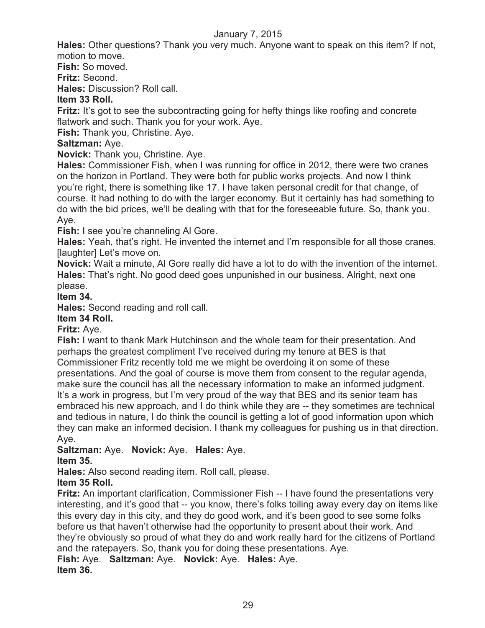**Hales:** Other questions? Thank you very much. Anyone want to speak on this item? If not, motion to move.

**Fish:** So moved.

**Fritz:** Second.

**Hales:** Discussion? Roll call.

## **Item 33 Roll.**

**Fritz:** It's got to see the subcontracting going for hefty things like roofing and concrete flatwork and such. Thank you for your work. Aye.

**Fish:** Thank you, Christine. Aye.

## **Saltzman:** Aye.

**Novick:** Thank you, Christine. Aye.

**Hales:** Commissioner Fish, when I was running for office in 2012, there were two cranes on the horizon in Portland. They were both for public works projects. And now I think you're right, there is something like 17. I have taken personal credit for that change, of course. It had nothing to do with the larger economy. But it certainly has had something to do with the bid prices, we'll be dealing with that for the foreseeable future. So, thank you. Aye.

**Fish:** I see you're channeling AI Gore.

**Hales:** Yeah, that's right. He invented the internet and I'm responsible for all those cranes. [laughter] Let's move on.

**Novick:** Wait a minute, Al Gore really did have a lot to do with the invention of the internet. **Hales:** That's right. No good deed goes unpunished in our business. Alright, next one please.

**Item 34.**

**Hales:** Second reading and roll call.

## **Item 34 Roll.**

**Fritz:** Aye.

**Fish:** I want to thank Mark Hutchinson and the whole team for their presentation. And perhaps the greatest compliment I've received during my tenure at BES is that Commissioner Fritz recently told me we might be overdoing it on some of these presentations. And the goal of course is move them from consent to the regular agenda, make sure the council has all the necessary information to make an informed judgment. It's a work in progress, but I'm very proud of the way that BES and its senior team has embraced his new approach, and I do think while they are -- they sometimes are technical and tedious in nature, I do think the council is getting a lot of good information upon which they can make an informed decision. I thank my colleagues for pushing us in that direction. Aye.

#### **Saltzman:** Aye. **Novick:** Aye. **Hales:** Aye. **Item 35.**

**Hales:** Also second reading item. Roll call, please.

## **Item 35 Roll.**

**Fritz:** An important clarification, Commissioner Fish -- I have found the presentations very interesting, and it's good that -- you know, there's folks toiling away every day on items like this every day in this city, and they do good work, and it's been good to see some folks before us that haven't otherwise had the opportunity to present about their work. And they're obviously so proud of what they do and work really hard for the citizens of Portland and the ratepayers. So, thank you for doing these presentations. Aye. **Fish:** Aye. **Saltzman:** Aye. **Novick:** Aye. **Hales:** Aye. **Item 36.**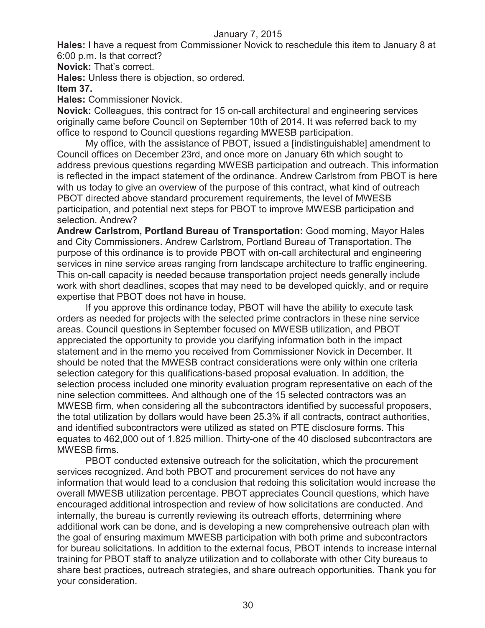**Hales:** I have a request from Commissioner Novick to reschedule this item to January 8 at 6:00 p.m. Is that correct?

**Novick:** That's correct.

**Hales:** Unless there is objection, so ordered.

## **Item 37.**

**Hales:** Commissioner Novick.

**Novick:** Colleagues, this contract for 15 on-call architectural and engineering services originally came before Council on September 10th of 2014. It was referred back to my office to respond to Council questions regarding MWESB participation.

My office, with the assistance of PBOT, issued a [indistinguishable] amendment to Council offices on December 23rd, and once more on January 6th which sought to address previous questions regarding MWESB participation and outreach. This information is reflected in the impact statement of the ordinance. Andrew Carlstrom from PBOT is here with us today to give an overview of the purpose of this contract, what kind of outreach PBOT directed above standard procurement requirements, the level of MWESB participation, and potential next steps for PBOT to improve MWESB participation and selection. Andrew?

**Andrew Carlstrom, Portland Bureau of Transportation:** Good morning, Mayor Hales and City Commissioners. Andrew Carlstrom, Portland Bureau of Transportation. The purpose of this ordinance is to provide PBOT with on-call architectural and engineering services in nine service areas ranging from landscape architecture to traffic engineering. This on-call capacity is needed because transportation project needs generally include work with short deadlines, scopes that may need to be developed quickly, and or require expertise that PBOT does not have in house.

If you approve this ordinance today, PBOT will have the ability to execute task orders as needed for projects with the selected prime contractors in these nine service areas. Council questions in September focused on MWESB utilization, and PBOT appreciated the opportunity to provide you clarifying information both in the impact statement and in the memo you received from Commissioner Novick in December. It should be noted that the MWESB contract considerations were only within one criteria selection category for this qualifications-based proposal evaluation. In addition, the selection process included one minority evaluation program representative on each of the nine selection committees. And although one of the 15 selected contractors was an MWESB firm, when considering all the subcontractors identified by successful proposers, the total utilization by dollars would have been 25.3% if all contracts, contract authorities, and identified subcontractors were utilized as stated on PTE disclosure forms. This equates to 462,000 out of 1.825 million. Thirty-one of the 40 disclosed subcontractors are MWESB firms.

PBOT conducted extensive outreach for the solicitation, which the procurement services recognized. And both PBOT and procurement services do not have any information that would lead to a conclusion that redoing this solicitation would increase the overall MWESB utilization percentage. PBOT appreciates Council questions, which have encouraged additional introspection and review of how solicitations are conducted. And internally, the bureau is currently reviewing its outreach efforts, determining where additional work can be done, and is developing a new comprehensive outreach plan with the goal of ensuring maximum MWESB participation with both prime and subcontractors for bureau solicitations. In addition to the external focus, PBOT intends to increase internal training for PBOT staff to analyze utilization and to collaborate with other City bureaus to share best practices, outreach strategies, and share outreach opportunities. Thank you for your consideration.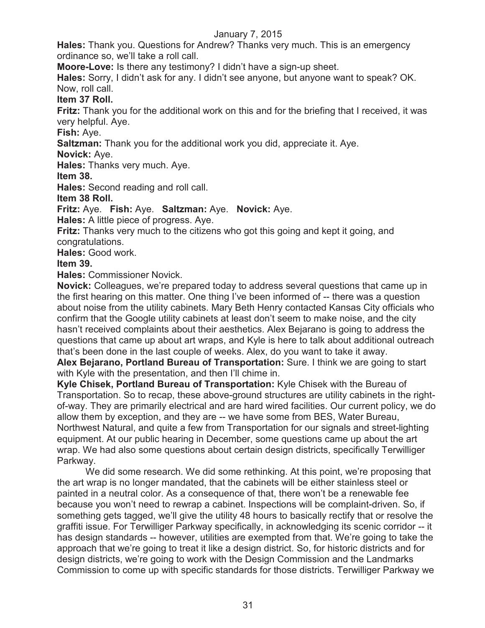**Hales:** Thank you. Questions for Andrew? Thanks very much. This is an emergency ordinance so, we'll take a roll call.

**Moore-Love:** Is there any testimony? I didn't have a sign-up sheet.

**Hales:** Sorry, I didn't ask for any. I didn't see anyone, but anyone want to speak? OK. Now, roll call.

**Item 37 Roll.**

**Fritz:** Thank you for the additional work on this and for the briefing that I received, it was very helpful. Aye.

**Fish:** Aye.

**Saltzman:** Thank you for the additional work you did, appreciate it. Aye.

**Novick:** Aye.

**Hales:** Thanks very much. Aye.

**Item 38.**

**Hales:** Second reading and roll call.

**Item 38 Roll.**

**Fritz:** Aye. **Fish:** Aye. **Saltzman:** Aye. **Novick:** Aye.

**Hales:** A little piece of progress. Aye.

**Fritz:** Thanks very much to the citizens who got this going and kept it going, and congratulations.

**Hales:** Good work.

## **Item 39.**

**Hales:** Commissioner Novick.

**Novick:** Colleagues, we're prepared today to address several questions that came up in the first hearing on this matter. One thing I've been informed of -- there was a question about noise from the utility cabinets. Mary Beth Henry contacted Kansas City officials who confirm that the Google utility cabinets at least don't seem to make noise, and the city hasn't received complaints about their aesthetics. Alex Bejarano is going to address the questions that came up about art wraps, and Kyle is here to talk about additional outreach that's been done in the last couple of weeks. Alex, do you want to take it away.

**Alex Bejarano, Portland Bureau of Transportation:** Sure. I think we are going to start with Kyle with the presentation, and then I'll chime in.

**Kyle Chisek, Portland Bureau of Transportation:** Kyle Chisek with the Bureau of Transportation. So to recap, these above-ground structures are utility cabinets in the rightof-way. They are primarily electrical and are hard wired facilities. Our current policy, we do allow them by exception, and they are -- we have some from BES, Water Bureau, Northwest Natural, and quite a few from Transportation for our signals and street-lighting equipment. At our public hearing in December, some questions came up about the art wrap. We had also some questions about certain design districts, specifically Terwilliger Parkway.

We did some research. We did some rethinking. At this point, we're proposing that the art wrap is no longer mandated, that the cabinets will be either stainless steel or painted in a neutral color. As a consequence of that, there won't be a renewable fee because you won't need to rewrap a cabinet. Inspections will be complaint-driven. So, if something gets tagged, we'll give the utility 48 hours to basically rectify that or resolve the graffiti issue. For Terwilliger Parkway specifically, in acknowledging its scenic corridor -- it has design standards -- however, utilities are exempted from that. We're going to take the approach that we're going to treat it like a design district. So, for historic districts and for design districts, we're going to work with the Design Commission and the Landmarks Commission to come up with specific standards for those districts. Terwilliger Parkway we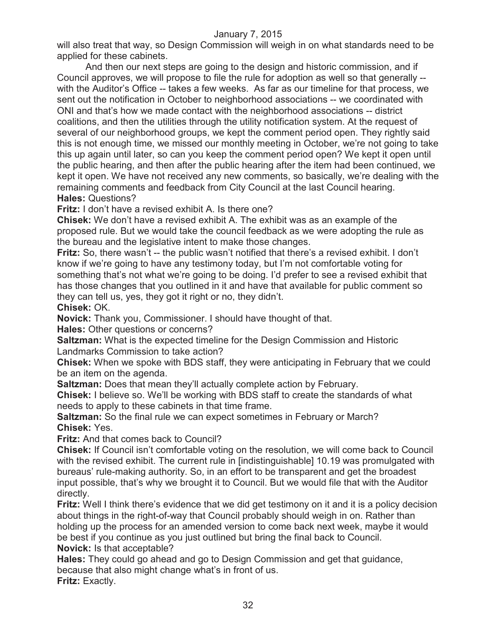will also treat that way, so Design Commission will weigh in on what standards need to be applied for these cabinets.

And then our next steps are going to the design and historic commission, and if Council approves, we will propose to file the rule for adoption as well so that generally - with the Auditor's Office -- takes a few weeks. As far as our timeline for that process, we sent out the notification in October to neighborhood associations -- we coordinated with ONI and that's how we made contact with the neighborhood associations -- district coalitions, and then the utilities through the utility notification system. At the request of several of our neighborhood groups, we kept the comment period open. They rightly said this is not enough time, we missed our monthly meeting in October, we're not going to take this up again until later, so can you keep the comment period open? We kept it open until the public hearing, and then after the public hearing after the item had been continued, we kept it open. We have not received any new comments, so basically, we're dealing with the remaining comments and feedback from City Council at the last Council hearing. **Hales:** Questions?

**Fritz:** I don't have a revised exhibit A. Is there one?

**Chisek:** We don't have a revised exhibit A. The exhibit was as an example of the proposed rule. But we would take the council feedback as we were adopting the rule as the bureau and the legislative intent to make those changes.

**Fritz:** So, there wasn't -- the public wasn't notified that there's a revised exhibit. I don't know if we're going to have any testimony today, but I'm not comfortable voting for something that's not what we're going to be doing. I'd prefer to see a revised exhibit that has those changes that you outlined in it and have that available for public comment so they can tell us, yes, they got it right or no, they didn't.

**Chisek:** OK.

**Novick:** Thank you, Commissioner. I should have thought of that.

**Hales:** Other questions or concerns?

**Saltzman:** What is the expected timeline for the Design Commission and Historic Landmarks Commission to take action?

**Chisek:** When we spoke with BDS staff, they were anticipating in February that we could be an item on the agenda.

**Saltzman:** Does that mean they'll actually complete action by February.

**Chisek:** I believe so. We'll be working with BDS staff to create the standards of what needs to apply to these cabinets in that time frame.

**Saltzman:** So the final rule we can expect sometimes in February or March? **Chisek:** Yes.

**Fritz:** And that comes back to Council?

**Chisek:** If Council isn't comfortable voting on the resolution, we will come back to Council with the revised exhibit. The current rule in [indistinguishable] 10.19 was promulgated with bureaus' rule-making authority. So, in an effort to be transparent and get the broadest input possible, that's why we brought it to Council. But we would file that with the Auditor directly.

**Fritz:** Well I think there's evidence that we did get testimony on it and it is a policy decision about things in the right-of-way that Council probably should weigh in on. Rather than holding up the process for an amended version to come back next week, maybe it would be best if you continue as you just outlined but bring the final back to Council. **Novick:** Is that acceptable?

**Hales:** They could go ahead and go to Design Commission and get that guidance, because that also might change what's in front of us.

**Fritz:** Exactly.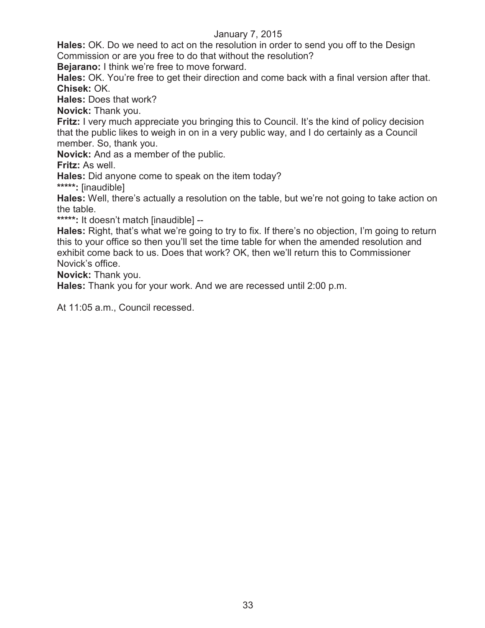**Hales:** OK. Do we need to act on the resolution in order to send you off to the Design Commission or are you free to do that without the resolution?

**Bejarano:** I think we're free to move forward.

**Hales:** OK. You're free to get their direction and come back with a final version after that. **Chisek:** OK.

**Hales:** Does that work?

**Novick:** Thank you.

**Fritz:** I very much appreciate you bringing this to Council. It's the kind of policy decision that the public likes to weigh in on in a very public way, and I do certainly as a Council member. So, thank you.

**Novick:** And as a member of the public.

**Fritz:** As well.

**Hales:** Did anyone come to speak on the item today?

**\*\*\*\*\*:** [inaudible]

**Hales:** Well, there's actually a resolution on the table, but we're not going to take action on the table.

**\*\*\*\*\*:** It doesn't match [inaudible] --

**Hales:** Right, that's what we're going to try to fix. If there's no objection, I'm going to return this to your office so then you'll set the time table for when the amended resolution and exhibit come back to us. Does that work? OK, then we'll return this to Commissioner Novick's office.

**Novick:** Thank you.

**Hales:** Thank you for your work. And we are recessed until 2:00 p.m.

At 11:05 a.m., Council recessed.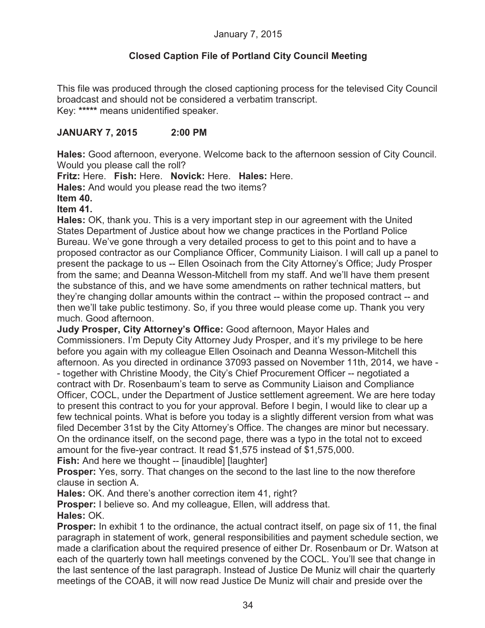## **Closed Caption File of Portland City Council Meeting**

This file was produced through the closed captioning process for the televised City Council broadcast and should not be considered a verbatim transcript. Key: **\*\*\*\*\*** means unidentified speaker.

## **JANUARY 7, 2015 2:00 PM**

**Hales:** Good afternoon, everyone. Welcome back to the afternoon session of City Council. Would you please call the roll?

**Fritz:** Here. **Fish:** Here. **Novick:** Here. **Hales:** Here.

**Hales:** And would you please read the two items?

#### **Item 40.**

#### **Item 41.**

**Hales:** OK, thank you. This is a very important step in our agreement with the United States Department of Justice about how we change practices in the Portland Police Bureau. We've gone through a very detailed process to get to this point and to have a proposed contractor as our Compliance Officer, Community Liaison. I will call up a panel to present the package to us -- Ellen Osoinach from the City Attorney's Office; Judy Prosper from the same; and Deanna Wesson-Mitchell from my staff. And we'll have them present the substance of this, and we have some amendments on rather technical matters, but they're changing dollar amounts within the contract -- within the proposed contract -- and then we'll take public testimony. So, if you three would please come up. Thank you very much. Good afternoon.

**Judy Prosper, City Attorney's Office:** Good afternoon, Mayor Hales and Commissioners. I'm Deputy City Attorney Judy Prosper, and it's my privilege to be here before you again with my colleague Ellen Osoinach and Deanna Wesson-Mitchell this afternoon. As you directed in ordinance 37093 passed on November 11th, 2014, we have - - together with Christine Moody, the City's Chief Procurement Officer -- negotiated a contract with Dr. Rosenbaum's team to serve as Community Liaison and Compliance Officer, COCL, under the Department of Justice settlement agreement. We are here today to present this contract to you for your approval. Before I begin, I would like to clear up a few technical points. What is before you today is a slightly different version from what was filed December 31st by the City Attorney's Office. The changes are minor but necessary. On the ordinance itself, on the second page, there was a typo in the total not to exceed amount for the five-year contract. It read \$1,575 instead of \$1,575,000.

**Fish:** And here we thought -- [inaudible] [laughter]

**Prosper:** Yes, sorry. That changes on the second to the last line to the now therefore clause in section A.

**Hales:** OK. And there's another correction item 41, right?

**Prosper:** I believe so. And my colleague, Ellen, will address that. **Hales:** OK.

**Prosper:** In exhibit 1 to the ordinance, the actual contract itself, on page six of 11, the final paragraph in statement of work, general responsibilities and payment schedule section, we made a clarification about the required presence of either Dr. Rosenbaum or Dr. Watson at each of the quarterly town hall meetings convened by the COCL. You'll see that change in the last sentence of the last paragraph. Instead of Justice De Muniz will chair the quarterly meetings of the COAB, it will now read Justice De Muniz will chair and preside over the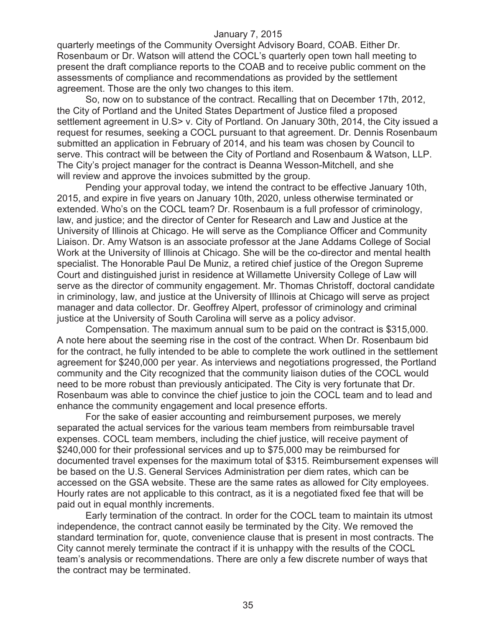quarterly meetings of the Community Oversight Advisory Board, COAB. Either Dr. Rosenbaum or Dr. Watson will attend the COCL's quarterly open town hall meeting to present the draft compliance reports to the COAB and to receive public comment on the assessments of compliance and recommendations as provided by the settlement agreement. Those are the only two changes to this item.

So, now on to substance of the contract. Recalling that on December 17th, 2012, the City of Portland and the United States Department of Justice filed a proposed settlement agreement in U.S> v. City of Portland. On January 30th, 2014, the City issued a request for resumes, seeking a COCL pursuant to that agreement. Dr. Dennis Rosenbaum submitted an application in February of 2014, and his team was chosen by Council to serve. This contract will be between the City of Portland and Rosenbaum & Watson, LLP. The City's project manager for the contract is Deanna Wesson-Mitchell, and she will review and approve the invoices submitted by the group.

Pending your approval today, we intend the contract to be effective January 10th, 2015, and expire in five years on January 10th, 2020, unless otherwise terminated or extended. Who's on the COCL team? Dr. Rosenbaum is a full professor of criminology, law, and justice; and the director of Center for Research and Law and Justice at the University of Illinois at Chicago. He will serve as the Compliance Officer and Community Liaison. Dr. Amy Watson is an associate professor at the Jane Addams College of Social Work at the University of Illinois at Chicago. She will be the co-director and mental health specialist. The Honorable Paul De Muniz, a retired chief justice of the Oregon Supreme Court and distinguished jurist in residence at Willamette University College of Law will serve as the director of community engagement. Mr. Thomas Christoff, doctoral candidate in criminology, law, and justice at the University of Illinois at Chicago will serve as project manager and data collector. Dr. Geoffrey Alpert, professor of criminology and criminal justice at the University of South Carolina will serve as a policy advisor.

Compensation. The maximum annual sum to be paid on the contract is \$315,000. A note here about the seeming rise in the cost of the contract. When Dr. Rosenbaum bid for the contract, he fully intended to be able to complete the work outlined in the settlement agreement for \$240,000 per year. As interviews and negotiations progressed, the Portland community and the City recognized that the community liaison duties of the COCL would need to be more robust than previously anticipated. The City is very fortunate that Dr. Rosenbaum was able to convince the chief justice to join the COCL team and to lead and enhance the community engagement and local presence efforts.

For the sake of easier accounting and reimbursement purposes, we merely separated the actual services for the various team members from reimbursable travel expenses. COCL team members, including the chief justice, will receive payment of \$240,000 for their professional services and up to \$75,000 may be reimbursed for documented travel expenses for the maximum total of \$315. Reimbursement expenses will be based on the U.S. General Services Administration per diem rates, which can be accessed on the GSA website. These are the same rates as allowed for City employees. Hourly rates are not applicable to this contract, as it is a negotiated fixed fee that will be paid out in equal monthly increments.

Early termination of the contract. In order for the COCL team to maintain its utmost independence, the contract cannot easily be terminated by the City. We removed the standard termination for, quote, convenience clause that is present in most contracts. The City cannot merely terminate the contract if it is unhappy with the results of the COCL team's analysis or recommendations. There are only a few discrete number of ways that the contract may be terminated.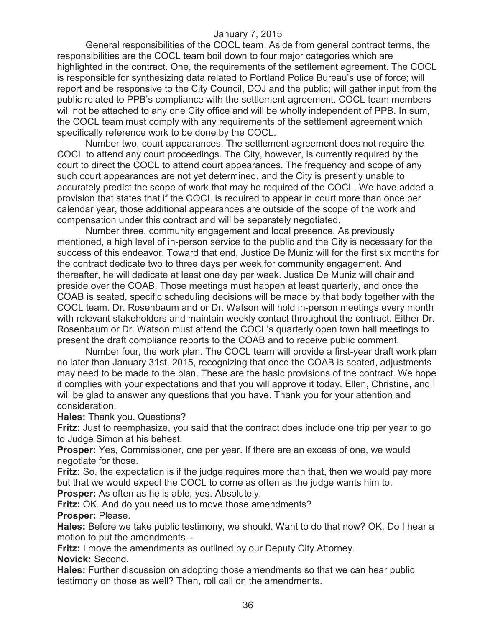General responsibilities of the COCL team. Aside from general contract terms, the responsibilities are the COCL team boil down to four major categories which are highlighted in the contract. One, the requirements of the settlement agreement. The COCL is responsible for synthesizing data related to Portland Police Bureau's use of force; will report and be responsive to the City Council, DOJ and the public; will gather input from the public related to PPB's compliance with the settlement agreement. COCL team members will not be attached to any one City office and will be wholly independent of PPB. In sum, the COCL team must comply with any requirements of the settlement agreement which specifically reference work to be done by the COCL.

Number two, court appearances. The settlement agreement does not require the COCL to attend any court proceedings. The City, however, is currently required by the court to direct the COCL to attend court appearances. The frequency and scope of any such court appearances are not yet determined, and the City is presently unable to accurately predict the scope of work that may be required of the COCL. We have added a provision that states that if the COCL is required to appear in court more than once per calendar year, those additional appearances are outside of the scope of the work and compensation under this contract and will be separately negotiated.

Number three, community engagement and local presence. As previously mentioned, a high level of in-person service to the public and the City is necessary for the success of this endeavor. Toward that end, Justice De Muniz will for the first six months for the contract dedicate two to three days per week for community engagement. And thereafter, he will dedicate at least one day per week. Justice De Muniz will chair and preside over the COAB. Those meetings must happen at least quarterly, and once the COAB is seated, specific scheduling decisions will be made by that body together with the COCL team. Dr. Rosenbaum and or Dr. Watson will hold in-person meetings every month with relevant stakeholders and maintain weekly contact throughout the contract. Either Dr. Rosenbaum or Dr. Watson must attend the COCL's quarterly open town hall meetings to present the draft compliance reports to the COAB and to receive public comment.

Number four, the work plan. The COCL team will provide a first-year draft work plan no later than January 31st, 2015, recognizing that once the COAB is seated, adjustments may need to be made to the plan. These are the basic provisions of the contract. We hope it complies with your expectations and that you will approve it today. Ellen, Christine, and I will be glad to answer any questions that you have. Thank you for your attention and consideration.

**Hales:** Thank you. Questions?

**Fritz:** Just to reemphasize, you said that the contract does include one trip per year to go to Judge Simon at his behest.

**Prosper:** Yes, Commissioner, one per year. If there are an excess of one, we would negotiate for those.

**Fritz:** So, the expectation is if the judge requires more than that, then we would pay more but that we would expect the COCL to come as often as the judge wants him to.

**Prosper:** As often as he is able, yes. Absolutely.

**Fritz:** OK. And do you need us to move those amendments? **Prosper:** Please.

**Hales:** Before we take public testimony, we should. Want to do that now? OK. Do I hear a motion to put the amendments --

**Fritz:** I move the amendments as outlined by our Deputy City Attorney. **Novick:** Second.

**Hales:** Further discussion on adopting those amendments so that we can hear public testimony on those as well? Then, roll call on the amendments.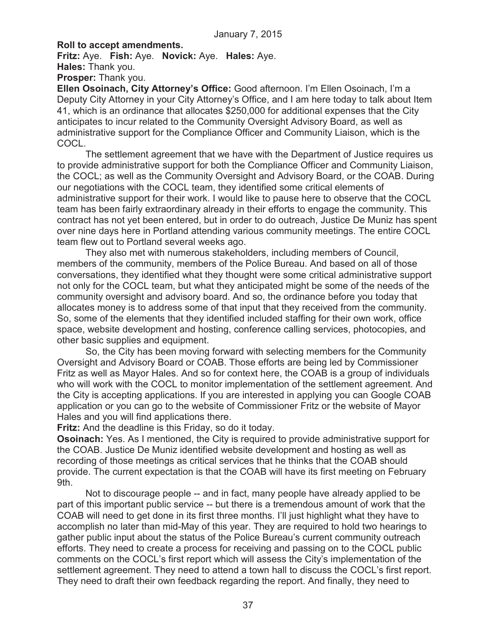#### **Roll to accept amendments.**

**Fritz:** Aye. **Fish:** Aye. **Novick:** Aye. **Hales:** Aye. **Hales:** Thank you.

**Prosper:** Thank you.

**Ellen Osoinach, City Attorney's Office:** Good afternoon. I'm Ellen Osoinach, I'm a Deputy City Attorney in your City Attorney's Office, and I am here today to talk about Item 41, which is an ordinance that allocates \$250,000 for additional expenses that the City anticipates to incur related to the Community Oversight Advisory Board, as well as administrative support for the Compliance Officer and Community Liaison, which is the COCL.

The settlement agreement that we have with the Department of Justice requires us to provide administrative support for both the Compliance Officer and Community Liaison, the COCL; as well as the Community Oversight and Advisory Board, or the COAB. During our negotiations with the COCL team, they identified some critical elements of administrative support for their work. I would like to pause here to observe that the COCL team has been fairly extraordinary already in their efforts to engage the community. This contract has not yet been entered, but in order to do outreach, Justice De Muniz has spent over nine days here in Portland attending various community meetings. The entire COCL team flew out to Portland several weeks ago.

They also met with numerous stakeholders, including members of Council, members of the community, members of the Police Bureau. And based on all of those conversations, they identified what they thought were some critical administrative support not only for the COCL team, but what they anticipated might be some of the needs of the community oversight and advisory board. And so, the ordinance before you today that allocates money is to address some of that input that they received from the community. So, some of the elements that they identified included staffing for their own work, office space, website development and hosting, conference calling services, photocopies, and other basic supplies and equipment.

So, the City has been moving forward with selecting members for the Community Oversight and Advisory Board or COAB. Those efforts are being led by Commissioner Fritz as well as Mayor Hales. And so for context here, the COAB is a group of individuals who will work with the COCL to monitor implementation of the settlement agreement. And the City is accepting applications. If you are interested in applying you can Google COAB application or you can go to the website of Commissioner Fritz or the website of Mayor Hales and you will find applications there.

**Fritz:** And the deadline is this Friday, so do it today.

**Osoinach:** Yes. As I mentioned, the City is required to provide administrative support for the COAB. Justice De Muniz identified website development and hosting as well as recording of those meetings as critical services that he thinks that the COAB should provide. The current expectation is that the COAB will have its first meeting on February 9th.

Not to discourage people -- and in fact, many people have already applied to be part of this important public service -- but there is a tremendous amount of work that the COAB will need to get done in its first three months. I'll just highlight what they have to accomplish no later than mid-May of this year. They are required to hold two hearings to gather public input about the status of the Police Bureau's current community outreach efforts. They need to create a process for receiving and passing on to the COCL public comments on the COCL's first report which will assess the City's implementation of the settlement agreement. They need to attend a town hall to discuss the COCL's first report. They need to draft their own feedback regarding the report. And finally, they need to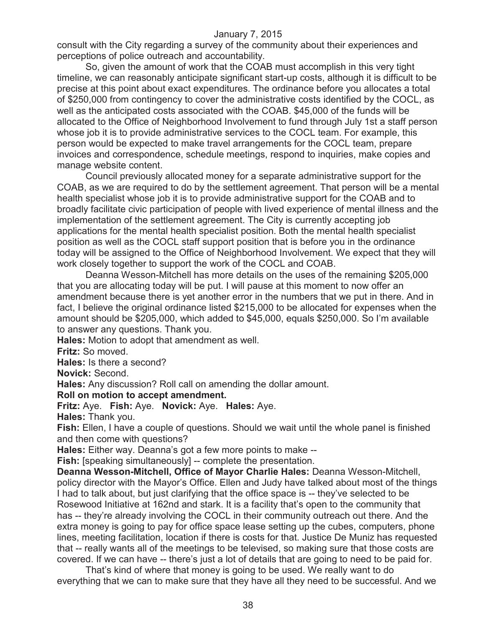consult with the City regarding a survey of the community about their experiences and perceptions of police outreach and accountability.

So, given the amount of work that the COAB must accomplish in this very tight timeline, we can reasonably anticipate significant start-up costs, although it is difficult to be precise at this point about exact expenditures. The ordinance before you allocates a total of \$250,000 from contingency to cover the administrative costs identified by the COCL, as well as the anticipated costs associated with the COAB. \$45,000 of the funds will be allocated to the Office of Neighborhood Involvement to fund through July 1st a staff person whose job it is to provide administrative services to the COCL team. For example, this person would be expected to make travel arrangements for the COCL team, prepare invoices and correspondence, schedule meetings, respond to inquiries, make copies and manage website content.

Council previously allocated money for a separate administrative support for the COAB, as we are required to do by the settlement agreement. That person will be a mental health specialist whose job it is to provide administrative support for the COAB and to broadly facilitate civic participation of people with lived experience of mental illness and the implementation of the settlement agreement. The City is currently accepting job applications for the mental health specialist position. Both the mental health specialist position as well as the COCL staff support position that is before you in the ordinance today will be assigned to the Office of Neighborhood Involvement. We expect that they will work closely together to support the work of the COCL and COAB.

Deanna Wesson-Mitchell has more details on the uses of the remaining \$205,000 that you are allocating today will be put. I will pause at this moment to now offer an amendment because there is yet another error in the numbers that we put in there. And in fact, I believe the original ordinance listed \$215,000 to be allocated for expenses when the amount should be \$205,000, which added to \$45,000, equals \$250,000. So I'm available to answer any questions. Thank you.

**Hales:** Motion to adopt that amendment as well.

**Fritz:** So moved.

**Hales:** Is there a second?

**Novick:** Second.

**Hales:** Any discussion? Roll call on amending the dollar amount.

#### **Roll on motion to accept amendment.**

**Fritz:** Aye. **Fish:** Aye. **Novick:** Aye. **Hales:** Aye.

**Hales:** Thank you.

**Fish:** Ellen, I have a couple of questions. Should we wait until the whole panel is finished and then come with questions?

**Hales:** Either way. Deanna's got a few more points to make --

**Fish:** [speaking simultaneously] -- complete the presentation.

**Deanna Wesson-Mitchell, Office of Mayor Charlie Hales:** Deanna Wesson-Mitchell, policy director with the Mayor's Office. Ellen and Judy have talked about most of the things I had to talk about, but just clarifying that the office space is -- they've selected to be Rosewood Initiative at 162nd and stark. It is a facility that's open to the community that has -- they're already involving the COCL in their community outreach out there. And the extra money is going to pay for office space lease setting up the cubes, computers, phone lines, meeting facilitation, location if there is costs for that. Justice De Muniz has requested that -- really wants all of the meetings to be televised, so making sure that those costs are covered. If we can have -- there's just a lot of details that are going to need to be paid for.

That's kind of where that money is going to be used. We really want to do everything that we can to make sure that they have all they need to be successful. And we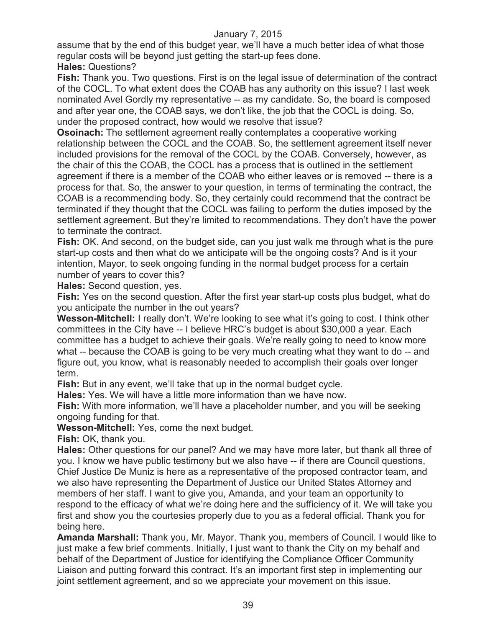assume that by the end of this budget year, we'll have a much better idea of what those regular costs will be beyond just getting the start-up fees done.

**Hales:** Questions?

**Fish:** Thank you. Two questions. First is on the legal issue of determination of the contract of the COCL. To what extent does the COAB has any authority on this issue? I last week nominated Avel Gordly my representative -- as my candidate. So, the board is composed and after year one, the COAB says, we don't like, the job that the COCL is doing. So, under the proposed contract, how would we resolve that issue?

**Osoinach:** The settlement agreement really contemplates a cooperative working relationship between the COCL and the COAB. So, the settlement agreement itself never included provisions for the removal of the COCL by the COAB. Conversely, however, as the chair of this the COAB, the COCL has a process that is outlined in the settlement agreement if there is a member of the COAB who either leaves or is removed -- there is a process for that. So, the answer to your question, in terms of terminating the contract, the COAB is a recommending body. So, they certainly could recommend that the contract be terminated if they thought that the COCL was failing to perform the duties imposed by the settlement agreement. But they're limited to recommendations. They don't have the power to terminate the contract.

**Fish:** OK. And second, on the budget side, can you just walk me through what is the pure start-up costs and then what do we anticipate will be the ongoing costs? And is it your intention, Mayor, to seek ongoing funding in the normal budget process for a certain number of years to cover this?

**Hales:** Second question, yes.

**Fish:** Yes on the second question. After the first year start-up costs plus budget, what do you anticipate the number in the out years?

**Wesson-Mitchell:** I really don't. We're looking to see what it's going to cost. I think other committees in the City have -- I believe HRC's budget is about \$30,000 a year. Each committee has a budget to achieve their goals. We're really going to need to know more what -- because the COAB is going to be very much creating what they want to do -- and figure out, you know, what is reasonably needed to accomplish their goals over longer term.

**Fish:** But in any event, we'll take that up in the normal budget cycle.

**Hales:** Yes. We will have a little more information than we have now.

**Fish:** With more information, we'll have a placeholder number, and you will be seeking ongoing funding for that.

**Wesson-Mitchell:** Yes, come the next budget.

**Fish:** OK, thank you.

**Hales:** Other questions for our panel? And we may have more later, but thank all three of you. I know we have public testimony but we also have -- if there are Council questions, Chief Justice De Muniz is here as a representative of the proposed contractor team, and we also have representing the Department of Justice our United States Attorney and members of her staff. I want to give you, Amanda, and your team an opportunity to respond to the efficacy of what we're doing here and the sufficiency of it. We will take you first and show you the courtesies properly due to you as a federal official. Thank you for being here.

**Amanda Marshall:** Thank you, Mr. Mayor. Thank you, members of Council. I would like to just make a few brief comments. Initially, I just want to thank the City on my behalf and behalf of the Department of Justice for identifying the Compliance Officer Community Liaison and putting forward this contract. It's an important first step in implementing our joint settlement agreement, and so we appreciate your movement on this issue.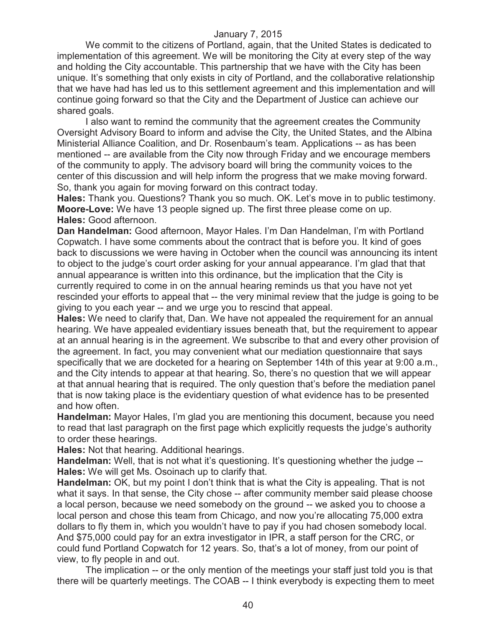We commit to the citizens of Portland, again, that the United States is dedicated to implementation of this agreement. We will be monitoring the City at every step of the way and holding the City accountable. This partnership that we have with the City has been unique. It's something that only exists in city of Portland, and the collaborative relationship that we have had has led us to this settlement agreement and this implementation and will continue going forward so that the City and the Department of Justice can achieve our shared goals.

I also want to remind the community that the agreement creates the Community Oversight Advisory Board to inform and advise the City, the United States, and the Albina Ministerial Alliance Coalition, and Dr. Rosenbaum's team. Applications -- as has been mentioned -- are available from the City now through Friday and we encourage members of the community to apply. The advisory board will bring the community voices to the center of this discussion and will help inform the progress that we make moving forward. So, thank you again for moving forward on this contract today.

**Hales:** Thank you. Questions? Thank you so much. OK. Let's move in to public testimony. **Moore-Love:** We have 13 people signed up. The first three please come on up. **Hales:** Good afternoon.

**Dan Handelman:** Good afternoon, Mayor Hales. I'm Dan Handelman, I'm with Portland Copwatch. I have some comments about the contract that is before you. It kind of goes back to discussions we were having in October when the council was announcing its intent to object to the judge's court order asking for your annual appearance. I'm glad that that annual appearance is written into this ordinance, but the implication that the City is currently required to come in on the annual hearing reminds us that you have not yet rescinded your efforts to appeal that -- the very minimal review that the judge is going to be giving to you each year -- and we urge you to rescind that appeal.

**Hales:** We need to clarify that, Dan. We have not appealed the requirement for an annual hearing. We have appealed evidentiary issues beneath that, but the requirement to appear at an annual hearing is in the agreement. We subscribe to that and every other provision of the agreement. In fact, you may convenient what our mediation questionnaire that says specifically that we are docketed for a hearing on September 14th of this year at 9:00 a.m., and the City intends to appear at that hearing. So, there's no question that we will appear at that annual hearing that is required. The only question that's before the mediation panel that is now taking place is the evidentiary question of what evidence has to be presented and how often.

**Handelman:** Mayor Hales, I'm glad you are mentioning this document, because you need to read that last paragraph on the first page which explicitly requests the judge's authority to order these hearings.

**Hales:** Not that hearing. Additional hearings.

**Handelman:** Well, that is not what it's questioning. It's questioning whether the judge --**Hales:** We will get Ms. Osoinach up to clarify that.

**Handelman:** OK, but my point I don't think that is what the City is appealing. That is not what it says. In that sense, the City chose -- after community member said please choose a local person, because we need somebody on the ground -- we asked you to choose a local person and chose this team from Chicago, and now you're allocating 75,000 extra dollars to fly them in, which you wouldn't have to pay if you had chosen somebody local. And \$75,000 could pay for an extra investigator in IPR, a staff person for the CRC, or could fund Portland Copwatch for 12 years. So, that's a lot of money, from our point of view, to fly people in and out.

The implication -- or the only mention of the meetings your staff just told you is that there will be quarterly meetings. The COAB -- I think everybody is expecting them to meet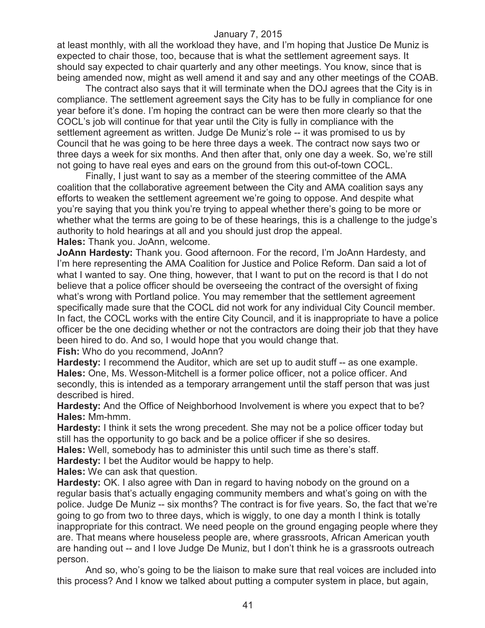at least monthly, with all the workload they have, and I'm hoping that Justice De Muniz is expected to chair those, too, because that is what the settlement agreement says. It should say expected to chair quarterly and any other meetings. You know, since that is being amended now, might as well amend it and say and any other meetings of the COAB.

The contract also says that it will terminate when the DOJ agrees that the City is in compliance. The settlement agreement says the City has to be fully in compliance for one year before it's done. I'm hoping the contract can be were then more clearly so that the COCL's job will continue for that year until the City is fully in compliance with the settlement agreement as written. Judge De Muniz's role -- it was promised to us by Council that he was going to be here three days a week. The contract now says two or three days a week for six months. And then after that, only one day a week. So, we're still not going to have real eyes and ears on the ground from this out-of-town COCL.

Finally, I just want to say as a member of the steering committee of the AMA coalition that the collaborative agreement between the City and AMA coalition says any efforts to weaken the settlement agreement we're going to oppose. And despite what you're saying that you think you're trying to appeal whether there's going to be more or whether what the terms are going to be of these hearings, this is a challenge to the judge's authority to hold hearings at all and you should just drop the appeal. **Hales:** Thank you. JoAnn, welcome.

**JoAnn Hardesty:** Thank you. Good afternoon. For the record, I'm JoAnn Hardesty, and I'm here representing the AMA Coalition for Justice and Police Reform. Dan said a lot of what I wanted to say. One thing, however, that I want to put on the record is that I do not believe that a police officer should be overseeing the contract of the oversight of fixing what's wrong with Portland police. You may remember that the settlement agreement specifically made sure that the COCL did not work for any individual City Council member. In fact, the COCL works with the entire City Council, and it is inappropriate to have a police officer be the one deciding whether or not the contractors are doing their job that they have been hired to do. And so, I would hope that you would change that. **Fish:** Who do you recommend, JoAnn?

**Hardesty:** I recommend the Auditor, which are set up to audit stuff -- as one example. **Hales:** One, Ms. Wesson-Mitchell is a former police officer, not a police officer. And secondly, this is intended as a temporary arrangement until the staff person that was just described is hired.

**Hardesty:** And the Office of Neighborhood Involvement is where you expect that to be? **Hales:** Mm-hmm.

**Hardesty:** I think it sets the wrong precedent. She may not be a police officer today but still has the opportunity to go back and be a police officer if she so desires.

**Hales:** Well, somebody has to administer this until such time as there's staff.

**Hardesty:** I bet the Auditor would be happy to help.

**Hales:** We can ask that question.

**Hardesty:** OK. I also agree with Dan in regard to having nobody on the ground on a regular basis that's actually engaging community members and what's going on with the police. Judge De Muniz -- six months? The contract is for five years. So, the fact that we're going to go from two to three days, which is wiggly, to one day a month I think is totally inappropriate for this contract. We need people on the ground engaging people where they are. That means where houseless people are, where grassroots, African American youth are handing out -- and I love Judge De Muniz, but I don't think he is a grassroots outreach person.

And so, who's going to be the liaison to make sure that real voices are included into this process? And I know we talked about putting a computer system in place, but again,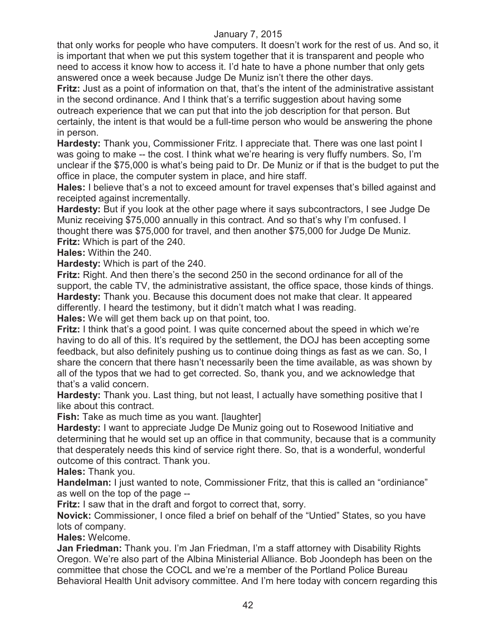that only works for people who have computers. It doesn't work for the rest of us. And so, it is important that when we put this system together that it is transparent and people who need to access it know how to access it. I'd hate to have a phone number that only gets answered once a week because Judge De Muniz isn't there the other days.

**Fritz:** Just as a point of information on that, that's the intent of the administrative assistant in the second ordinance. And I think that's a terrific suggestion about having some outreach experience that we can put that into the job description for that person. But certainly, the intent is that would be a full-time person who would be answering the phone in person.

**Hardesty:** Thank you, Commissioner Fritz. I appreciate that. There was one last point I was going to make -- the cost. I think what we're hearing is very fluffy numbers. So, I'm unclear if the \$75,000 is what's being paid to Dr. De Muniz or if that is the budget to put the office in place, the computer system in place, and hire staff.

**Hales:** I believe that's a not to exceed amount for travel expenses that's billed against and receipted against incrementally.

**Hardesty:** But if you look at the other page where it says subcontractors, I see Judge De Muniz receiving \$75,000 annually in this contract. And so that's why I'm confused. I thought there was \$75,000 for travel, and then another \$75,000 for Judge De Muniz. **Fritz:** Which is part of the 240.

**Hales:** Within the 240.

**Hardesty:** Which is part of the 240.

**Fritz:** Right. And then there's the second 250 in the second ordinance for all of the support, the cable TV, the administrative assistant, the office space, those kinds of things. **Hardesty:** Thank you. Because this document does not make that clear. It appeared differently. I heard the testimony, but it didn't match what I was reading.

**Hales:** We will get them back up on that point, too.

**Fritz:** I think that's a good point. I was quite concerned about the speed in which we're having to do all of this. It's required by the settlement, the DOJ has been accepting some feedback, but also definitely pushing us to continue doing things as fast as we can. So, I share the concern that there hasn't necessarily been the time available, as was shown by all of the typos that we had to get corrected. So, thank you, and we acknowledge that that's a valid concern.

**Hardesty:** Thank you. Last thing, but not least, I actually have something positive that I like about this contract.

**Fish:** Take as much time as you want. [laughter]

**Hardesty:** I want to appreciate Judge De Muniz going out to Rosewood Initiative and determining that he would set up an office in that community, because that is a community that desperately needs this kind of service right there. So, that is a wonderful, wonderful outcome of this contract. Thank you.

**Hales:** Thank you.

**Handelman:** I just wanted to note, Commissioner Fritz, that this is called an "ordiniance" as well on the top of the page --

**Fritz:** I saw that in the draft and forgot to correct that, sorry.

**Novick:** Commissioner, I once filed a brief on behalf of the "Untied" States, so you have lots of company.

**Hales:** Welcome.

**Jan Friedman:** Thank you. I'm Jan Friedman, I'm a staff attorney with Disability Rights Oregon. We're also part of the Albina Ministerial Alliance. Bob Joondeph has been on the committee that chose the COCL and we're a member of the Portland Police Bureau Behavioral Health Unit advisory committee. And I'm here today with concern regarding this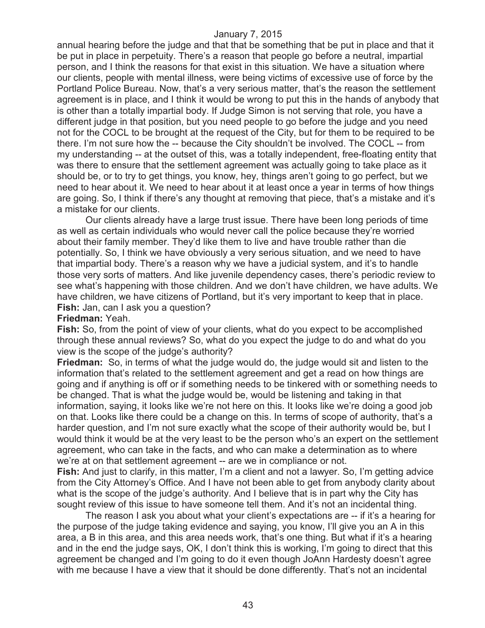annual hearing before the judge and that that be something that be put in place and that it be put in place in perpetuity. There's a reason that people go before a neutral, impartial person, and I think the reasons for that exist in this situation. We have a situation where our clients, people with mental illness, were being victims of excessive use of force by the Portland Police Bureau. Now, that's a very serious matter, that's the reason the settlement agreement is in place, and I think it would be wrong to put this in the hands of anybody that is other than a totally impartial body. If Judge Simon is not serving that role, you have a different judge in that position, but you need people to go before the judge and you need not for the COCL to be brought at the request of the City, but for them to be required to be there. I'm not sure how the -- because the City shouldn't be involved. The COCL -- from my understanding -- at the outset of this, was a totally independent, free-floating entity that was there to ensure that the settlement agreement was actually going to take place as it should be, or to try to get things, you know, hey, things aren't going to go perfect, but we need to hear about it. We need to hear about it at least once a year in terms of how things are going. So, I think if there's any thought at removing that piece, that's a mistake and it's a mistake for our clients.

Our clients already have a large trust issue. There have been long periods of time as well as certain individuals who would never call the police because they're worried about their family member. They'd like them to live and have trouble rather than die potentially. So, I think we have obviously a very serious situation, and we need to have that impartial body. There's a reason why we have a judicial system, and it's to handle those very sorts of matters. And like juvenile dependency cases, there's periodic review to see what's happening with those children. And we don't have children, we have adults. We have children, we have citizens of Portland, but it's very important to keep that in place. **Fish:** Jan, can I ask you a question?

#### **Friedman:** Yeah.

**Fish:** So, from the point of view of your clients, what do you expect to be accomplished through these annual reviews? So, what do you expect the judge to do and what do you view is the scope of the judge's authority?

**Friedman:** So, in terms of what the judge would do, the judge would sit and listen to the information that's related to the settlement agreement and get a read on how things are going and if anything is off or if something needs to be tinkered with or something needs to be changed. That is what the judge would be, would be listening and taking in that information, saying, it looks like we're not here on this. It looks like we're doing a good job on that. Looks like there could be a change on this. In terms of scope of authority, that's a harder question, and I'm not sure exactly what the scope of their authority would be, but I would think it would be at the very least to be the person who's an expert on the settlement agreement, who can take in the facts, and who can make a determination as to where we're at on that settlement agreement -- are we in compliance or not.

**Fish:** And just to clarify, in this matter, I'm a client and not a lawyer. So, I'm getting advice from the City Attorney's Office. And I have not been able to get from anybody clarity about what is the scope of the judge's authority. And I believe that is in part why the City has sought review of this issue to have someone tell them. And it's not an incidental thing.

The reason I ask you about what your client's expectations are -- if it's a hearing for the purpose of the judge taking evidence and saying, you know, I'll give you an A in this area, a B in this area, and this area needs work, that's one thing. But what if it's a hearing and in the end the judge says, OK, I don't think this is working, I'm going to direct that this agreement be changed and I'm going to do it even though JoAnn Hardesty doesn't agree with me because I have a view that it should be done differently. That's not an incidental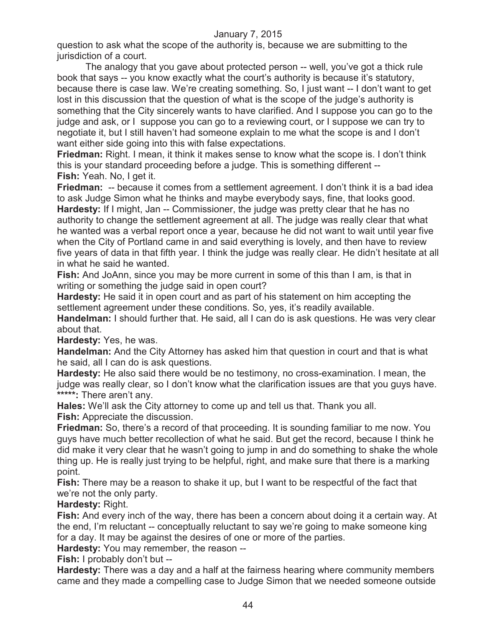question to ask what the scope of the authority is, because we are submitting to the jurisdiction of a court.

The analogy that you gave about protected person -- well, you've got a thick rule book that says -- you know exactly what the court's authority is because it's statutory, because there is case law. We're creating something. So, I just want -- I don't want to get lost in this discussion that the question of what is the scope of the judge's authority is something that the City sincerely wants to have clarified. And I suppose you can go to the judge and ask, or I suppose you can go to a reviewing court, or I suppose we can try to negotiate it, but I still haven't had someone explain to me what the scope is and I don't want either side going into this with false expectations.

**Friedman:** Right. I mean, it think it makes sense to know what the scope is. I don't think this is your standard proceeding before a judge. This is something different -- **Fish:** Yeah. No, I get it.

**Friedman:** -- because it comes from a settlement agreement. I don't think it is a bad idea to ask Judge Simon what he thinks and maybe everybody says, fine, that looks good. **Hardesty:** If I might, Jan -- Commissioner, the judge was pretty clear that he has no authority to change the settlement agreement at all. The judge was really clear that what he wanted was a verbal report once a year, because he did not want to wait until year five when the City of Portland came in and said everything is lovely, and then have to review five years of data in that fifth year. I think the judge was really clear. He didn't hesitate at all in what he said he wanted.

**Fish:** And JoAnn, since you may be more current in some of this than I am, is that in writing or something the judge said in open court?

**Hardesty:** He said it in open court and as part of his statement on him accepting the settlement agreement under these conditions. So, yes, it's readily available.

**Handelman:** I should further that. He said, all I can do is ask questions. He was very clear about that.

**Hardesty:** Yes, he was.

**Handelman:** And the City Attorney has asked him that question in court and that is what he said, all I can do is ask questions.

**Hardesty:** He also said there would be no testimony, no cross-examination. I mean, the judge was really clear, so I don't know what the clarification issues are that you guys have. **\*\*\*\*\*:** There aren't any.

**Hales:** We'll ask the City attorney to come up and tell us that. Thank you all.

**Fish:** Appreciate the discussion.

**Friedman:** So, there's a record of that proceeding. It is sounding familiar to me now. You guys have much better recollection of what he said. But get the record, because I think he did make it very clear that he wasn't going to jump in and do something to shake the whole thing up. He is really just trying to be helpful, right, and make sure that there is a marking point.

**Fish:** There may be a reason to shake it up, but I want to be respectful of the fact that we're not the only party.

## **Hardesty:** Right.

**Fish:** And every inch of the way, there has been a concern about doing it a certain way. At the end, I'm reluctant -- conceptually reluctant to say we're going to make someone king for a day. It may be against the desires of one or more of the parties.

**Hardesty:** You may remember, the reason --

**Fish:** I probably don't but --

**Hardesty:** There was a day and a half at the fairness hearing where community members came and they made a compelling case to Judge Simon that we needed someone outside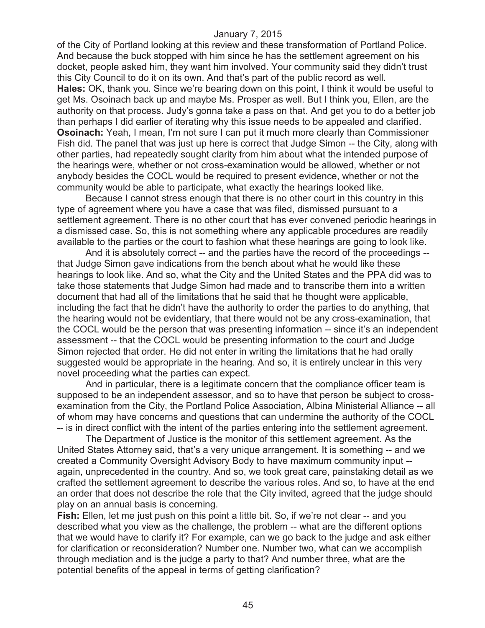of the City of Portland looking at this review and these transformation of Portland Police. And because the buck stopped with him since he has the settlement agreement on his docket, people asked him, they want him involved. Your community said they didn't trust this City Council to do it on its own. And that's part of the public record as well. **Hales:** OK, thank you. Since we're bearing down on this point, I think it would be useful to get Ms. Osoinach back up and maybe Ms. Prosper as well. But I think you, Ellen, are the authority on that process. Judy's gonna take a pass on that. And get you to do a better job than perhaps I did earlier of iterating why this issue needs to be appealed and clarified. **Osoinach:** Yeah, I mean, I'm not sure I can put it much more clearly than Commissioner Fish did. The panel that was just up here is correct that Judge Simon -- the City, along with other parties, had repeatedly sought clarity from him about what the intended purpose of the hearings were, whether or not cross-examination would be allowed, whether or not anybody besides the COCL would be required to present evidence, whether or not the community would be able to participate, what exactly the hearings looked like.

Because I cannot stress enough that there is no other court in this country in this type of agreement where you have a case that was filed, dismissed pursuant to a settlement agreement. There is no other court that has ever convened periodic hearings in a dismissed case. So, this is not something where any applicable procedures are readily available to the parties or the court to fashion what these hearings are going to look like.

And it is absolutely correct -- and the parties have the record of the proceedings - that Judge Simon gave indications from the bench about what he would like these hearings to look like. And so, what the City and the United States and the PPA did was to take those statements that Judge Simon had made and to transcribe them into a written document that had all of the limitations that he said that he thought were applicable, including the fact that he didn't have the authority to order the parties to do anything, that the hearing would not be evidentiary, that there would not be any cross-examination, that the COCL would be the person that was presenting information -- since it's an independent assessment -- that the COCL would be presenting information to the court and Judge Simon rejected that order. He did not enter in writing the limitations that he had orally suggested would be appropriate in the hearing. And so, it is entirely unclear in this very novel proceeding what the parties can expect.

And in particular, there is a legitimate concern that the compliance officer team is supposed to be an independent assessor, and so to have that person be subject to crossexamination from the City, the Portland Police Association, Albina Ministerial Alliance -- all of whom may have concerns and questions that can undermine the authority of the COCL -- is in direct conflict with the intent of the parties entering into the settlement agreement.

The Department of Justice is the monitor of this settlement agreement. As the United States Attorney said, that's a very unique arrangement. It is something -- and we created a Community Oversight Advisory Body to have maximum community input - again, unprecedented in the country. And so, we took great care, painstaking detail as we crafted the settlement agreement to describe the various roles. And so, to have at the end an order that does not describe the role that the City invited, agreed that the judge should play on an annual basis is concerning.

**Fish:** Ellen, let me just push on this point a little bit. So, if we're not clear -- and you described what you view as the challenge, the problem -- what are the different options that we would have to clarify it? For example, can we go back to the judge and ask either for clarification or reconsideration? Number one. Number two, what can we accomplish through mediation and is the judge a party to that? And number three, what are the potential benefits of the appeal in terms of getting clarification?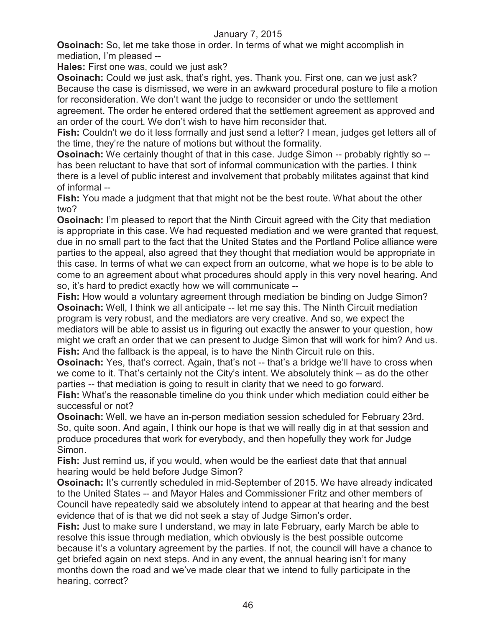**Osoinach:** So, let me take those in order. In terms of what we might accomplish in mediation, I'm pleased --

**Hales:** First one was, could we just ask?

**Osoinach:** Could we just ask, that's right, yes. Thank you. First one, can we just ask? Because the case is dismissed, we were in an awkward procedural posture to file a motion for reconsideration. We don't want the judge to reconsider or undo the settlement

agreement. The order he entered ordered that the settlement agreement as approved and an order of the court. We don't wish to have him reconsider that.

**Fish:** Couldn't we do it less formally and just send a letter? I mean, judges get letters all of the time, they're the nature of motions but without the formality.

**Osoinach:** We certainly thought of that in this case. Judge Simon -- probably rightly so -has been reluctant to have that sort of informal communication with the parties. I think there is a level of public interest and involvement that probably militates against that kind of informal --

**Fish:** You made a judgment that that might not be the best route. What about the other two?

**Osoinach:** I'm pleased to report that the Ninth Circuit agreed with the City that mediation is appropriate in this case. We had requested mediation and we were granted that request, due in no small part to the fact that the United States and the Portland Police alliance were parties to the appeal, also agreed that they thought that mediation would be appropriate in this case. In terms of what we can expect from an outcome, what we hope is to be able to come to an agreement about what procedures should apply in this very novel hearing. And so, it's hard to predict exactly how we will communicate --

**Fish:** How would a voluntary agreement through mediation be binding on Judge Simon? **Osoinach:** Well, I think we all anticipate -- let me say this. The Ninth Circuit mediation program is very robust, and the mediators are very creative. And so, we expect the mediators will be able to assist us in figuring out exactly the answer to your question, how might we craft an order that we can present to Judge Simon that will work for him? And us. **Fish:** And the fallback is the appeal, is to have the Ninth Circuit rule on this.

**Osoinach:** Yes, that's correct. Again, that's not -- that's a bridge we'll have to cross when we come to it. That's certainly not the City's intent. We absolutely think -- as do the other parties -- that mediation is going to result in clarity that we need to go forward.

**Fish:** What's the reasonable timeline do you think under which mediation could either be successful or not?

**Osoinach:** Well, we have an in-person mediation session scheduled for February 23rd. So, quite soon. And again, I think our hope is that we will really dig in at that session and produce procedures that work for everybody, and then hopefully they work for Judge Simon.

**Fish:** Just remind us, if you would, when would be the earliest date that that annual hearing would be held before Judge Simon?

**Osoinach:** It's currently scheduled in mid-September of 2015. We have already indicated to the United States -- and Mayor Hales and Commissioner Fritz and other members of Council have repeatedly said we absolutely intend to appear at that hearing and the best evidence that of is that we did not seek a stay of Judge Simon's order.

**Fish:** Just to make sure I understand, we may in late February, early March be able to resolve this issue through mediation, which obviously is the best possible outcome because it's a voluntary agreement by the parties. If not, the council will have a chance to get briefed again on next steps. And in any event, the annual hearing isn't for many months down the road and we've made clear that we intend to fully participate in the hearing, correct?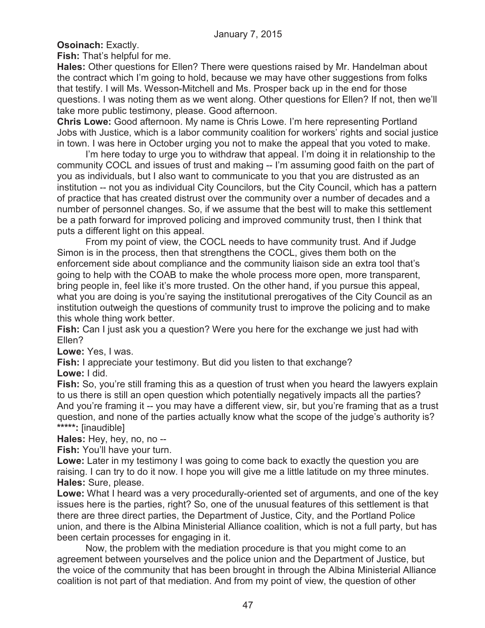**Osoinach:** Exactly.

**Fish:** That's helpful for me.

**Hales:** Other questions for Ellen? There were questions raised by Mr. Handelman about the contract which I'm going to hold, because we may have other suggestions from folks that testify. I will Ms. Wesson-Mitchell and Ms. Prosper back up in the end for those questions. I was noting them as we went along. Other questions for Ellen? If not, then we'll take more public testimony, please. Good afternoon.

**Chris Lowe:** Good afternoon. My name is Chris Lowe. I'm here representing Portland Jobs with Justice, which is a labor community coalition for workers' rights and social justice in town. I was here in October urging you not to make the appeal that you voted to make.

I'm here today to urge you to withdraw that appeal. I'm doing it in relationship to the community COCL and issues of trust and making -- I'm assuming good faith on the part of you as individuals, but I also want to communicate to you that you are distrusted as an institution -- not you as individual City Councilors, but the City Council, which has a pattern of practice that has created distrust over the community over a number of decades and a number of personnel changes. So, if we assume that the best will to make this settlement be a path forward for improved policing and improved community trust, then I think that puts a different light on this appeal.

From my point of view, the COCL needs to have community trust. And if Judge Simon is in the process, then that strengthens the COCL, gives them both on the enforcement side about compliance and the community liaison side an extra tool that's going to help with the COAB to make the whole process more open, more transparent, bring people in, feel like it's more trusted. On the other hand, if you pursue this appeal, what you are doing is you're saying the institutional prerogatives of the City Council as an institution outweigh the questions of community trust to improve the policing and to make this whole thing work better.

**Fish:** Can I just ask you a question? Were you here for the exchange we just had with Ellen?

**Lowe:** Yes, I was.

**Fish:** I appreciate your testimony. But did you listen to that exchange? **Lowe:** I did.

**Fish:** So, you're still framing this as a question of trust when you heard the lawyers explain to us there is still an open question which potentially negatively impacts all the parties? And you're framing it -- you may have a different view, sir, but you're framing that as a trust question, and none of the parties actually know what the scope of the judge's authority is? **\*\*\*\*\*:** [inaudible]

**Hales:** Hey, hey, no, no --

**Fish:** You'll have your turn.

Lowe: Later in my testimony I was going to come back to exactly the question you are raising. I can try to do it now. I hope you will give me a little latitude on my three minutes. **Hales:** Sure, please.

**Lowe:** What I heard was a very procedurally-oriented set of arguments, and one of the key issues here is the parties, right? So, one of the unusual features of this settlement is that there are three direct parties, the Department of Justice, City, and the Portland Police union, and there is the Albina Ministerial Alliance coalition, which is not a full party, but has been certain processes for engaging in it.

Now, the problem with the mediation procedure is that you might come to an agreement between yourselves and the police union and the Department of Justice, but the voice of the community that has been brought in through the Albina Ministerial Alliance coalition is not part of that mediation. And from my point of view, the question of other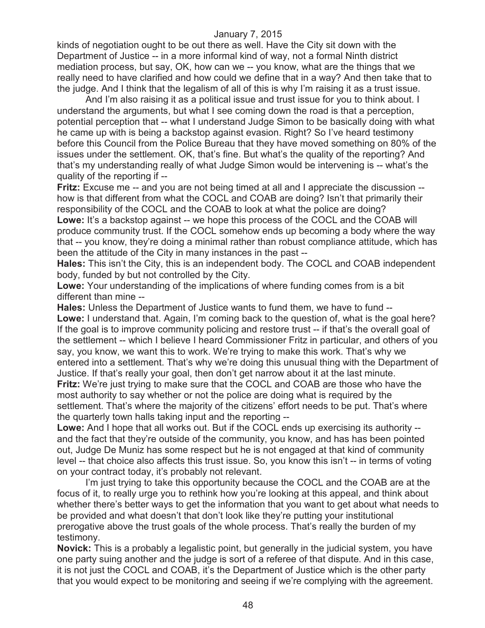kinds of negotiation ought to be out there as well. Have the City sit down with the Department of Justice -- in a more informal kind of way, not a formal Ninth district mediation process, but say, OK, how can we -- you know, what are the things that we really need to have clarified and how could we define that in a way? And then take that to the judge. And I think that the legalism of all of this is why I'm raising it as a trust issue.

And I'm also raising it as a political issue and trust issue for you to think about. I understand the arguments, but what I see coming down the road is that a perception, potential perception that -- what I understand Judge Simon to be basically doing with what he came up with is being a backstop against evasion. Right? So I've heard testimony before this Council from the Police Bureau that they have moved something on 80% of the issues under the settlement. OK, that's fine. But what's the quality of the reporting? And that's my understanding really of what Judge Simon would be intervening is -- what's the quality of the reporting if --

**Fritz:** Excuse me -- and you are not being timed at all and I appreciate the discussion - how is that different from what the COCL and COAB are doing? Isn't that primarily their responsibility of the COCL and the COAB to look at what the police are doing?

**Lowe:** It's a backstop against -- we hope this process of the COCL and the COAB will produce community trust. If the COCL somehow ends up becoming a body where the way that -- you know, they're doing a minimal rather than robust compliance attitude, which has been the attitude of the City in many instances in the past --

**Hales:** This isn't the City, this is an independent body. The COCL and COAB independent body, funded by but not controlled by the City.

**Lowe:** Your understanding of the implications of where funding comes from is a bit different than mine --

**Hales:** Unless the Department of Justice wants to fund them, we have to fund --

**Lowe:** I understand that. Again, I'm coming back to the question of, what is the goal here? If the goal is to improve community policing and restore trust -- if that's the overall goal of the settlement -- which I believe I heard Commissioner Fritz in particular, and others of you say, you know, we want this to work. We're trying to make this work. That's why we entered into a settlement. That's why we're doing this unusual thing with the Department of Justice. If that's really your goal, then don't get narrow about it at the last minute.

**Fritz:** We're just trying to make sure that the COCL and COAB are those who have the most authority to say whether or not the police are doing what is required by the settlement. That's where the majority of the citizens' effort needs to be put. That's where the quarterly town halls taking input and the reporting --

**Lowe:** And I hope that all works out. But if the COCL ends up exercising its authority - and the fact that they're outside of the community, you know, and has has been pointed out, Judge De Muniz has some respect but he is not engaged at that kind of community level -- that choice also affects this trust issue. So, you know this isn't -- in terms of voting on your contract today, it's probably not relevant.

I'm just trying to take this opportunity because the COCL and the COAB are at the focus of it, to really urge you to rethink how you're looking at this appeal, and think about whether there's better ways to get the information that you want to get about what needs to be provided and what doesn't that don't look like they're putting your institutional prerogative above the trust goals of the whole process. That's really the burden of my testimony.

**Novick:** This is a probably a legalistic point, but generally in the judicial system, you have one party suing another and the judge is sort of a referee of that dispute. And in this case, it is not just the COCL and COAB, it's the Department of Justice which is the other party that you would expect to be monitoring and seeing if we're complying with the agreement.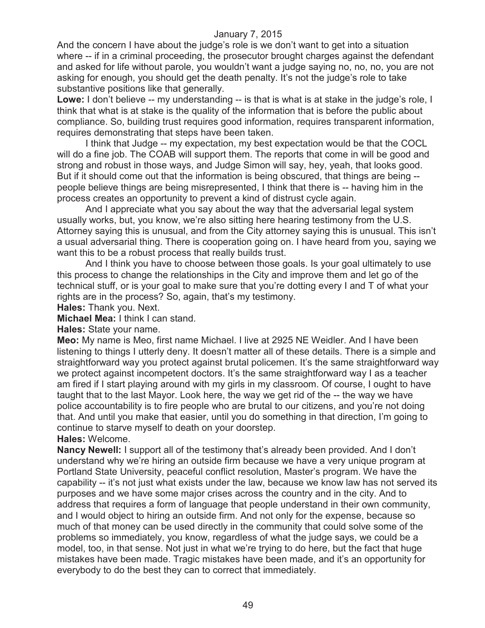And the concern I have about the judge's role is we don't want to get into a situation where -- if in a criminal proceeding, the prosecutor brought charges against the defendant and asked for life without parole, you wouldn't want a judge saying no, no, no, you are not asking for enough, you should get the death penalty. It's not the judge's role to take substantive positions like that generally.

**Lowe:** I don't believe -- my understanding -- is that is what is at stake in the judge's role, I think that what is at stake is the quality of the information that is before the public about compliance. So, building trust requires good information, requires transparent information, requires demonstrating that steps have been taken.

I think that Judge -- my expectation, my best expectation would be that the COCL will do a fine job. The COAB will support them. The reports that come in will be good and strong and robust in those ways, and Judge Simon will say, hey, yeah, that looks good. But if it should come out that the information is being obscured, that things are being -people believe things are being misrepresented, I think that there is -- having him in the process creates an opportunity to prevent a kind of distrust cycle again.

And I appreciate what you say about the way that the adversarial legal system usually works, but, you know, we're also sitting here hearing testimony from the U.S. Attorney saying this is unusual, and from the City attorney saying this is unusual. This isn't a usual adversarial thing. There is cooperation going on. I have heard from you, saying we want this to be a robust process that really builds trust.

And I think you have to choose between those goals. Is your goal ultimately to use this process to change the relationships in the City and improve them and let go of the technical stuff, or is your goal to make sure that you're dotting every I and T of what your rights are in the process? So, again, that's my testimony.

**Hales:** Thank you. Next.

**Michael Mea:** I think I can stand.

**Hales:** State your name.

**Meo:** My name is Meo, first name Michael. I live at 2925 NE Weidler. And I have been listening to things I utterly deny. It doesn't matter all of these details. There is a simple and straightforward way you protect against brutal policemen. It's the same straightforward way we protect against incompetent doctors. It's the same straightforward way I as a teacher am fired if I start playing around with my girls in my classroom. Of course, I ought to have taught that to the last Mayor. Look here, the way we get rid of the -- the way we have police accountability is to fire people who are brutal to our citizens, and you're not doing that. And until you make that easier, until you do something in that direction, I'm going to continue to starve myself to death on your doorstep. **Hales:** Welcome.

**Nancy Newell:** I support all of the testimony that's already been provided. And I don't understand why we're hiring an outside firm because we have a very unique program at Portland State University, peaceful conflict resolution, Master's program. We have the capability -- it's not just what exists under the law, because we know law has not served its purposes and we have some major crises across the country and in the city. And to address that requires a form of language that people understand in their own community, and I would object to hiring an outside firm. And not only for the expense, because so much of that money can be used directly in the community that could solve some of the problems so immediately, you know, regardless of what the judge says, we could be a model, too, in that sense. Not just in what we're trying to do here, but the fact that huge mistakes have been made. Tragic mistakes have been made, and it's an opportunity for everybody to do the best they can to correct that immediately.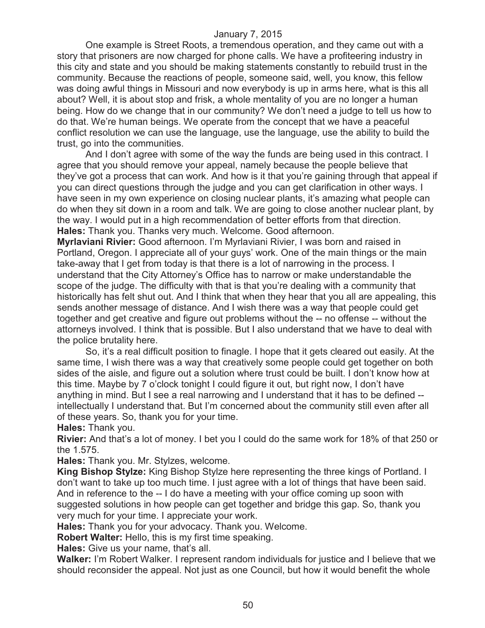One example is Street Roots, a tremendous operation, and they came out with a story that prisoners are now charged for phone calls. We have a profiteering industry in this city and state and you should be making statements constantly to rebuild trust in the community. Because the reactions of people, someone said, well, you know, this fellow was doing awful things in Missouri and now everybody is up in arms here, what is this all about? Well, it is about stop and frisk, a whole mentality of you are no longer a human being. How do we change that in our community? We don't need a judge to tell us how to do that. We're human beings. We operate from the concept that we have a peaceful conflict resolution we can use the language, use the language, use the ability to build the trust, go into the communities.

And I don't agree with some of the way the funds are being used in this contract. I agree that you should remove your appeal, namely because the people believe that they've got a process that can work. And how is it that you're gaining through that appeal if you can direct questions through the judge and you can get clarification in other ways. I have seen in my own experience on closing nuclear plants, it's amazing what people can do when they sit down in a room and talk. We are going to close another nuclear plant, by the way. I would put in a high recommendation of better efforts from that direction. **Hales:** Thank you. Thanks very much. Welcome. Good afternoon.

**Myrlaviani Rivier:** Good afternoon. I'm Myrlaviani Rivier, I was born and raised in Portland, Oregon. I appreciate all of your guys' work. One of the main things or the main take-away that I get from today is that there is a lot of narrowing in the process. I understand that the City Attorney's Office has to narrow or make understandable the scope of the judge. The difficulty with that is that you're dealing with a community that historically has felt shut out. And I think that when they hear that you all are appealing, this sends another message of distance. And I wish there was a way that people could get together and get creative and figure out problems without the -- no offense -- without the attorneys involved. I think that is possible. But I also understand that we have to deal with the police brutality here.

So, it's a real difficult position to finagle. I hope that it gets cleared out easily. At the same time, I wish there was a way that creatively some people could get together on both sides of the aisle, and figure out a solution where trust could be built. I don't know how at this time. Maybe by 7 o'clock tonight I could figure it out, but right now, I don't have anything in mind. But I see a real narrowing and I understand that it has to be defined - intellectually I understand that. But I'm concerned about the community still even after all of these years. So, thank you for your time.

**Hales:** Thank you.

**Rivier:** And that's a lot of money. I bet you I could do the same work for 18% of that 250 or the 1.575.

**Hales:** Thank you. Mr. Stylzes, welcome.

**King Bishop Stylze:** King Bishop Stylze here representing the three kings of Portland. I don't want to take up too much time. I just agree with a lot of things that have been said. And in reference to the -- I do have a meeting with your office coming up soon with suggested solutions in how people can get together and bridge this gap. So, thank you very much for your time. I appreciate your work.

**Hales:** Thank you for your advocacy. Thank you. Welcome.

**Robert Walter:** Hello, this is my first time speaking.

**Hales:** Give us your name, that's all.

**Walker:** I'm Robert Walker. I represent random individuals for justice and I believe that we should reconsider the appeal. Not just as one Council, but how it would benefit the whole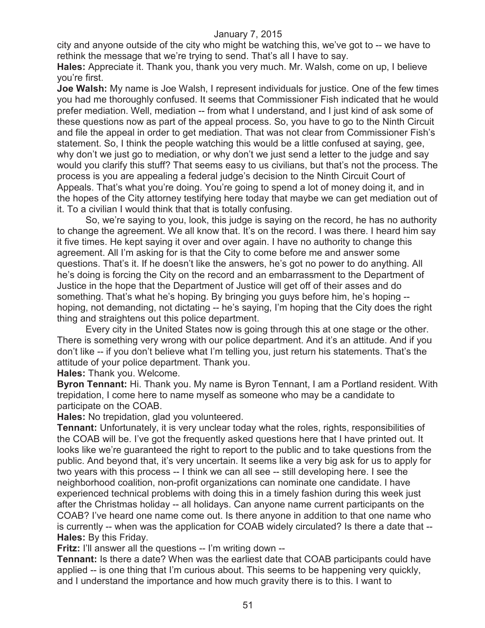city and anyone outside of the city who might be watching this, we've got to -- we have to rethink the message that we're trying to send. That's all I have to say.

**Hales:** Appreciate it. Thank you, thank you very much. Mr. Walsh, come on up, I believe you're first.

**Joe Walsh:** My name is Joe Walsh, I represent individuals for justice. One of the few times you had me thoroughly confused. It seems that Commissioner Fish indicated that he would prefer mediation. Well, mediation -- from what I understand, and I just kind of ask some of these questions now as part of the appeal process. So, you have to go to the Ninth Circuit and file the appeal in order to get mediation. That was not clear from Commissioner Fish's statement. So, I think the people watching this would be a little confused at saying, gee, why don't we just go to mediation, or why don't we just send a letter to the judge and say would you clarify this stuff? That seems easy to us civilians, but that's not the process. The process is you are appealing a federal judge's decision to the Ninth Circuit Court of Appeals. That's what you're doing. You're going to spend a lot of money doing it, and in the hopes of the City attorney testifying here today that maybe we can get mediation out of it. To a civilian I would think that that is totally confusing.

So, we're saying to you, look, this judge is saying on the record, he has no authority to change the agreement. We all know that. It's on the record. I was there. I heard him say it five times. He kept saying it over and over again. I have no authority to change this agreement. All I'm asking for is that the City to come before me and answer some questions. That's it. If he doesn't like the answers, he's got no power to do anything. All he's doing is forcing the City on the record and an embarrassment to the Department of Justice in the hope that the Department of Justice will get off of their asses and do something. That's what he's hoping. By bringing you guys before him, he's hoping - hoping, not demanding, not dictating -- he's saying, I'm hoping that the City does the right thing and straightens out this police department.

Every city in the United States now is going through this at one stage or the other. There is something very wrong with our police department. And it's an attitude. And if you don't like -- if you don't believe what I'm telling you, just return his statements. That's the attitude of your police department. Thank you.

**Hales:** Thank you. Welcome.

**Byron Tennant:** Hi. Thank you. My name is Byron Tennant, I am a Portland resident. With trepidation, I come here to name myself as someone who may be a candidate to participate on the COAB.

**Hales:** No trepidation, glad you volunteered.

**Tennant:** Unfortunately, it is very unclear today what the roles, rights, responsibilities of the COAB will be. I've got the frequently asked questions here that I have printed out. It looks like we're guaranteed the right to report to the public and to take questions from the public. And beyond that, it's very uncertain. It seems like a very big ask for us to apply for two years with this process -- I think we can all see -- still developing here. I see the neighborhood coalition, non-profit organizations can nominate one candidate. I have experienced technical problems with doing this in a timely fashion during this week just after the Christmas holiday -- all holidays. Can anyone name current participants on the COAB? I've heard one name come out. Is there anyone in addition to that one name who is currently -- when was the application for COAB widely circulated? Is there a date that -- **Hales:** By this Friday.

**Fritz:** I'll answer all the questions -- I'm writing down --

**Tennant:** Is there a date? When was the earliest date that COAB participants could have applied -- is one thing that I'm curious about. This seems to be happening very quickly, and I understand the importance and how much gravity there is to this. I want to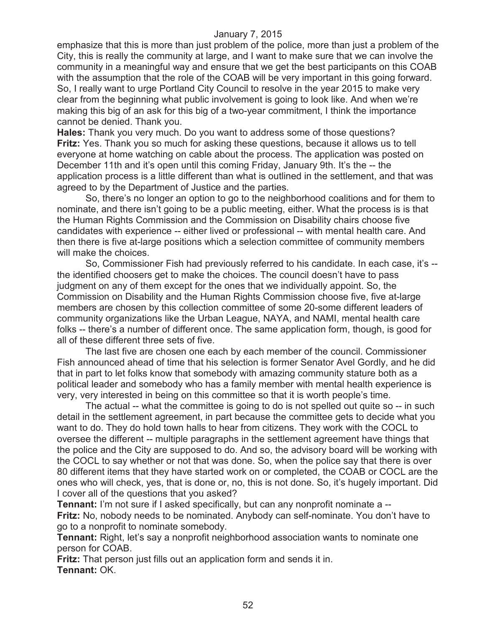emphasize that this is more than just problem of the police, more than just a problem of the City, this is really the community at large, and I want to make sure that we can involve the community in a meaningful way and ensure that we get the best participants on this COAB with the assumption that the role of the COAB will be very important in this going forward. So, I really want to urge Portland City Council to resolve in the year 2015 to make very clear from the beginning what public involvement is going to look like. And when we're making this big of an ask for this big of a two-year commitment, I think the importance cannot be denied. Thank you.

**Hales:** Thank you very much. Do you want to address some of those questions? **Fritz:** Yes. Thank you so much for asking these questions, because it allows us to tell everyone at home watching on cable about the process. The application was posted on December 11th and it's open until this coming Friday, January 9th. It's the -- the application process is a little different than what is outlined in the settlement, and that was agreed to by the Department of Justice and the parties.

So, there's no longer an option to go to the neighborhood coalitions and for them to nominate, and there isn't going to be a public meeting, either. What the process is is that the Human Rights Commission and the Commission on Disability chairs choose five candidates with experience -- either lived or professional -- with mental health care. And then there is five at-large positions which a selection committee of community members will make the choices.

So, Commissioner Fish had previously referred to his candidate. In each case, it's - the identified choosers get to make the choices. The council doesn't have to pass judgment on any of them except for the ones that we individually appoint. So, the Commission on Disability and the Human Rights Commission choose five, five at-large members are chosen by this collection committee of some 20-some different leaders of community organizations like the Urban League, NAYA, and NAMI, mental health care folks -- there's a number of different once. The same application form, though, is good for all of these different three sets of five.

The last five are chosen one each by each member of the council. Commissioner Fish announced ahead of time that his selection is former Senator Avel Gordly, and he did that in part to let folks know that somebody with amazing community stature both as a political leader and somebody who has a family member with mental health experience is very, very interested in being on this committee so that it is worth people's time.

The actual -- what the committee is going to do is not spelled out quite so -- in such detail in the settlement agreement, in part because the committee gets to decide what you want to do. They do hold town halls to hear from citizens. They work with the COCL to oversee the different -- multiple paragraphs in the settlement agreement have things that the police and the City are supposed to do. And so, the advisory board will be working with the COCL to say whether or not that was done. So, when the police say that there is over 80 different items that they have started work on or completed, the COAB or COCL are the ones who will check, yes, that is done or, no, this is not done. So, it's hugely important. Did I cover all of the questions that you asked?

**Tennant:** I'm not sure if I asked specifically, but can any nonprofit nominate a -- **Fritz:** No, nobody needs to be nominated. Anybody can self-nominate. You don't have to go to a nonprofit to nominate somebody.

**Tennant:** Right, let's say a nonprofit neighborhood association wants to nominate one person for COAB.

**Fritz:** That person just fills out an application form and sends it in. **Tennant:** OK.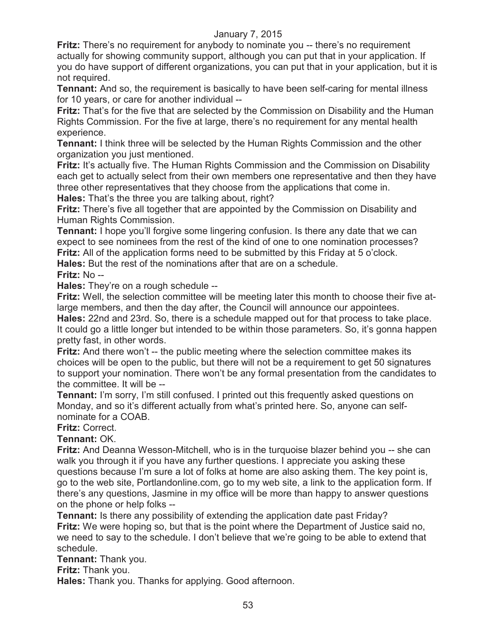**Fritz:** There's no requirement for anybody to nominate you -- there's no requirement actually for showing community support, although you can put that in your application. If you do have support of different organizations, you can put that in your application, but it is not required.

**Tennant:** And so, the requirement is basically to have been self-caring for mental illness for 10 years, or care for another individual --

**Fritz:** That's for the five that are selected by the Commission on Disability and the Human Rights Commission. For the five at large, there's no requirement for any mental health experience.

**Tennant:** I think three will be selected by the Human Rights Commission and the other organization you just mentioned.

**Fritz:** It's actually five. The Human Rights Commission and the Commission on Disability each get to actually select from their own members one representative and then they have three other representatives that they choose from the applications that come in. **Hales:** That's the three you are talking about, right?

**Fritz:** There's five all together that are appointed by the Commission on Disability and Human Rights Commission.

**Tennant:** I hope you'll forgive some lingering confusion. Is there any date that we can expect to see nominees from the rest of the kind of one to one nomination processes? **Fritz:** All of the application forms need to be submitted by this Friday at 5 o'clock.

**Hales:** But the rest of the nominations after that are on a schedule.

## **Fritz:** No --

**Hales:** They're on a rough schedule --

**Fritz:** Well, the selection committee will be meeting later this month to choose their five atlarge members, and then the day after, the Council will announce our appointees.

**Hales:** 22nd and 23rd. So, there is a schedule mapped out for that process to take place. It could go a little longer but intended to be within those parameters. So, it's gonna happen pretty fast, in other words.

**Fritz:** And there won't -- the public meeting where the selection committee makes its choices will be open to the public, but there will not be a requirement to get 50 signatures to support your nomination. There won't be any formal presentation from the candidates to the committee. It will be --

**Tennant:** I'm sorry, I'm still confused. I printed out this frequently asked questions on Monday, and so it's different actually from what's printed here. So, anyone can selfnominate for a COAB.

# **Fritz:** Correct.

## **Tennant:** OK.

**Fritz:** And Deanna Wesson-Mitchell, who is in the turquoise blazer behind you -- she can walk you through it if you have any further questions. I appreciate you asking these questions because I'm sure a lot of folks at home are also asking them. The key point is, go to the web site, Portlandonline.com, go to my web site, a link to the application form. If there's any questions, Jasmine in my office will be more than happy to answer questions on the phone or help folks --

**Tennant:** Is there any possibility of extending the application date past Friday? **Fritz:** We were hoping so, but that is the point where the Department of Justice said no, we need to say to the schedule. I don't believe that we're going to be able to extend that schedule.

**Tennant:** Thank you.

**Fritz:** Thank you.

**Hales:** Thank you. Thanks for applying. Good afternoon.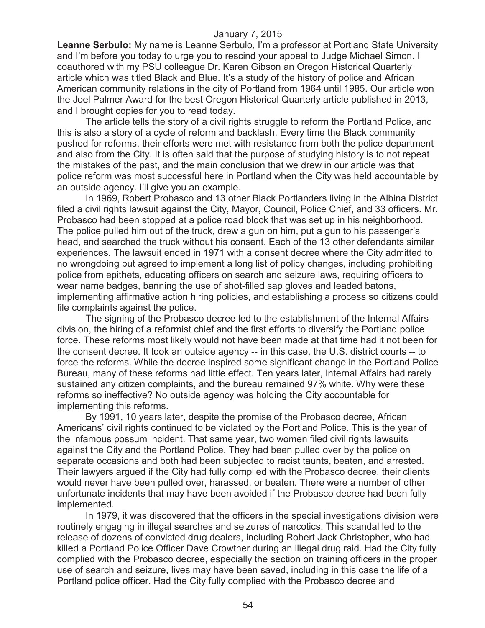**Leanne Serbulo:** My name is Leanne Serbulo, I'm a professor at Portland State University and I'm before you today to urge you to rescind your appeal to Judge Michael Simon. I coauthored with my PSU colleague Dr. Karen Gibson an Oregon Historical Quarterly article which was titled Black and Blue. It's a study of the history of police and African American community relations in the city of Portland from 1964 until 1985. Our article won the Joel Palmer Award for the best Oregon Historical Quarterly article published in 2013, and I brought copies for you to read today.

The article tells the story of a civil rights struggle to reform the Portland Police, and this is also a story of a cycle of reform and backlash. Every time the Black community pushed for reforms, their efforts were met with resistance from both the police department and also from the City. It is often said that the purpose of studying history is to not repeat the mistakes of the past, and the main conclusion that we drew in our article was that police reform was most successful here in Portland when the City was held accountable by an outside agency. I'll give you an example.

In 1969, Robert Probasco and 13 other Black Portlanders living in the Albina District filed a civil rights lawsuit against the City, Mayor, Council, Police Chief, and 33 officers. Mr. Probasco had been stopped at a police road block that was set up in his neighborhood. The police pulled him out of the truck, drew a gun on him, put a gun to his passenger's head, and searched the truck without his consent. Each of the 13 other defendants similar experiences. The lawsuit ended in 1971 with a consent decree where the City admitted to no wrongdoing but agreed to implement a long list of policy changes, including prohibiting police from epithets, educating officers on search and seizure laws, requiring officers to wear name badges, banning the use of shot-filled sap gloves and leaded batons, implementing affirmative action hiring policies, and establishing a process so citizens could file complaints against the police.

The signing of the Probasco decree led to the establishment of the Internal Affairs division, the hiring of a reformist chief and the first efforts to diversify the Portland police force. These reforms most likely would not have been made at that time had it not been for the consent decree. It took an outside agency -- in this case, the U.S. district courts -- to force the reforms. While the decree inspired some significant change in the Portland Police Bureau, many of these reforms had little effect. Ten years later, Internal Affairs had rarely sustained any citizen complaints, and the bureau remained 97% white. Why were these reforms so ineffective? No outside agency was holding the City accountable for implementing this reforms.

By 1991, 10 years later, despite the promise of the Probasco decree, African Americans' civil rights continued to be violated by the Portland Police. This is the year of the infamous possum incident. That same year, two women filed civil rights lawsuits against the City and the Portland Police. They had been pulled over by the police on separate occasions and both had been subjected to racist taunts, beaten, and arrested. Their lawyers argued if the City had fully complied with the Probasco decree, their clients would never have been pulled over, harassed, or beaten. There were a number of other unfortunate incidents that may have been avoided if the Probasco decree had been fully implemented.

In 1979, it was discovered that the officers in the special investigations division were routinely engaging in illegal searches and seizures of narcotics. This scandal led to the release of dozens of convicted drug dealers, including Robert Jack Christopher, who had killed a Portland Police Officer Dave Crowther during an illegal drug raid. Had the City fully complied with the Probasco decree, especially the section on training officers in the proper use of search and seizure, lives may have been saved, including in this case the life of a Portland police officer. Had the City fully complied with the Probasco decree and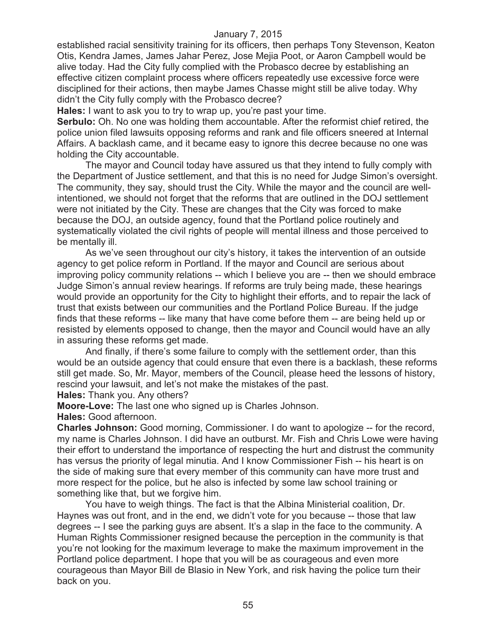established racial sensitivity training for its officers, then perhaps Tony Stevenson, Keaton Otis, Kendra James, James Jahar Perez, Jose Mejia Poot, or Aaron Campbell would be alive today. Had the City fully complied with the Probasco decree by establishing an effective citizen complaint process where officers repeatedly use excessive force were disciplined for their actions, then maybe James Chasse might still be alive today. Why didn't the City fully comply with the Probasco decree?

**Hales:** I want to ask you to try to wrap up, you're past your time.

**Serbulo:** Oh. No one was holding them accountable. After the reformist chief retired, the police union filed lawsuits opposing reforms and rank and file officers sneered at Internal Affairs. A backlash came, and it became easy to ignore this decree because no one was holding the City accountable.

The mayor and Council today have assured us that they intend to fully comply with the Department of Justice settlement, and that this is no need for Judge Simon's oversight. The community, they say, should trust the City. While the mayor and the council are wellintentioned, we should not forget that the reforms that are outlined in the DOJ settlement were not initiated by the City. These are changes that the City was forced to make because the DOJ, an outside agency, found that the Portland police routinely and systematically violated the civil rights of people will mental illness and those perceived to be mentally ill.

As we've seen throughout our city's history, it takes the intervention of an outside agency to get police reform in Portland. If the mayor and Council are serious about improving policy community relations -- which I believe you are -- then we should embrace Judge Simon's annual review hearings. If reforms are truly being made, these hearings would provide an opportunity for the City to highlight their efforts, and to repair the lack of trust that exists between our communities and the Portland Police Bureau. If the judge finds that these reforms -- like many that have come before them -- are being held up or resisted by elements opposed to change, then the mayor and Council would have an ally in assuring these reforms get made.

And finally, if there's some failure to comply with the settlement order, than this would be an outside agency that could ensure that even there is a backlash, these reforms still get made. So, Mr. Mayor, members of the Council, please heed the lessons of history, rescind your lawsuit, and let's not make the mistakes of the past.

**Hales:** Thank you. Any others?

**Moore-Love:** The last one who signed up is Charles Johnson.

**Hales:** Good afternoon.

**Charles Johnson:** Good morning, Commissioner. I do want to apologize -- for the record, my name is Charles Johnson. I did have an outburst. Mr. Fish and Chris Lowe were having their effort to understand the importance of respecting the hurt and distrust the community has versus the priority of legal minutia. And I know Commissioner Fish -- his heart is on the side of making sure that every member of this community can have more trust and more respect for the police, but he also is infected by some law school training or something like that, but we forgive him.

You have to weigh things. The fact is that the Albina Ministerial coalition, Dr. Haynes was out front, and in the end, we didn't vote for you because -- those that law degrees -- I see the parking guys are absent. It's a slap in the face to the community. A Human Rights Commissioner resigned because the perception in the community is that you're not looking for the maximum leverage to make the maximum improvement in the Portland police department. I hope that you will be as courageous and even more courageous than Mayor Bill de Blasio in New York, and risk having the police turn their back on you.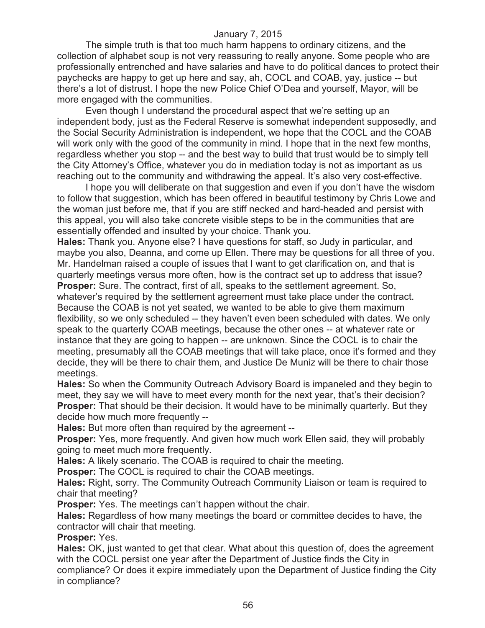The simple truth is that too much harm happens to ordinary citizens, and the collection of alphabet soup is not very reassuring to really anyone. Some people who are professionally entrenched and have salaries and have to do political dances to protect their paychecks are happy to get up here and say, ah, COCL and COAB, yay, justice -- but there's a lot of distrust. I hope the new Police Chief O'Dea and yourself, Mayor, will be more engaged with the communities.

Even though I understand the procedural aspect that we're setting up an independent body, just as the Federal Reserve is somewhat independent supposedly, and the Social Security Administration is independent, we hope that the COCL and the COAB will work only with the good of the community in mind. I hope that in the next few months, regardless whether you stop -- and the best way to build that trust would be to simply tell the City Attorney's Office, whatever you do in mediation today is not as important as us reaching out to the community and withdrawing the appeal. It's also very cost-effective.

I hope you will deliberate on that suggestion and even if you don't have the wisdom to follow that suggestion, which has been offered in beautiful testimony by Chris Lowe and the woman just before me, that if you are stiff necked and hard-headed and persist with this appeal, you will also take concrete visible steps to be in the communities that are essentially offended and insulted by your choice. Thank you.

**Hales:** Thank you. Anyone else? I have questions for staff, so Judy in particular, and maybe you also, Deanna, and come up Ellen. There may be questions for all three of you. Mr. Handelman raised a couple of issues that I want to get clarification on, and that is quarterly meetings versus more often, how is the contract set up to address that issue? **Prosper:** Sure. The contract, first of all, speaks to the settlement agreement. So, whatever's required by the settlement agreement must take place under the contract. Because the COAB is not yet seated, we wanted to be able to give them maximum flexibility, so we only scheduled -- they haven't even been scheduled with dates. We only speak to the quarterly COAB meetings, because the other ones -- at whatever rate or instance that they are going to happen -- are unknown. Since the COCL is to chair the meeting, presumably all the COAB meetings that will take place, once it's formed and they decide, they will be there to chair them, and Justice De Muniz will be there to chair those meetings.

**Hales:** So when the Community Outreach Advisory Board is impaneled and they begin to meet, they say we will have to meet every month for the next year, that's their decision? **Prosper:** That should be their decision. It would have to be minimally quarterly. But they decide how much more frequently --

**Hales:** But more often than required by the agreement --

**Prosper:** Yes, more frequently. And given how much work Ellen said, they will probably going to meet much more frequently.

**Hales:** A likely scenario. The COAB is required to chair the meeting.

**Prosper:** The COCL is required to chair the COAB meetings.

**Hales:** Right, sorry. The Community Outreach Community Liaison or team is required to chair that meeting?

**Prosper:** Yes. The meetings can't happen without the chair.

**Hales:** Regardless of how many meetings the board or committee decides to have, the contractor will chair that meeting.

**Prosper:** Yes.

**Hales:** OK, just wanted to get that clear. What about this question of, does the agreement with the COCL persist one year after the Department of Justice finds the City in compliance? Or does it expire immediately upon the Department of Justice finding the City in compliance?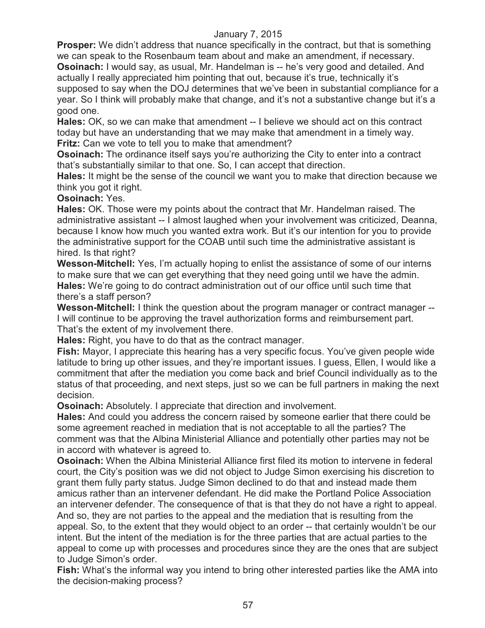**Prosper:** We didn't address that nuance specifically in the contract, but that is something we can speak to the Rosenbaum team about and make an amendment, if necessary. **Osoinach:** I would say, as usual, Mr. Handelman is -- he's very good and detailed. And actually I really appreciated him pointing that out, because it's true, technically it's supposed to say when the DOJ determines that we've been in substantial compliance for a year. So I think will probably make that change, and it's not a substantive change but it's a good one.

**Hales:** OK, so we can make that amendment -- I believe we should act on this contract today but have an understanding that we may make that amendment in a timely way. **Fritz:** Can we vote to tell you to make that amendment?

**Osoinach:** The ordinance itself says you're authorizing the City to enter into a contract that's substantially similar to that one. So, I can accept that direction.

**Hales:** It might be the sense of the council we want you to make that direction because we think you got it right.

## **Osoinach:** Yes.

**Hales:** OK. Those were my points about the contract that Mr. Handelman raised. The administrative assistant -- I almost laughed when your involvement was criticized, Deanna, because I know how much you wanted extra work. But it's our intention for you to provide the administrative support for the COAB until such time the administrative assistant is hired. Is that right?

**Wesson-Mitchell:** Yes, I'm actually hoping to enlist the assistance of some of our interns to make sure that we can get everything that they need going until we have the admin. **Hales:** We're going to do contract administration out of our office until such time that there's a staff person?

**Wesson-Mitchell:** I think the question about the program manager or contract manager -- I will continue to be approving the travel authorization forms and reimbursement part. That's the extent of my involvement there.

**Hales:** Right, you have to do that as the contract manager.

**Fish:** Mayor, I appreciate this hearing has a very specific focus. You've given people wide latitude to bring up other issues, and they're important issues. I guess, Ellen, I would like a commitment that after the mediation you come back and brief Council individually as to the status of that proceeding, and next steps, just so we can be full partners in making the next decision.

**Osoinach:** Absolutely. I appreciate that direction and involvement.

**Hales:** And could you address the concern raised by someone earlier that there could be some agreement reached in mediation that is not acceptable to all the parties? The comment was that the Albina Ministerial Alliance and potentially other parties may not be in accord with whatever is agreed to.

**Osoinach:** When the Albina Ministerial Alliance first filed its motion to intervene in federal court, the City's position was we did not object to Judge Simon exercising his discretion to grant them fully party status. Judge Simon declined to do that and instead made them amicus rather than an intervener defendant. He did make the Portland Police Association an intervener defender. The consequence of that is that they do not have a right to appeal. And so, they are not parties to the appeal and the mediation that is resulting from the appeal. So, to the extent that they would object to an order -- that certainly wouldn't be our intent. But the intent of the mediation is for the three parties that are actual parties to the appeal to come up with processes and procedures since they are the ones that are subject to Judge Simon's order.

**Fish:** What's the informal way you intend to bring other interested parties like the AMA into the decision-making process?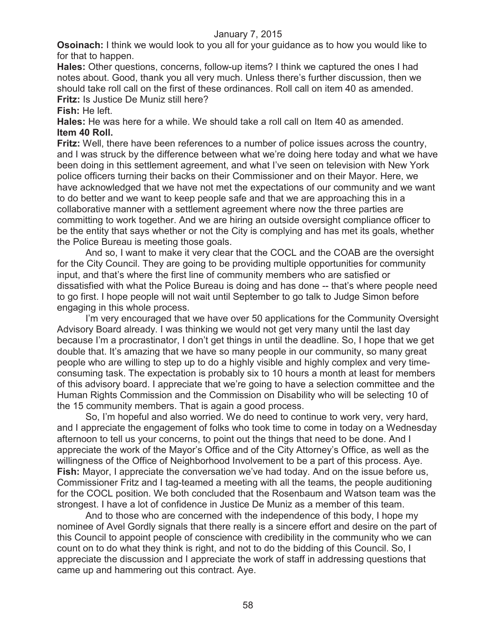**Osoinach:** I think we would look to you all for your guidance as to how you would like to for that to happen.

**Hales:** Other questions, concerns, follow-up items? I think we captured the ones I had notes about. Good, thank you all very much. Unless there's further discussion, then we should take roll call on the first of these ordinances. Roll call on item 40 as amended. **Fritz:** Is Justice De Muniz still here?

#### **Fish:** He left.

**Hales:** He was here for a while. We should take a roll call on Item 40 as amended. **Item 40 Roll.**

**Fritz:** Well, there have been references to a number of police issues across the country, and I was struck by the difference between what we're doing here today and what we have been doing in this settlement agreement, and what I've seen on television with New York police officers turning their backs on their Commissioner and on their Mayor. Here, we have acknowledged that we have not met the expectations of our community and we want to do better and we want to keep people safe and that we are approaching this in a collaborative manner with a settlement agreement where now the three parties are committing to work together. And we are hiring an outside oversight compliance officer to be the entity that says whether or not the City is complying and has met its goals, whether the Police Bureau is meeting those goals.

And so, I want to make it very clear that the COCL and the COAB are the oversight for the City Council. They are going to be providing multiple opportunities for community input, and that's where the first line of community members who are satisfied or dissatisfied with what the Police Bureau is doing and has done -- that's where people need to go first. I hope people will not wait until September to go talk to Judge Simon before engaging in this whole process.

I'm very encouraged that we have over 50 applications for the Community Oversight Advisory Board already. I was thinking we would not get very many until the last day because I'm a procrastinator, I don't get things in until the deadline. So, I hope that we get double that. It's amazing that we have so many people in our community, so many great people who are willing to step up to do a highly visible and highly complex and very timeconsuming task. The expectation is probably six to 10 hours a month at least for members of this advisory board. I appreciate that we're going to have a selection committee and the Human Rights Commission and the Commission on Disability who will be selecting 10 of the 15 community members. That is again a good process.

So, I'm hopeful and also worried. We do need to continue to work very, very hard, and I appreciate the engagement of folks who took time to come in today on a Wednesday afternoon to tell us your concerns, to point out the things that need to be done. And I appreciate the work of the Mayor's Office and of the City Attorney's Office, as well as the willingness of the Office of Neighborhood Involvement to be a part of this process. Aye. **Fish:** Mayor, I appreciate the conversation we've had today. And on the issue before us, Commissioner Fritz and I tag-teamed a meeting with all the teams, the people auditioning for the COCL position. We both concluded that the Rosenbaum and Watson team was the strongest. I have a lot of confidence in Justice De Muniz as a member of this team.

And to those who are concerned with the independence of this body, I hope my nominee of Avel Gordly signals that there really is a sincere effort and desire on the part of this Council to appoint people of conscience with credibility in the community who we can count on to do what they think is right, and not to do the bidding of this Council. So, I appreciate the discussion and I appreciate the work of staff in addressing questions that came up and hammering out this contract. Aye.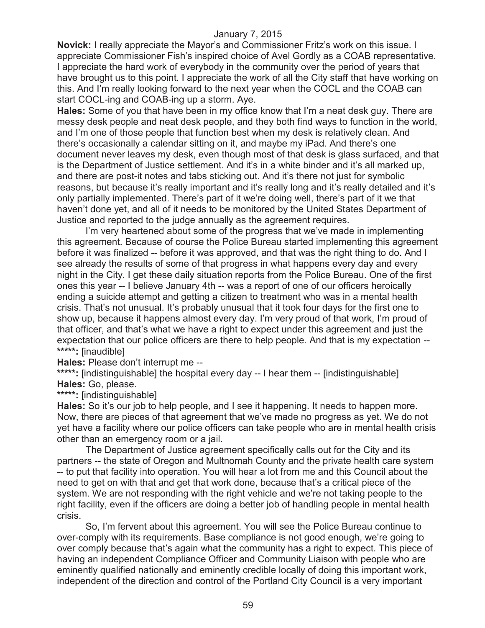**Novick:** I really appreciate the Mayor's and Commissioner Fritz's work on this issue. I appreciate Commissioner Fish's inspired choice of Avel Gordly as a COAB representative. I appreciate the hard work of everybody in the community over the period of years that have brought us to this point. I appreciate the work of all the City staff that have working on this. And I'm really looking forward to the next year when the COCL and the COAB can start COCL-ing and COAB-ing up a storm. Aye.

**Hales:** Some of you that have been in my office know that I'm a neat desk guy. There are messy desk people and neat desk people, and they both find ways to function in the world, and I'm one of those people that function best when my desk is relatively clean. And there's occasionally a calendar sitting on it, and maybe my iPad. And there's one document never leaves my desk, even though most of that desk is glass surfaced, and that is the Department of Justice settlement. And it's in a white binder and it's all marked up, and there are post-it notes and tabs sticking out. And it's there not just for symbolic reasons, but because it's really important and it's really long and it's really detailed and it's only partially implemented. There's part of it we're doing well, there's part of it we that haven't done yet, and all of it needs to be monitored by the United States Department of Justice and reported to the judge annually as the agreement requires.

I'm very heartened about some of the progress that we've made in implementing this agreement. Because of course the Police Bureau started implementing this agreement before it was finalized -- before it was approved, and that was the right thing to do. And I see already the results of some of that progress in what happens every day and every night in the City. I get these daily situation reports from the Police Bureau. One of the first ones this year -- I believe January 4th -- was a report of one of our officers heroically ending a suicide attempt and getting a citizen to treatment who was in a mental health crisis. That's not unusual. It's probably unusual that it took four days for the first one to show up, because it happens almost every day. I'm very proud of that work, I'm proud of that officer, and that's what we have a right to expect under this agreement and just the expectation that our police officers are there to help people. And that is my expectation -- **\*\*\*\*\*:** [inaudible]

**Hales:** Please don't interrupt me --

\*\*\*\*\*: [indistinguishable] the hospital every day -- I hear them -- [indistinguishable] **Hales:** Go, please.

**\*\*\*\*\*:** [indistinguishable]

**Hales:** So it's our job to help people, and I see it happening. It needs to happen more. Now, there are pieces of that agreement that we've made no progress as yet. We do not yet have a facility where our police officers can take people who are in mental health crisis other than an emergency room or a jail.

The Department of Justice agreement specifically calls out for the City and its partners -- the state of Oregon and Multnomah County and the private health care system -- to put that facility into operation. You will hear a lot from me and this Council about the need to get on with that and get that work done, because that's a critical piece of the system. We are not responding with the right vehicle and we're not taking people to the right facility, even if the officers are doing a better job of handling people in mental health crisis.

So, I'm fervent about this agreement. You will see the Police Bureau continue to over-comply with its requirements. Base compliance is not good enough, we're going to over comply because that's again what the community has a right to expect. This piece of having an independent Compliance Officer and Community Liaison with people who are eminently qualified nationally and eminently credible locally of doing this important work, independent of the direction and control of the Portland City Council is a very important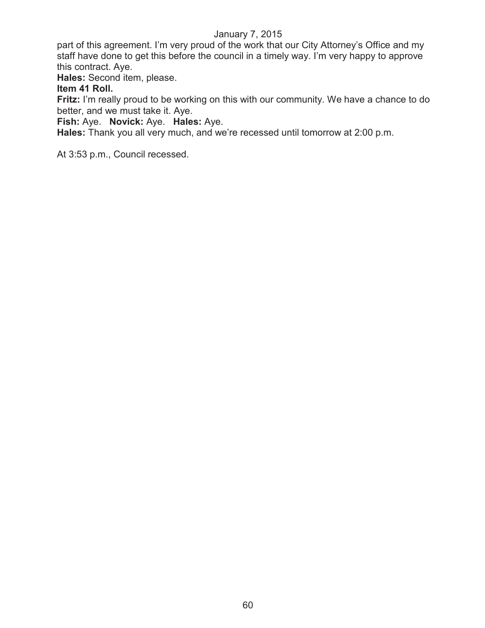part of this agreement. I'm very proud of the work that our City Attorney's Office and my staff have done to get this before the council in a timely way. I'm very happy to approve this contract. Aye.

**Hales:** Second item, please.

## **Item 41 Roll.**

**Fritz:** I'm really proud to be working on this with our community. We have a chance to do better, and we must take it. Aye.

**Fish:** Aye. **Novick:** Aye. **Hales:** Aye.

**Hales:** Thank you all very much, and we're recessed until tomorrow at 2:00 p.m.

At 3:53 p.m., Council recessed.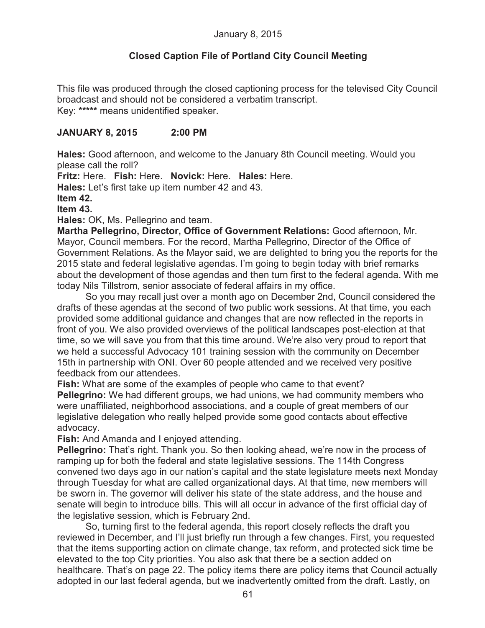# **Closed Caption File of Portland City Council Meeting**

This file was produced through the closed captioning process for the televised City Council broadcast and should not be considered a verbatim transcript. Key: **\*\*\*\*\*** means unidentified speaker.

## **JANUARY 8, 2015 2:00 PM**

**Hales:** Good afternoon, and welcome to the January 8th Council meeting. Would you please call the roll?

**Fritz:** Here. **Fish:** Here. **Novick:** Here. **Hales:** Here.

**Hales:** Let's first take up item number 42 and 43.

**Item 42.**

**Item 43.**

**Hales:** OK, Ms. Pellegrino and team.

**Martha Pellegrino, Director, Office of Government Relations:** Good afternoon, Mr. Mayor, Council members. For the record, Martha Pellegrino, Director of the Office of Government Relations. As the Mayor said, we are delighted to bring you the reports for the 2015 state and federal legislative agendas. I'm going to begin today with brief remarks about the development of those agendas and then turn first to the federal agenda. With me today Nils Tillstrom, senior associate of federal affairs in my office.

So you may recall just over a month ago on December 2nd, Council considered the drafts of these agendas at the second of two public work sessions. At that time, you each provided some additional guidance and changes that are now reflected in the reports in front of you. We also provided overviews of the political landscapes post-election at that time, so we will save you from that this time around. We're also very proud to report that we held a successful Advocacy 101 training session with the community on December 15th in partnership with ONI. Over 60 people attended and we received very positive feedback from our attendees.

**Fish:** What are some of the examples of people who came to that event?

**Pellegrino:** We had different groups, we had unions, we had community members who were unaffiliated, neighborhood associations, and a couple of great members of our legislative delegation who really helped provide some good contacts about effective advocacy.

**Fish:** And Amanda and I enjoyed attending.

**Pellegrino:** That's right. Thank you. So then looking ahead, we're now in the process of ramping up for both the federal and state legislative sessions. The 114th Congress convened two days ago in our nation's capital and the state legislature meets next Monday through Tuesday for what are called organizational days. At that time, new members will be sworn in. The governor will deliver his state of the state address, and the house and senate will begin to introduce bills. This will all occur in advance of the first official day of the legislative session, which is February 2nd.

So, turning first to the federal agenda, this report closely reflects the draft you reviewed in December, and I'll just briefly run through a few changes. First, you requested that the items supporting action on climate change, tax reform, and protected sick time be elevated to the top City priorities. You also ask that there be a section added on healthcare. That's on page 22. The policy items there are policy items that Council actually adopted in our last federal agenda, but we inadvertently omitted from the draft. Lastly, on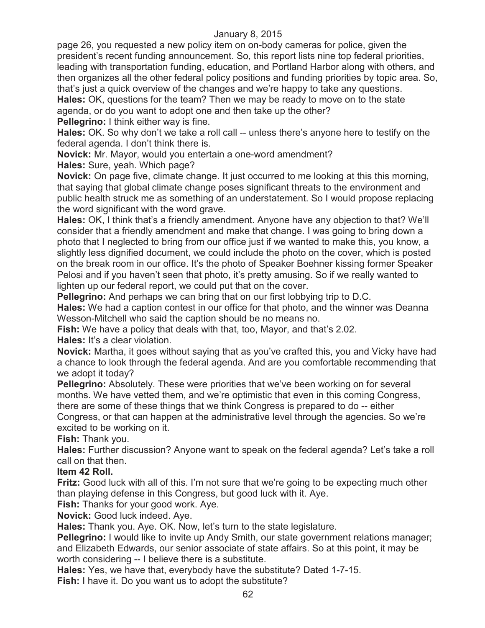page 26, you requested a new policy item on on-body cameras for police, given the president's recent funding announcement. So, this report lists nine top federal priorities, leading with transportation funding, education, and Portland Harbor along with others, and then organizes all the other federal policy positions and funding priorities by topic area. So, that's just a quick overview of the changes and we're happy to take any questions. **Hales:** OK, questions for the team? Then we may be ready to move on to the state agenda, or do you want to adopt one and then take up the other?

**Pellegrino:** I think either way is fine.

**Hales:** OK. So why don't we take a roll call -- unless there's anyone here to testify on the federal agenda. I don't think there is.

**Novick:** Mr. Mayor, would you entertain a one-word amendment?

**Hales:** Sure, yeah. Which page?

**Novick:** On page five, climate change. It just occurred to me looking at this this morning, that saying that global climate change poses significant threats to the environment and public health struck me as something of an understatement. So I would propose replacing the word significant with the word grave.

**Hales:** OK, I think that's a friendly amendment. Anyone have any objection to that? We'll consider that a friendly amendment and make that change. I was going to bring down a photo that I neglected to bring from our office just if we wanted to make this, you know, a slightly less dignified document, we could include the photo on the cover, which is posted on the break room in our office. It's the photo of Speaker Boehner kissing former Speaker Pelosi and if you haven't seen that photo, it's pretty amusing. So if we really wanted to lighten up our federal report, we could put that on the cover.

**Pellegrino:** And perhaps we can bring that on our first lobbying trip to D.C.

**Hales:** We had a caption contest in our office for that photo, and the winner was Deanna Wesson-Mitchell who said the caption should be no means no.

**Fish:** We have a policy that deals with that, too, Mayor, and that's 2.02.

**Hales:** It's a clear violation.

**Novick:** Martha, it goes without saying that as you've crafted this, you and Vicky have had a chance to look through the federal agenda. And are you comfortable recommending that we adopt it today?

**Pellegrino:** Absolutely. These were priorities that we've been working on for several months. We have vetted them, and we're optimistic that even in this coming Congress, there are some of these things that we think Congress is prepared to do -- either

Congress, or that can happen at the administrative level through the agencies. So we're excited to be working on it.

**Fish:** Thank you.

**Hales:** Further discussion? Anyone want to speak on the federal agenda? Let's take a roll call on that then.

## **Item 42 Roll.**

**Fritz:** Good luck with all of this. I'm not sure that we're going to be expecting much other than playing defense in this Congress, but good luck with it. Aye.

**Fish:** Thanks for your good work. Aye.

**Novick:** Good luck indeed. Aye.

**Hales:** Thank you. Aye. OK. Now, let's turn to the state legislature.

**Pellegrino:** I would like to invite up Andy Smith, our state government relations manager; and Elizabeth Edwards, our senior associate of state affairs. So at this point, it may be worth considering -- I believe there is a substitute.

**Hales:** Yes, we have that, everybody have the substitute? Dated 1-7-15.

**Fish:** I have it. Do you want us to adopt the substitute?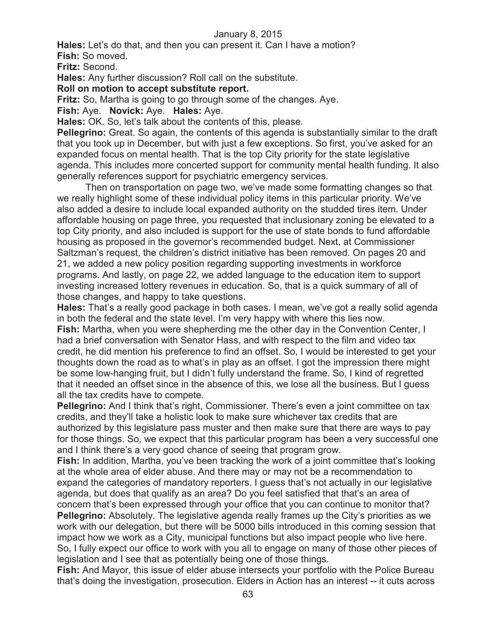**Hales:** Let's do that, and then you can present it. Can I have a motion?

**Fish:** So moved.

**Fritz:** Second.

**Hales:** Any further discussion? Roll call on the substitute.

## **Roll on motion to accept substitute report.**

**Fritz:** So, Martha is going to go through some of the changes. Aye.

**Fish:** Aye. **Novick:** Aye. **Hales:** Aye.

**Hales:** OK. So, let's talk about the contents of this, please.

**Pellegrino:** Great. So again, the contents of this agenda is substantially similar to the draft that you took up in December, but with just a few exceptions. So first, you've asked for an expanded focus on mental health. That is the top City priority for the state legislative agenda. This includes more concerted support for community mental health funding. It also generally references support for psychiatric emergency services.

Then on transportation on page two, we've made some formatting changes so that we really highlight some of these individual policy items in this particular priority. We've also added a desire to include local expanded authority on the studded tires item. Under affordable housing on page three, you requested that inclusionary zoning be elevated to a top City priority, and also included is support for the use of state bonds to fund affordable housing as proposed in the governor's recommended budget. Next, at Commissioner Saltzman's request, the children's district initiative has been removed. On pages 20 and 21, we added a new policy position regarding supporting investments in workforce programs. And lastly, on page 22, we added language to the education item to support investing increased lottery revenues in education. So, that is a quick summary of all of those changes, and happy to take questions.

**Hales:** That's a really good package in both cases. I mean, we've got a really solid agenda in both the federal and the state level. I'm very happy with where this lies now. **Fish:** Martha, when you were shepherding me the other day in the Convention Center, I had a brief conversation with Senator Hass, and with respect to the film and video tax credit, he did mention his preference to find an offset. So, I would be interested to get your thoughts down the road as to what's in play as an offset. I got the impression there might be some low-hanging fruit, but I didn't fully understand the frame. So, I kind of regretted that it needed an offset since in the absence of this, we lose all the business. But I guess all the tax credits have to compete.

**Pellegrino:** And I think that's right, Commissioner. There's even a joint committee on tax credits, and they'll take a holistic look to make sure whichever tax credits that are authorized by this legislature pass muster and then make sure that there are ways to pay for those things. So, we expect that this particular program has been a very successful one and I think there's a very good chance of seeing that program grow.

**Fish:** In addition, Martha, you've been tracking the work of a joint committee that's looking at the whole area of elder abuse. And there may or may not be a recommendation to expand the categories of mandatory reporters. I guess that's not actually in our legislative agenda, but does that qualify as an area? Do you feel satisfied that that's an area of concern that's been expressed through your office that you can continue to monitor that?

**Pellegrino:** Absolutely. The legislative agenda really frames up the City's priorities as we work with our delegation, but there will be 5000 bills introduced in this coming session that impact how we work as a City, municipal functions but also impact people who live here. So, I fully expect our office to work with you all to engage on many of those other pieces of legislation and I see that as potentially being one of those things.

**Fish:** And Mayor, this issue of elder abuse intersects your portfolio with the Police Bureau that's doing the investigation, prosecution. Elders in Action has an interest -- it cuts across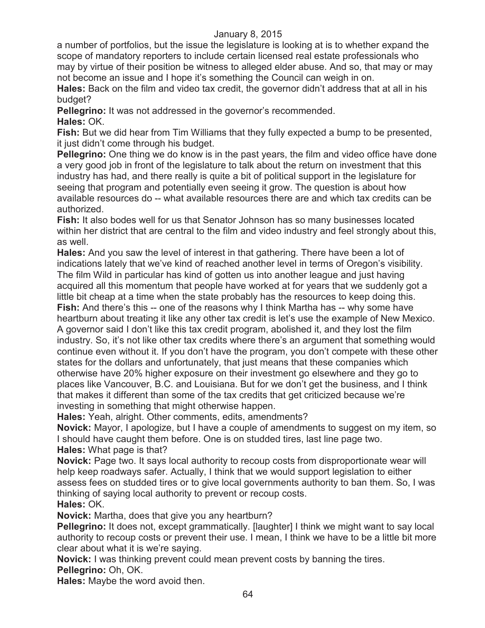a number of portfolios, but the issue the legislature is looking at is to whether expand the scope of mandatory reporters to include certain licensed real estate professionals who may by virtue of their position be witness to alleged elder abuse. And so, that may or may not become an issue and I hope it's something the Council can weigh in on.

**Hales:** Back on the film and video tax credit, the governor didn't address that at all in his budget?

**Pellegrino:** It was not addressed in the governor's recommended. **Hales:** OK.

**Fish:** But we did hear from Tim Williams that they fully expected a bump to be presented, it just didn't come through his budget.

**Pellegrino:** One thing we do know is in the past years, the film and video office have done a very good job in front of the legislature to talk about the return on investment that this industry has had, and there really is quite a bit of political support in the legislature for seeing that program and potentially even seeing it grow. The question is about how available resources do -- what available resources there are and which tax credits can be authorized.

**Fish:** It also bodes well for us that Senator Johnson has so many businesses located within her district that are central to the film and video industry and feel strongly about this, as well.

**Hales:** And you saw the level of interest in that gathering. There have been a lot of indications lately that we've kind of reached another level in terms of Oregon's visibility. The film Wild in particular has kind of gotten us into another league and just having acquired all this momentum that people have worked at for years that we suddenly got a little bit cheap at a time when the state probably has the resources to keep doing this.

**Fish:** And there's this -- one of the reasons why I think Martha has -- why some have heartburn about treating it like any other tax credit is let's use the example of New Mexico. A governor said I don't like this tax credit program, abolished it, and they lost the film industry. So, it's not like other tax credits where there's an argument that something would continue even without it. If you don't have the program, you don't compete with these other states for the dollars and unfortunately, that just means that these companies which otherwise have 20% higher exposure on their investment go elsewhere and they go to places like Vancouver, B.C. and Louisiana. But for we don't get the business, and I think that makes it different than some of the tax credits that get criticized because we're investing in something that might otherwise happen.

**Hales:** Yeah, alright. Other comments, edits, amendments?

**Novick:** Mayor, I apologize, but I have a couple of amendments to suggest on my item, so I should have caught them before. One is on studded tires, last line page two. **Hales:** What page is that?

**Novick:** Page two. It says local authority to recoup costs from disproportionate wear will help keep roadways safer. Actually, I think that we would support legislation to either assess fees on studded tires or to give local governments authority to ban them. So, I was thinking of saying local authority to prevent or recoup costs. **Hales:** OK.

**Novick:** Martha, does that give you any heartburn?

**Pellegrino:** It does not, except grammatically. [laughter] I think we might want to say local authority to recoup costs or prevent their use. I mean, I think we have to be a little bit more clear about what it is we're saying.

**Novick:** I was thinking prevent could mean prevent costs by banning the tires. **Pellegrino:** Oh, OK.

**Hales:** Maybe the word avoid then.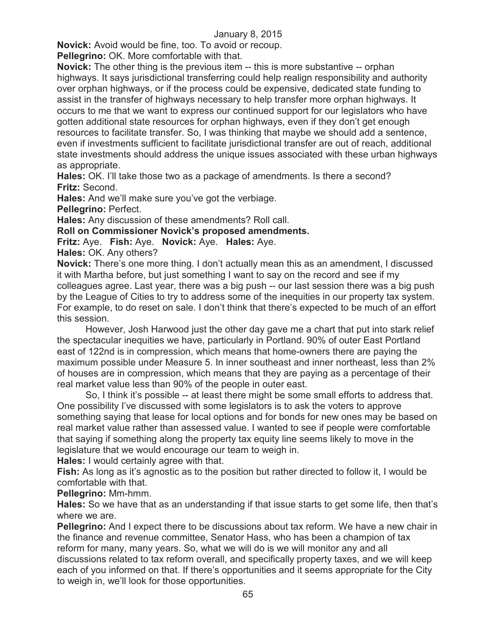**Novick:** Avoid would be fine, too. To avoid or recoup.

**Pellegrino:** OK. More comfortable with that.

**Novick:** The other thing is the previous item -- this is more substantive -- orphan highways. It says jurisdictional transferring could help realign responsibility and authority over orphan highways, or if the process could be expensive, dedicated state funding to assist in the transfer of highways necessary to help transfer more orphan highways. It occurs to me that we want to express our continued support for our legislators who have gotten additional state resources for orphan highways, even if they don't get enough resources to facilitate transfer. So, I was thinking that maybe we should add a sentence, even if investments sufficient to facilitate jurisdictional transfer are out of reach, additional state investments should address the unique issues associated with these urban highways as appropriate.

**Hales:** OK. I'll take those two as a package of amendments. Is there a second? **Fritz:** Second.

**Hales:** And we'll make sure you've got the verbiage.

**Pellegrino:** Perfect.

**Hales:** Any discussion of these amendments? Roll call.

**Roll on Commissioner Novick's proposed amendments.**

**Fritz:** Aye. **Fish:** Aye. **Novick:** Aye. **Hales:** Aye.

**Hales:** OK. Any others?

**Novick:** There's one more thing. I don't actually mean this as an amendment, I discussed it with Martha before, but just something I want to say on the record and see if my colleagues agree. Last year, there was a big push -- our last session there was a big push by the League of Cities to try to address some of the inequities in our property tax system. For example, to do reset on sale. I don't think that there's expected to be much of an effort this session.

However, Josh Harwood just the other day gave me a chart that put into stark relief the spectacular inequities we have, particularly in Portland. 90% of outer East Portland east of 122nd is in compression, which means that home-owners there are paying the maximum possible under Measure 5. In inner southeast and inner northeast, less than 2% of houses are in compression, which means that they are paying as a percentage of their real market value less than 90% of the people in outer east.

So, I think it's possible -- at least there might be some small efforts to address that. One possibility I've discussed with some legislators is to ask the voters to approve something saying that lease for local options and for bonds for new ones may be based on real market value rather than assessed value. I wanted to see if people were comfortable that saying if something along the property tax equity line seems likely to move in the legislature that we would encourage our team to weigh in.

**Hales:** I would certainly agree with that.

**Fish:** As long as it's agnostic as to the position but rather directed to follow it, I would be comfortable with that.

**Pellegrino:** Mm-hmm.

**Hales:** So we have that as an understanding if that issue starts to get some life, then that's where we are.

**Pellegrino:** And I expect there to be discussions about tax reform. We have a new chair in the finance and revenue committee, Senator Hass, who has been a champion of tax reform for many, many years. So, what we will do is we will monitor any and all discussions related to tax reform overall, and specifically property taxes, and we will keep each of you informed on that. If there's opportunities and it seems appropriate for the City to weigh in, we'll look for those opportunities.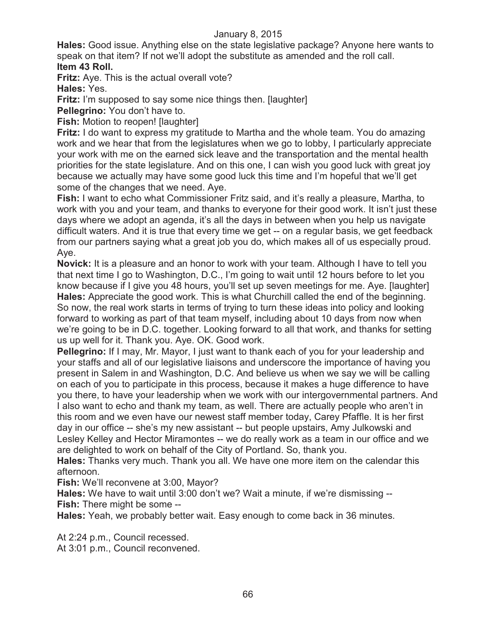**Hales:** Good issue. Anything else on the state legislative package? Anyone here wants to speak on that item? If not we'll adopt the substitute as amended and the roll call. **Item 43 Roll.**

**Fritz:** Aye. This is the actual overall vote?

**Hales:** Yes.

**Fritz:** I'm supposed to say some nice things then. [laughter]

**Pellegrino:** You don't have to.

**Fish:** Motion to reopen! [laughter]

**Fritz:** I do want to express my gratitude to Martha and the whole team. You do amazing work and we hear that from the legislatures when we go to lobby, I particularly appreciate your work with me on the earned sick leave and the transportation and the mental health priorities for the state legislature. And on this one, I can wish you good luck with great joy because we actually may have some good luck this time and I'm hopeful that we'll get some of the changes that we need. Aye.

**Fish:** I want to echo what Commissioner Fritz said, and it's really a pleasure, Martha, to work with you and your team, and thanks to everyone for their good work. It isn't just these days where we adopt an agenda, it's all the days in between when you help us navigate difficult waters. And it is true that every time we get -- on a regular basis, we get feedback from our partners saying what a great job you do, which makes all of us especially proud. Aye.

**Novick:** It is a pleasure and an honor to work with your team. Although I have to tell you that next time I go to Washington, D.C., I'm going to wait until 12 hours before to let you know because if I give you 48 hours, you'll set up seven meetings for me. Aye. [laughter] **Hales:** Appreciate the good work. This is what Churchill called the end of the beginning. So now, the real work starts in terms of trying to turn these ideas into policy and looking forward to working as part of that team myself, including about 10 days from now when we're going to be in D.C. together. Looking forward to all that work, and thanks for setting us up well for it. Thank you. Aye. OK. Good work.

**Pellegrino:** If I may, Mr. Mayor, I just want to thank each of you for your leadership and your staffs and all of our legislative liaisons and underscore the importance of having you present in Salem in and Washington, D.C. And believe us when we say we will be calling on each of you to participate in this process, because it makes a huge difference to have you there, to have your leadership when we work with our intergovernmental partners. And I also want to echo and thank my team, as well. There are actually people who aren't in this room and we even have our newest staff member today, Carey Pfaffle. It is her first day in our office -- she's my new assistant -- but people upstairs, Amy Julkowski and Lesley Kelley and Hector Miramontes -- we do really work as a team in our office and we are delighted to work on behalf of the City of Portland. So, thank you.

**Hales:** Thanks very much. Thank you all. We have one more item on the calendar this afternoon.

**Fish:** We'll reconvene at 3:00, Mayor?

**Hales:** We have to wait until 3:00 don't we? Wait a minute, if we're dismissing -- **Fish:** There might be some --

**Hales:** Yeah, we probably better wait. Easy enough to come back in 36 minutes.

At 2:24 p.m., Council recessed.

At 3:01 p.m., Council reconvened.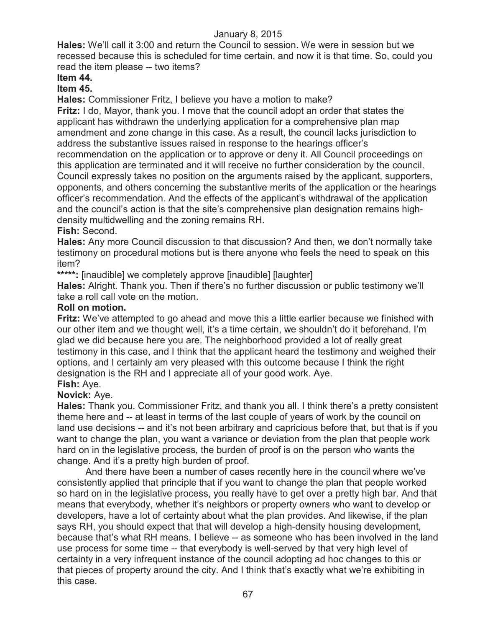**Hales:** We'll call it 3:00 and return the Council to session. We were in session but we recessed because this is scheduled for time certain, and now it is that time. So, could you read the item please -- two items?

# **Item 44.**

## **Item 45.**

**Hales:** Commissioner Fritz, I believe you have a motion to make?

**Fritz:** I do, Mayor, thank you. I move that the council adopt an order that states the applicant has withdrawn the underlying application for a comprehensive plan map amendment and zone change in this case. As a result, the council lacks jurisdiction to address the substantive issues raised in response to the hearings officer's recommendation on the application or to approve or deny it. All Council proceedings on this application are terminated and it will receive no further consideration by the council. Council expressly takes no position on the arguments raised by the applicant, supporters, opponents, and others concerning the substantive merits of the application or the hearings officer's recommendation. And the effects of the applicant's withdrawal of the application and the council's action is that the site's comprehensive plan designation remains highdensity multidwelling and the zoning remains RH.

## **Fish:** Second.

**Hales:** Any more Council discussion to that discussion? And then, we don't normally take testimony on procedural motions but is there anyone who feels the need to speak on this item?

**\*\*\*\*\*:** [inaudible] we completely approve [inaudible] [laughter]

**Hales:** Alright. Thank you. Then if there's no further discussion or public testimony we'll take a roll call vote on the motion.

## **Roll on motion.**

**Fritz:** We've attempted to go ahead and move this a little earlier because we finished with our other item and we thought well, it's a time certain, we shouldn't do it beforehand. I'm glad we did because here you are. The neighborhood provided a lot of really great testimony in this case, and I think that the applicant heard the testimony and weighed their options, and I certainly am very pleased with this outcome because I think the right designation is the RH and I appreciate all of your good work. Aye.

# **Fish:** Aye.

## **Novick:** Aye.

**Hales:** Thank you. Commissioner Fritz, and thank you all. I think there's a pretty consistent theme here and -- at least in terms of the last couple of years of work by the council on land use decisions -- and it's not been arbitrary and capricious before that, but that is if you want to change the plan, you want a variance or deviation from the plan that people work hard on in the legislative process, the burden of proof is on the person who wants the change. And it's a pretty high burden of proof.

And there have been a number of cases recently here in the council where we've consistently applied that principle that if you want to change the plan that people worked so hard on in the legislative process, you really have to get over a pretty high bar. And that means that everybody, whether it's neighbors or property owners who want to develop or developers, have a lot of certainty about what the plan provides. And likewise, if the plan says RH, you should expect that that will develop a high-density housing development, because that's what RH means. I believe -- as someone who has been involved in the land use process for some time -- that everybody is well-served by that very high level of certainty in a very infrequent instance of the council adopting ad hoc changes to this or that pieces of property around the city. And I think that's exactly what we're exhibiting in this case.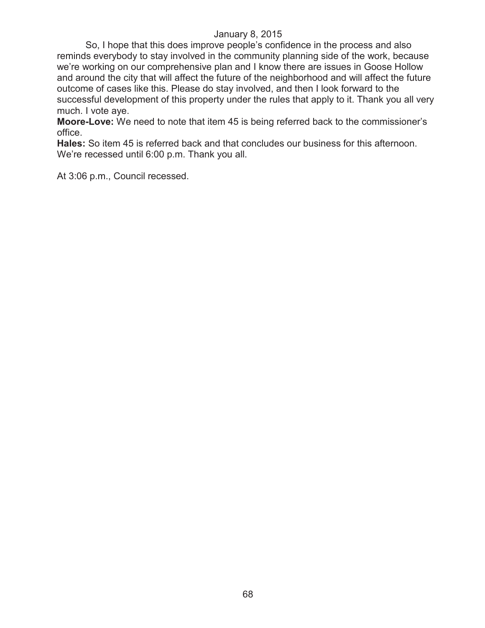So, I hope that this does improve people's confidence in the process and also reminds everybody to stay involved in the community planning side of the work, because we're working on our comprehensive plan and I know there are issues in Goose Hollow and around the city that will affect the future of the neighborhood and will affect the future outcome of cases like this. Please do stay involved, and then I look forward to the successful development of this property under the rules that apply to it. Thank you all very much. I vote aye.

**Moore-Love:** We need to note that item 45 is being referred back to the commissioner's office.

**Hales:** So item 45 is referred back and that concludes our business for this afternoon. We're recessed until 6:00 p.m. Thank you all.

At 3:06 p.m., Council recessed.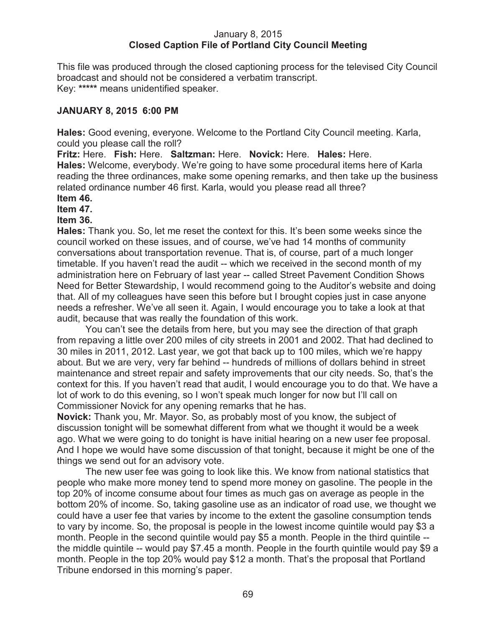## January 8, 2015 **Closed Caption File of Portland City Council Meeting**

This file was produced through the closed captioning process for the televised City Council broadcast and should not be considered a verbatim transcript. Key: **\*\*\*\*\*** means unidentified speaker.

## **JANUARY 8, 2015 6:00 PM**

**Hales:** Good evening, everyone. Welcome to the Portland City Council meeting. Karla, could you please call the roll?

**Fritz:** Here. **Fish:** Here. **Saltzman:** Here. **Novick:** Here. **Hales:** Here.

**Hales:** Welcome, everybody. We're going to have some procedural items here of Karla reading the three ordinances, make some opening remarks, and then take up the business related ordinance number 46 first. Karla, would you please read all three?

## **Item 46.**

**Item 47.**

## **Item 36.**

**Hales:** Thank you. So, let me reset the context for this. It's been some weeks since the council worked on these issues, and of course, we've had 14 months of community conversations about transportation revenue. That is, of course, part of a much longer timetable. If you haven't read the audit -- which we received in the second month of my administration here on February of last year -- called Street Pavement Condition Shows Need for Better Stewardship, I would recommend going to the Auditor's website and doing that. All of my colleagues have seen this before but I brought copies just in case anyone needs a refresher. We've all seen it. Again, I would encourage you to take a look at that audit, because that was really the foundation of this work.

You can't see the details from here, but you may see the direction of that graph from repaving a little over 200 miles of city streets in 2001 and 2002. That had declined to 30 miles in 2011, 2012. Last year, we got that back up to 100 miles, which we're happy about. But we are very, very far behind -- hundreds of millions of dollars behind in street maintenance and street repair and safety improvements that our city needs. So, that's the context for this. If you haven't read that audit, I would encourage you to do that. We have a lot of work to do this evening, so I won't speak much longer for now but I'll call on Commissioner Novick for any opening remarks that he has.

**Novick:** Thank you, Mr. Mayor. So, as probably most of you know, the subject of discussion tonight will be somewhat different from what we thought it would be a week ago. What we were going to do tonight is have initial hearing on a new user fee proposal. And I hope we would have some discussion of that tonight, because it might be one of the things we send out for an advisory vote.

The new user fee was going to look like this. We know from national statistics that people who make more money tend to spend more money on gasoline. The people in the top 20% of income consume about four times as much gas on average as people in the bottom 20% of income. So, taking gasoline use as an indicator of road use, we thought we could have a user fee that varies by income to the extent the gasoline consumption tends to vary by income. So, the proposal is people in the lowest income quintile would pay \$3 a month. People in the second quintile would pay \$5 a month. People in the third quintile - the middle quintile -- would pay \$7.45 a month. People in the fourth quintile would pay \$9 a month. People in the top 20% would pay \$12 a month. That's the proposal that Portland Tribune endorsed in this morning's paper.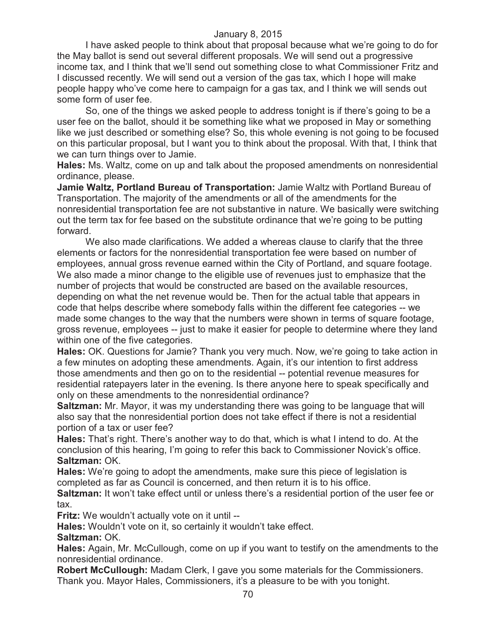I have asked people to think about that proposal because what we're going to do for the May ballot is send out several different proposals. We will send out a progressive income tax, and I think that we'll send out something close to what Commissioner Fritz and I discussed recently. We will send out a version of the gas tax, which I hope will make people happy who've come here to campaign for a gas tax, and I think we will sends out some form of user fee.

So, one of the things we asked people to address tonight is if there's going to be a user fee on the ballot, should it be something like what we proposed in May or something like we just described or something else? So, this whole evening is not going to be focused on this particular proposal, but I want you to think about the proposal. With that, I think that we can turn things over to Jamie.

**Hales:** Ms. Waltz, come on up and talk about the proposed amendments on nonresidential ordinance, please.

**Jamie Waltz, Portland Bureau of Transportation:** Jamie Waltz with Portland Bureau of Transportation. The majority of the amendments or all of the amendments for the nonresidential transportation fee are not substantive in nature. We basically were switching out the term tax for fee based on the substitute ordinance that we're going to be putting forward.

We also made clarifications. We added a whereas clause to clarify that the three elements or factors for the nonresidential transportation fee were based on number of employees, annual gross revenue earned within the City of Portland, and square footage. We also made a minor change to the eligible use of revenues just to emphasize that the number of projects that would be constructed are based on the available resources, depending on what the net revenue would be. Then for the actual table that appears in code that helps describe where somebody falls within the different fee categories -- we made some changes to the way that the numbers were shown in terms of square footage, gross revenue, employees -- just to make it easier for people to determine where they land within one of the five categories.

**Hales:** OK. Questions for Jamie? Thank you very much. Now, we're going to take action in a few minutes on adopting these amendments. Again, it's our intention to first address those amendments and then go on to the residential -- potential revenue measures for residential ratepayers later in the evening. Is there anyone here to speak specifically and only on these amendments to the nonresidential ordinance?

**Saltzman:** Mr. Mayor, it was my understanding there was going to be language that will also say that the nonresidential portion does not take effect if there is not a residential portion of a tax or user fee?

**Hales:** That's right. There's another way to do that, which is what I intend to do. At the conclusion of this hearing, I'm going to refer this back to Commissioner Novick's office. **Saltzman:** OK.

**Hales:** We're going to adopt the amendments, make sure this piece of legislation is completed as far as Council is concerned, and then return it is to his office.

**Saltzman:** It won't take effect until or unless there's a residential portion of the user fee or tax.

**Fritz:** We wouldn't actually vote on it until --

**Hales:** Wouldn't vote on it, so certainly it wouldn't take effect.

**Saltzman:** OK.

**Hales:** Again, Mr. McCullough, come on up if you want to testify on the amendments to the nonresidential ordinance.

**Robert McCullough:** Madam Clerk, I gave you some materials for the Commissioners. Thank you. Mayor Hales, Commissioners, it's a pleasure to be with you tonight.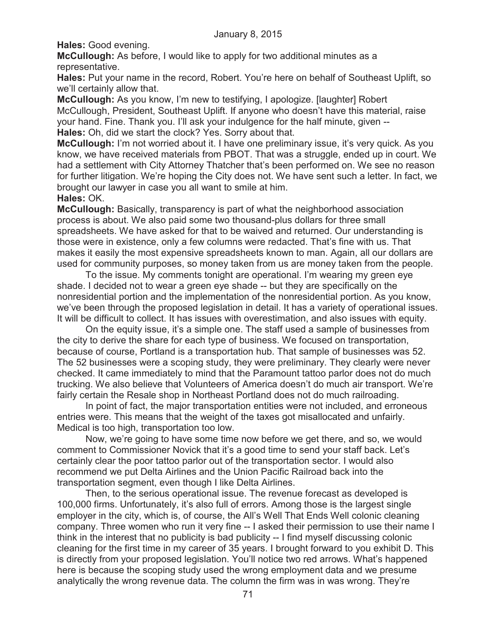**Hales:** Good evening.

**McCullough:** As before, I would like to apply for two additional minutes as a representative.

**Hales:** Put your name in the record, Robert. You're here on behalf of Southeast Uplift, so we'll certainly allow that.

**McCullough:** As you know, I'm new to testifying, I apologize. [laughter] Robert McCullough, President, Southeast Uplift. If anyone who doesn't have this material, raise your hand. Fine. Thank you. I'll ask your indulgence for the half minute, given -- **Hales:** Oh, did we start the clock? Yes. Sorry about that.

**McCullough:** I'm not worried about it. I have one preliminary issue, it's very quick. As you know, we have received materials from PBOT. That was a struggle, ended up in court. We had a settlement with City Attorney Thatcher that's been performed on. We see no reason for further litigation. We're hoping the City does not. We have sent such a letter. In fact, we brought our lawyer in case you all want to smile at him.

## **Hales:** OK.

**McCullough:** Basically, transparency is part of what the neighborhood association process is about. We also paid some two thousand-plus dollars for three small spreadsheets. We have asked for that to be waived and returned. Our understanding is those were in existence, only a few columns were redacted. That's fine with us. That makes it easily the most expensive spreadsheets known to man. Again, all our dollars are used for community purposes, so money taken from us are money taken from the people.

To the issue. My comments tonight are operational. I'm wearing my green eye shade. I decided not to wear a green eye shade -- but they are specifically on the nonresidential portion and the implementation of the nonresidential portion. As you know, we've been through the proposed legislation in detail. It has a variety of operational issues. It will be difficult to collect. It has issues with overestimation, and also issues with equity.

On the equity issue, it's a simple one. The staff used a sample of businesses from the city to derive the share for each type of business. We focused on transportation, because of course, Portland is a transportation hub. That sample of businesses was 52. The 52 businesses were a scoping study, they were preliminary. They clearly were never checked. It came immediately to mind that the Paramount tattoo parlor does not do much trucking. We also believe that Volunteers of America doesn't do much air transport. We're fairly certain the Resale shop in Northeast Portland does not do much railroading.

In point of fact, the major transportation entities were not included, and erroneous entries were. This means that the weight of the taxes got misallocated and unfairly. Medical is too high, transportation too low.

Now, we're going to have some time now before we get there, and so, we would comment to Commissioner Novick that it's a good time to send your staff back. Let's certainly clear the poor tattoo parlor out of the transportation sector. I would also recommend we put Delta Airlines and the Union Pacific Railroad back into the transportation segment, even though I like Delta Airlines.

Then, to the serious operational issue. The revenue forecast as developed is 100,000 firms. Unfortunately, it's also full of errors. Among those is the largest single employer in the city, which is, of course, the All's Well That Ends Well colonic cleaning company. Three women who run it very fine -- I asked their permission to use their name I think in the interest that no publicity is bad publicity -- I find myself discussing colonic cleaning for the first time in my career of 35 years. I brought forward to you exhibit D. This is directly from your proposed legislation. You'll notice two red arrows. What's happened here is because the scoping study used the wrong employment data and we presume analytically the wrong revenue data. The column the firm was in was wrong. They're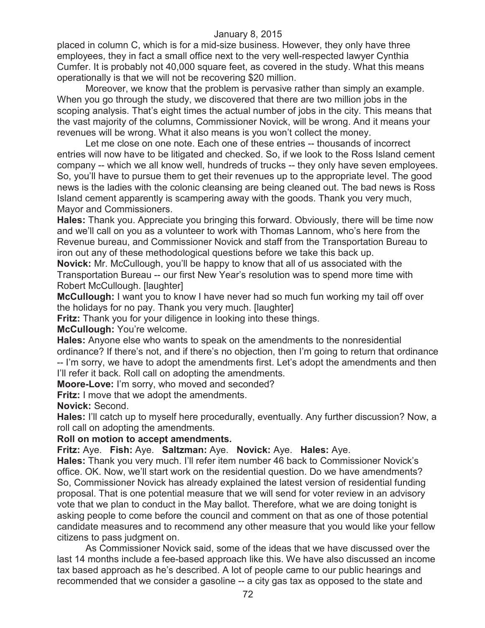placed in column C, which is for a mid-size business. However, they only have three employees, they in fact a small office next to the very well-respected lawyer Cynthia Cumfer. It is probably not 40,000 square feet, as covered in the study. What this means operationally is that we will not be recovering \$20 million.

Moreover, we know that the problem is pervasive rather than simply an example. When you go through the study, we discovered that there are two million jobs in the scoping analysis. That's eight times the actual number of jobs in the city. This means that the vast majority of the columns, Commissioner Novick, will be wrong. And it means your revenues will be wrong. What it also means is you won't collect the money.

Let me close on one note. Each one of these entries -- thousands of incorrect entries will now have to be litigated and checked. So, if we look to the Ross Island cement company -- which we all know well, hundreds of trucks -- they only have seven employees. So, you'll have to pursue them to get their revenues up to the appropriate level. The good news is the ladies with the colonic cleansing are being cleaned out. The bad news is Ross Island cement apparently is scampering away with the goods. Thank you very much, Mayor and Commissioners.

**Hales:** Thank you. Appreciate you bringing this forward. Obviously, there will be time now and we'll call on you as a volunteer to work with Thomas Lannom, who's here from the Revenue bureau, and Commissioner Novick and staff from the Transportation Bureau to iron out any of these methodological questions before we take this back up.

**Novick:** Mr. McCullough, you'll be happy to know that all of us associated with the Transportation Bureau -- our first New Year's resolution was to spend more time with Robert McCullough. [laughter]

**McCullough:** I want you to know I have never had so much fun working my tail off over the holidays for no pay. Thank you very much. [laughter]

**Fritz:** Thank you for your diligence in looking into these things.

**McCullough:** You're welcome.

**Hales:** Anyone else who wants to speak on the amendments to the nonresidential ordinance? If there's not, and if there's no objection, then I'm going to return that ordinance -- I'm sorry, we have to adopt the amendments first. Let's adopt the amendments and then I'll refer it back. Roll call on adopting the amendments.

**Moore-Love:** I'm sorry, who moved and seconded?

**Fritz:** I move that we adopt the amendments.

**Novick:** Second.

**Hales:** I'll catch up to myself here procedurally, eventually. Any further discussion? Now, a roll call on adopting the amendments.

## **Roll on motion to accept amendments.**

**Fritz:** Aye. **Fish:** Aye. **Saltzman:** Aye. **Novick:** Aye. **Hales:** Aye.

**Hales:** Thank you very much. I'll refer item number 46 back to Commissioner Novick's office. OK. Now, we'll start work on the residential question. Do we have amendments? So, Commissioner Novick has already explained the latest version of residential funding proposal. That is one potential measure that we will send for voter review in an advisory vote that we plan to conduct in the May ballot. Therefore, what we are doing tonight is asking people to come before the council and comment on that as one of those potential candidate measures and to recommend any other measure that you would like your fellow citizens to pass judgment on.

As Commissioner Novick said, some of the ideas that we have discussed over the last 14 months include a fee-based approach like this. We have also discussed an income tax based approach as he's described. A lot of people came to our public hearings and recommended that we consider a gasoline -- a city gas tax as opposed to the state and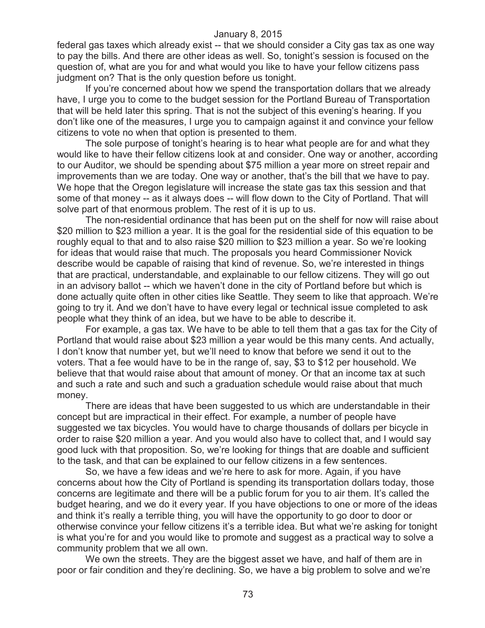federal gas taxes which already exist -- that we should consider a City gas tax as one way to pay the bills. And there are other ideas as well. So, tonight's session is focused on the question of, what are you for and what would you like to have your fellow citizens pass judgment on? That is the only question before us tonight.

If you're concerned about how we spend the transportation dollars that we already have, I urge you to come to the budget session for the Portland Bureau of Transportation that will be held later this spring. That is not the subject of this evening's hearing. If you don't like one of the measures, I urge you to campaign against it and convince your fellow citizens to vote no when that option is presented to them.

The sole purpose of tonight's hearing is to hear what people are for and what they would like to have their fellow citizens look at and consider. One way or another, according to our Auditor, we should be spending about \$75 million a year more on street repair and improvements than we are today. One way or another, that's the bill that we have to pay. We hope that the Oregon legislature will increase the state gas tax this session and that some of that money -- as it always does -- will flow down to the City of Portland. That will solve part of that enormous problem. The rest of it is up to us.

The non-residential ordinance that has been put on the shelf for now will raise about \$20 million to \$23 million a year. It is the goal for the residential side of this equation to be roughly equal to that and to also raise \$20 million to \$23 million a year. So we're looking for ideas that would raise that much. The proposals you heard Commissioner Novick describe would be capable of raising that kind of revenue. So, we're interested in things that are practical, understandable, and explainable to our fellow citizens. They will go out in an advisory ballot -- which we haven't done in the city of Portland before but which is done actually quite often in other cities like Seattle. They seem to like that approach. We're going to try it. And we don't have to have every legal or technical issue completed to ask people what they think of an idea, but we have to be able to describe it.

For example, a gas tax. We have to be able to tell them that a gas tax for the City of Portland that would raise about \$23 million a year would be this many cents. And actually, I don't know that number yet, but we'll need to know that before we send it out to the voters. That a fee would have to be in the range of, say, \$3 to \$12 per household. We believe that that would raise about that amount of money. Or that an income tax at such and such a rate and such and such a graduation schedule would raise about that much money.

There are ideas that have been suggested to us which are understandable in their concept but are impractical in their effect. For example, a number of people have suggested we tax bicycles. You would have to charge thousands of dollars per bicycle in order to raise \$20 million a year. And you would also have to collect that, and I would say good luck with that proposition. So, we're looking for things that are doable and sufficient to the task, and that can be explained to our fellow citizens in a few sentences.

So, we have a few ideas and we're here to ask for more. Again, if you have concerns about how the City of Portland is spending its transportation dollars today, those concerns are legitimate and there will be a public forum for you to air them. It's called the budget hearing, and we do it every year. If you have objections to one or more of the ideas and think it's really a terrible thing, you will have the opportunity to go door to door or otherwise convince your fellow citizens it's a terrible idea. But what we're asking for tonight is what you're for and you would like to promote and suggest as a practical way to solve a community problem that we all own.

We own the streets. They are the biggest asset we have, and half of them are in poor or fair condition and they're declining. So, we have a big problem to solve and we're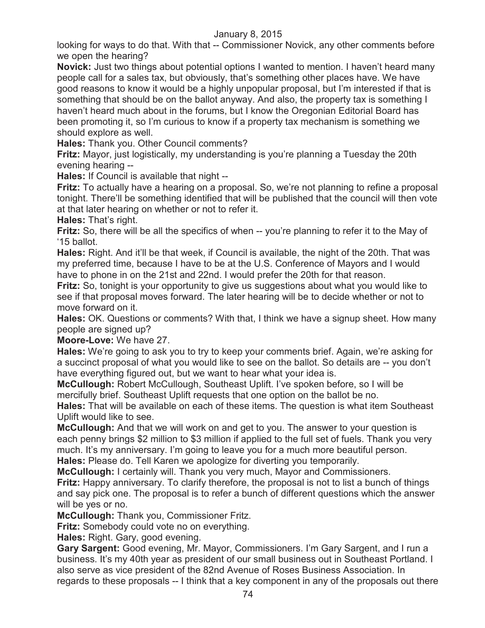looking for ways to do that. With that -- Commissioner Novick, any other comments before we open the hearing?

**Novick:** Just two things about potential options I wanted to mention. I haven't heard many people call for a sales tax, but obviously, that's something other places have. We have good reasons to know it would be a highly unpopular proposal, but I'm interested if that is something that should be on the ballot anyway. And also, the property tax is something I haven't heard much about in the forums, but I know the Oregonian Editorial Board has been promoting it, so I'm curious to know if a property tax mechanism is something we should explore as well.

**Hales:** Thank you. Other Council comments?

**Fritz:** Mayor, just logistically, my understanding is you're planning a Tuesday the 20th evening hearing --

**Hales:** If Council is available that night --

**Fritz:** To actually have a hearing on a proposal. So, we're not planning to refine a proposal tonight. There'll be something identified that will be published that the council will then vote at that later hearing on whether or not to refer it.

**Hales:** That's right.

**Fritz:** So, there will be all the specifics of when -- you're planning to refer it to the May of '15 ballot.

**Hales:** Right. And it'll be that week, if Council is available, the night of the 20th. That was my preferred time, because I have to be at the U.S. Conference of Mayors and I would have to phone in on the 21st and 22nd. I would prefer the 20th for that reason.

**Fritz:** So, tonight is your opportunity to give us suggestions about what you would like to see if that proposal moves forward. The later hearing will be to decide whether or not to move forward on it.

**Hales:** OK. Questions or comments? With that, I think we have a signup sheet. How many people are signed up?

**Moore-Love:** We have 27.

**Hales:** We're going to ask you to try to keep your comments brief. Again, we're asking for a succinct proposal of what you would like to see on the ballot. So details are -- you don't have everything figured out, but we want to hear what your idea is.

**McCullough:** Robert McCullough, Southeast Uplift. I've spoken before, so I will be mercifully brief. Southeast Uplift requests that one option on the ballot be no.

**Hales:** That will be available on each of these items. The question is what item Southeast Uplift would like to see.

**McCullough:** And that we will work on and get to you. The answer to your question is each penny brings \$2 million to \$3 million if applied to the full set of fuels. Thank you very much. It's my anniversary. I'm going to leave you for a much more beautiful person.

**Hales:** Please do. Tell Karen we apologize for diverting you temporarily.

**McCullough:** I certainly will. Thank you very much, Mayor and Commissioners.

**Fritz:** Happy anniversary. To clarify therefore, the proposal is not to list a bunch of things and say pick one. The proposal is to refer a bunch of different questions which the answer will be yes or no.

**McCullough:** Thank you, Commissioner Fritz.

**Fritz:** Somebody could vote no on everything.

**Hales:** Right. Gary, good evening.

**Gary Sargent:** Good evening, Mr. Mayor, Commissioners. I'm Gary Sargent, and I run a business. It's my 40th year as president of our small business out in Southeast Portland. I also serve as vice president of the 82nd Avenue of Roses Business Association. In regards to these proposals -- I think that a key component in any of the proposals out there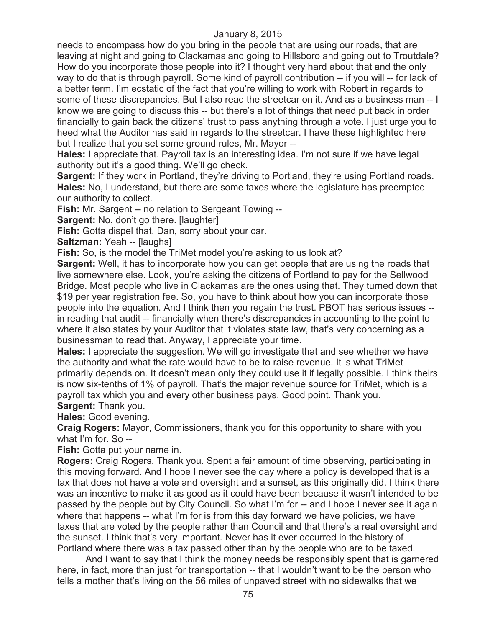needs to encompass how do you bring in the people that are using our roads, that are leaving at night and going to Clackamas and going to Hillsboro and going out to Troutdale? How do you incorporate those people into it? I thought very hard about that and the only way to do that is through payroll. Some kind of payroll contribution -- if you will -- for lack of a better term. I'm ecstatic of the fact that you're willing to work with Robert in regards to some of these discrepancies. But I also read the streetcar on it. And as a business man -- I know we are going to discuss this -- but there's a lot of things that need put back in order financially to gain back the citizens' trust to pass anything through a vote. I just urge you to heed what the Auditor has said in regards to the streetcar. I have these highlighted here but I realize that you set some ground rules, Mr. Mayor --

**Hales:** I appreciate that. Payroll tax is an interesting idea. I'm not sure if we have legal authority but it's a good thing. We'll go check.

**Sargent:** If they work in Portland, they're driving to Portland, they're using Portland roads. **Hales:** No, I understand, but there are some taxes where the legislature has preempted our authority to collect.

**Fish:** Mr. Sargent -- no relation to Sergeant Towing --

**Sargent:** No, don't go there. [laughter]

**Fish:** Gotta dispel that. Dan, sorry about your car.

**Saltzman: Yeah -- [laughs]** 

**Fish:** So, is the model the TriMet model you're asking to us look at?

**Sargent:** Well, it has to incorporate how you can get people that are using the roads that live somewhere else. Look, you're asking the citizens of Portland to pay for the Sellwood Bridge. Most people who live in Clackamas are the ones using that. They turned down that \$19 per year registration fee. So, you have to think about how you can incorporate those people into the equation. And I think then you regain the trust. PBOT has serious issues - in reading that audit -- financially when there's discrepancies in accounting to the point to where it also states by your Auditor that it violates state law, that's very concerning as a businessman to read that. Anyway, I appreciate your time.

**Hales:** I appreciate the suggestion. We will go investigate that and see whether we have the authority and what the rate would have to be to raise revenue. It is what TriMet primarily depends on. It doesn't mean only they could use it if legally possible. I think theirs is now six-tenths of 1% of payroll. That's the major revenue source for TriMet, which is a payroll tax which you and every other business pays. Good point. Thank you. **Sargent:** Thank you.

**Hales:** Good evening.

**Craig Rogers:** Mayor, Commissioners, thank you for this opportunity to share with you what I'm for. So --

**Fish:** Gotta put your name in.

**Rogers:** Craig Rogers. Thank you. Spent a fair amount of time observing, participating in this moving forward. And I hope I never see the day where a policy is developed that is a tax that does not have a vote and oversight and a sunset, as this originally did. I think there was an incentive to make it as good as it could have been because it wasn't intended to be passed by the people but by City Council. So what I'm for -- and I hope I never see it again where that happens -- what I'm for is from this day forward we have policies, we have taxes that are voted by the people rather than Council and that there's a real oversight and the sunset. I think that's very important. Never has it ever occurred in the history of Portland where there was a tax passed other than by the people who are to be taxed.

And I want to say that I think the money needs be responsibly spent that is garnered here, in fact, more than just for transportation -- that I wouldn't want to be the person who tells a mother that's living on the 56 miles of unpaved street with no sidewalks that we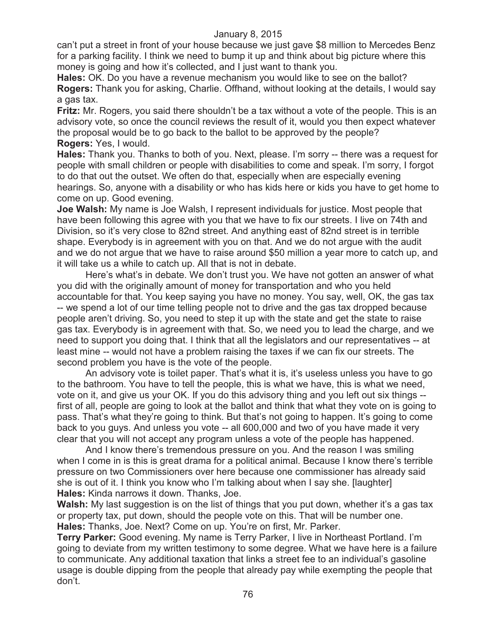can't put a street in front of your house because we just gave \$8 million to Mercedes Benz for a parking facility. I think we need to bump it up and think about big picture where this money is going and how it's collected, and I just want to thank you.

**Hales:** OK. Do you have a revenue mechanism you would like to see on the ballot? **Rogers:** Thank you for asking, Charlie. Offhand, without looking at the details, I would say a gas tax.

**Fritz:** Mr. Rogers, you said there shouldn't be a tax without a vote of the people. This is an advisory vote, so once the council reviews the result of it, would you then expect whatever the proposal would be to go back to the ballot to be approved by the people? **Rogers:** Yes, I would.

**Hales:** Thank you. Thanks to both of you. Next, please. I'm sorry -- there was a request for people with small children or people with disabilities to come and speak. I'm sorry, I forgot to do that out the outset. We often do that, especially when are especially evening hearings. So, anyone with a disability or who has kids here or kids you have to get home to come on up. Good evening.

**Joe Walsh:** My name is Joe Walsh, I represent individuals for justice. Most people that have been following this agree with you that we have to fix our streets. I live on 74th and Division, so it's very close to 82nd street. And anything east of 82nd street is in terrible shape. Everybody is in agreement with you on that. And we do not argue with the audit and we do not argue that we have to raise around \$50 million a year more to catch up, and it will take us a while to catch up. All that is not in debate.

Here's what's in debate. We don't trust you. We have not gotten an answer of what you did with the originally amount of money for transportation and who you held accountable for that. You keep saying you have no money. You say, well, OK, the gas tax -- we spend a lot of our time telling people not to drive and the gas tax dropped because people aren't driving. So, you need to step it up with the state and get the state to raise gas tax. Everybody is in agreement with that. So, we need you to lead the charge, and we need to support you doing that. I think that all the legislators and our representatives -- at least mine -- would not have a problem raising the taxes if we can fix our streets. The second problem you have is the vote of the people.

An advisory vote is toilet paper. That's what it is, it's useless unless you have to go to the bathroom. You have to tell the people, this is what we have, this is what we need, vote on it, and give us your OK. If you do this advisory thing and you left out six things - first of all, people are going to look at the ballot and think that what they vote on is going to pass. That's what they're going to think. But that's not going to happen. It's going to come back to you guys. And unless you vote -- all 600,000 and two of you have made it very clear that you will not accept any program unless a vote of the people has happened.

And I know there's tremendous pressure on you. And the reason I was smiling when I come in is this is great drama for a political animal. Because I know there's terrible pressure on two Commissioners over here because one commissioner has already said she is out of it. I think you know who I'm talking about when I say she. [laughter] **Hales:** Kinda narrows it down. Thanks, Joe.

**Walsh:** My last suggestion is on the list of things that you put down, whether it's a gas tax or property tax, put down, should the people vote on this. That will be number one. **Hales:** Thanks, Joe. Next? Come on up. You're on first, Mr. Parker.

**Terry Parker:** Good evening. My name is Terry Parker, I live in Northeast Portland. I'm going to deviate from my written testimony to some degree. What we have here is a failure to communicate. Any additional taxation that links a street fee to an individual's gasoline usage is double dipping from the people that already pay while exempting the people that don't.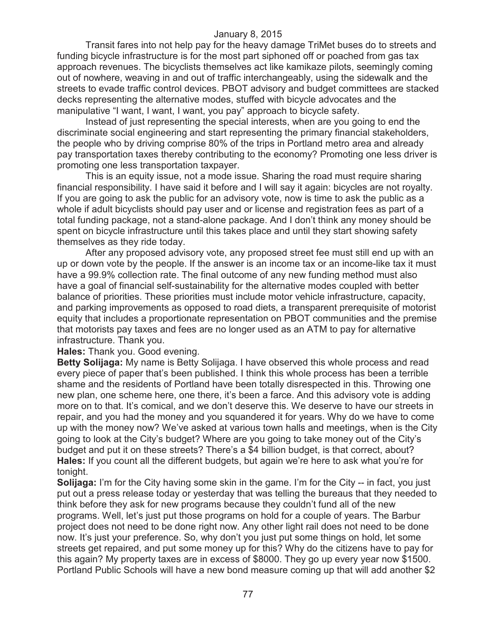Transit fares into not help pay for the heavy damage TriMet buses do to streets and funding bicycle infrastructure is for the most part siphoned off or poached from gas tax approach revenues. The bicyclists themselves act like kamikaze pilots, seemingly coming out of nowhere, weaving in and out of traffic interchangeably, using the sidewalk and the streets to evade traffic control devices. PBOT advisory and budget committees are stacked decks representing the alternative modes, stuffed with bicycle advocates and the manipulative "I want, I want, I want, you pay" approach to bicycle safety.

Instead of just representing the special interests, when are you going to end the discriminate social engineering and start representing the primary financial stakeholders, the people who by driving comprise 80% of the trips in Portland metro area and already pay transportation taxes thereby contributing to the economy? Promoting one less driver is promoting one less transportation taxpayer.

This is an equity issue, not a mode issue. Sharing the road must require sharing financial responsibility. I have said it before and I will say it again: bicycles are not royalty. If you are going to ask the public for an advisory vote, now is time to ask the public as a whole if adult bicyclists should pay user and or license and registration fees as part of a total funding package, not a stand-alone package. And I don't think any money should be spent on bicycle infrastructure until this takes place and until they start showing safety themselves as they ride today.

After any proposed advisory vote, any proposed street fee must still end up with an up or down vote by the people. If the answer is an income tax or an income-like tax it must have a 99.9% collection rate. The final outcome of any new funding method must also have a goal of financial self-sustainability for the alternative modes coupled with better balance of priorities. These priorities must include motor vehicle infrastructure, capacity, and parking improvements as opposed to road diets, a transparent prerequisite of motorist equity that includes a proportionate representation on PBOT communities and the premise that motorists pay taxes and fees are no longer used as an ATM to pay for alternative infrastructure. Thank you.

**Hales:** Thank you. Good evening.

**Betty Solijaga:** My name is Betty Solijaga. I have observed this whole process and read every piece of paper that's been published. I think this whole process has been a terrible shame and the residents of Portland have been totally disrespected in this. Throwing one new plan, one scheme here, one there, it's been a farce. And this advisory vote is adding more on to that. It's comical, and we don't deserve this. We deserve to have our streets in repair, and you had the money and you squandered it for years. Why do we have to come up with the money now? We've asked at various town halls and meetings, when is the City going to look at the City's budget? Where are you going to take money out of the City's budget and put it on these streets? There's a \$4 billion budget, is that correct, about? **Hales:** If you count all the different budgets, but again we're here to ask what you're for tonight.

**Solijaga:** I'm for the City having some skin in the game. I'm for the City -- in fact, you just put out a press release today or yesterday that was telling the bureaus that they needed to think before they ask for new programs because they couldn't fund all of the new programs. Well, let's just put those programs on hold for a couple of years. The Barbur project does not need to be done right now. Any other light rail does not need to be done now. It's just your preference. So, why don't you just put some things on hold, let some streets get repaired, and put some money up for this? Why do the citizens have to pay for this again? My property taxes are in excess of \$8000. They go up every year now \$1500. Portland Public Schools will have a new bond measure coming up that will add another \$2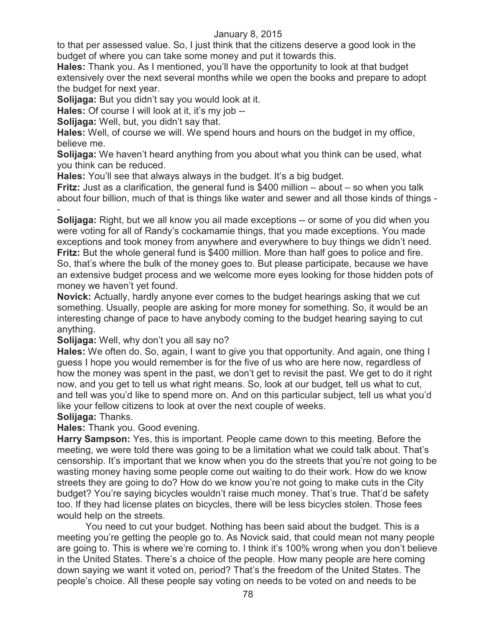to that per assessed value. So, I just think that the citizens deserve a good look in the budget of where you can take some money and put it towards this.

**Hales:** Thank you. As I mentioned, you'll have the opportunity to look at that budget extensively over the next several months while we open the books and prepare to adopt the budget for next year.

**Solijaga:** But you didn't say you would look at it.

**Hales:** Of course I will look at it, it's my job --

**Solijaga:** Well, but, you didn't say that.

**Hales:** Well, of course we will. We spend hours and hours on the budget in my office, believe me.

**Solijaga:** We haven't heard anything from you about what you think can be used, what you think can be reduced.

**Hales:** You'll see that always always in the budget. It's a big budget.

**Fritz:** Just as a clarification, the general fund is \$400 million – about – so when you talk about four billion, much of that is things like water and sewer and all those kinds of things - -

**Solijaga:** Right, but we all know you ail made exceptions -- or some of you did when you were voting for all of Randy's cockamamie things, that you made exceptions. You made exceptions and took money from anywhere and everywhere to buy things we didn't need. **Fritz:** But the whole general fund is \$400 million. More than half goes to police and fire. So, that's where the bulk of the money goes to. But please participate, because we have an extensive budget process and we welcome more eyes looking for those hidden pots of money we haven't yet found.

**Novick:** Actually, hardly anyone ever comes to the budget hearings asking that we cut something. Usually, people are asking for more money for something. So, it would be an interesting change of pace to have anybody coming to the budget hearing saying to cut anything.

# **Solijaga:** Well, why don't you all say no?

**Hales:** We often do. So, again, I want to give you that opportunity. And again, one thing I guess I hope you would remember is for the five of us who are here now, regardless of how the money was spent in the past, we don't get to revisit the past. We get to do it right now, and you get to tell us what right means. So, look at our budget, tell us what to cut, and tell was you'd like to spend more on. And on this particular subject, tell us what you'd like your fellow citizens to look at over the next couple of weeks.

#### **Solijaga:** Thanks.

**Hales:** Thank you. Good evening.

**Harry Sampson:** Yes, this is important. People came down to this meeting. Before the meeting, we were told there was going to be a limitation what we could talk about. That's censorship. It's important that we know when you do the streets that you're not going to be wasting money having some people come out waiting to do their work. How do we know streets they are going to do? How do we know you're not going to make cuts in the City budget? You're saying bicycles wouldn't raise much money. That's true. That'd be safety too. If they had license plates on bicycles, there will be less bicycles stolen. Those fees would help on the streets.

You need to cut your budget. Nothing has been said about the budget. This is a meeting you're getting the people go to. As Novick said, that could mean not many people are going to. This is where we're coming to. I think it's 100% wrong when you don't believe in the United States. There's a choice of the people. How many people are here coming down saying we want it voted on, period? That's the freedom of the United States. The people's choice. All these people say voting on needs to be voted on and needs to be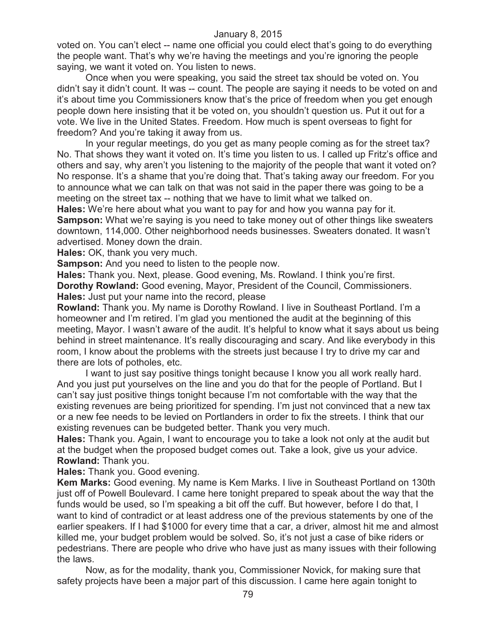voted on. You can't elect -- name one official you could elect that's going to do everything the people want. That's why we're having the meetings and you're ignoring the people saying, we want it voted on. You listen to news.

Once when you were speaking, you said the street tax should be voted on. You didn't say it didn't count. It was -- count. The people are saying it needs to be voted on and it's about time you Commissioners know that's the price of freedom when you get enough people down here insisting that it be voted on, you shouldn't question us. Put it out for a vote. We live in the United States. Freedom. How much is spent overseas to fight for freedom? And you're taking it away from us.

In your regular meetings, do you get as many people coming as for the street tax? No. That shows they want it voted on. It's time you listen to us. I called up Fritz's office and others and say, why aren't you listening to the majority of the people that want it voted on? No response. It's a shame that you're doing that. That's taking away our freedom. For you to announce what we can talk on that was not said in the paper there was going to be a meeting on the street tax -- nothing that we have to limit what we talked on.

**Hales:** We're here about what you want to pay for and how you wanna pay for it. **Sampson:** What we're saying is you need to take money out of other things like sweaters downtown, 114,000. Other neighborhood needs businesses. Sweaters donated. It wasn't advertised. Money down the drain.

**Hales:** OK, thank you very much.

**Sampson:** And you need to listen to the people now.

**Hales:** Thank you. Next, please. Good evening, Ms. Rowland. I think you're first. **Dorothy Rowland:** Good evening, Mayor, President of the Council, Commissioners. **Hales:** Just put your name into the record, please

**Rowland:** Thank you. My name is Dorothy Rowland. I live in Southeast Portland. I'm a homeowner and I'm retired. I'm glad you mentioned the audit at the beginning of this meeting, Mayor. I wasn't aware of the audit. It's helpful to know what it says about us being behind in street maintenance. It's really discouraging and scary. And like everybody in this room, I know about the problems with the streets just because I try to drive my car and there are lots of potholes, etc.

I want to just say positive things tonight because I know you all work really hard. And you just put yourselves on the line and you do that for the people of Portland. But I can't say just positive things tonight because I'm not comfortable with the way that the existing revenues are being prioritized for spending. I'm just not convinced that a new tax or a new fee needs to be levied on Portlanders in order to fix the streets. I think that our existing revenues can be budgeted better. Thank you very much.

**Hales:** Thank you. Again, I want to encourage you to take a look not only at the audit but at the budget when the proposed budget comes out. Take a look, give us your advice. **Rowland:** Thank you.

**Hales:** Thank you. Good evening.

**Kem Marks:** Good evening. My name is Kem Marks. I live in Southeast Portland on 130th just off of Powell Boulevard. I came here tonight prepared to speak about the way that the funds would be used, so I'm speaking a bit off the cuff. But however, before I do that, I want to kind of contradict or at least address one of the previous statements by one of the earlier speakers. If I had \$1000 for every time that a car, a driver, almost hit me and almost killed me, your budget problem would be solved. So, it's not just a case of bike riders or pedestrians. There are people who drive who have just as many issues with their following the laws.

Now, as for the modality, thank you, Commissioner Novick, for making sure that safety projects have been a major part of this discussion. I came here again tonight to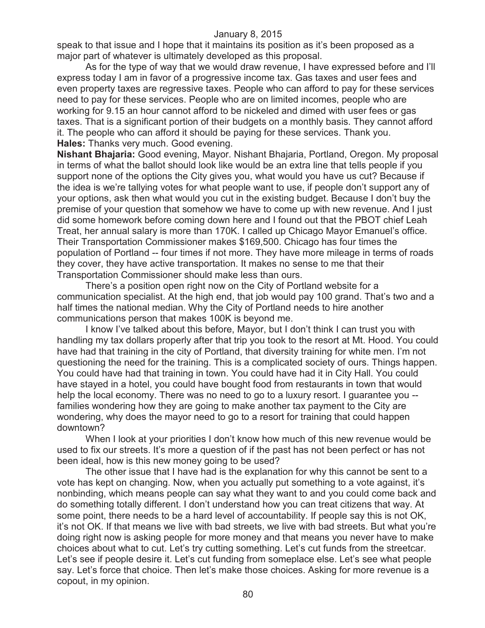speak to that issue and I hope that it maintains its position as it's been proposed as a major part of whatever is ultimately developed as this proposal.

As for the type of way that we would draw revenue, I have expressed before and I'll express today I am in favor of a progressive income tax. Gas taxes and user fees and even property taxes are regressive taxes. People who can afford to pay for these services need to pay for these services. People who are on limited incomes, people who are working for 9.15 an hour cannot afford to be nickeled and dimed with user fees or gas taxes. That is a significant portion of their budgets on a monthly basis. They cannot afford it. The people who can afford it should be paying for these services. Thank you. **Hales:** Thanks very much. Good evening.

**Nishant Bhajaria:** Good evening, Mayor. Nishant Bhajaria, Portland, Oregon. My proposal in terms of what the ballot should look like would be an extra line that tells people if you support none of the options the City gives you, what would you have us cut? Because if the idea is we're tallying votes for what people want to use, if people don't support any of your options, ask then what would you cut in the existing budget. Because I don't buy the premise of your question that somehow we have to come up with new revenue. And I just did some homework before coming down here and I found out that the PBOT chief Leah Treat, her annual salary is more than 170K. I called up Chicago Mayor Emanuel's office. Their Transportation Commissioner makes \$169,500. Chicago has four times the population of Portland -- four times if not more. They have more mileage in terms of roads they cover, they have active transportation. It makes no sense to me that their Transportation Commissioner should make less than ours.

There's a position open right now on the City of Portland website for a communication specialist. At the high end, that job would pay 100 grand. That's two and a half times the national median. Why the City of Portland needs to hire another communications person that makes 100K is beyond me.

I know I've talked about this before, Mayor, but I don't think I can trust you with handling my tax dollars properly after that trip you took to the resort at Mt. Hood. You could have had that training in the city of Portland, that diversity training for white men. I'm not questioning the need for the training. This is a complicated society of ours. Things happen. You could have had that training in town. You could have had it in City Hall. You could have stayed in a hotel, you could have bought food from restaurants in town that would help the local economy. There was no need to go to a luxury resort. I guarantee you - families wondering how they are going to make another tax payment to the City are wondering, why does the mayor need to go to a resort for training that could happen downtown?

When I look at your priorities I don't know how much of this new revenue would be used to fix our streets. It's more a question of if the past has not been perfect or has not been ideal, how is this new money going to be used?

The other issue that I have had is the explanation for why this cannot be sent to a vote has kept on changing. Now, when you actually put something to a vote against, it's nonbinding, which means people can say what they want to and you could come back and do something totally different. I don't understand how you can treat citizens that way. At some point, there needs to be a hard level of accountability. If people say this is not OK, it's not OK. If that means we live with bad streets, we live with bad streets. But what you're doing right now is asking people for more money and that means you never have to make choices about what to cut. Let's try cutting something. Let's cut funds from the streetcar. Let's see if people desire it. Let's cut funding from someplace else. Let's see what people say. Let's force that choice. Then let's make those choices. Asking for more revenue is a copout, in my opinion.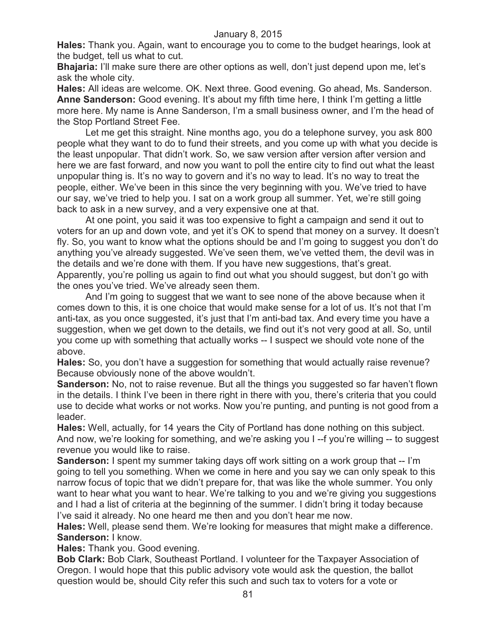**Hales:** Thank you. Again, want to encourage you to come to the budget hearings, look at the budget, tell us what to cut.

**Bhajaria:** I'll make sure there are other options as well, don't just depend upon me, let's ask the whole city.

**Hales:** All ideas are welcome. OK. Next three. Good evening. Go ahead, Ms. Sanderson. **Anne Sanderson:** Good evening. It's about my fifth time here, I think I'm getting a little more here. My name is Anne Sanderson, I'm a small business owner, and I'm the head of the Stop Portland Street Fee.

Let me get this straight. Nine months ago, you do a telephone survey, you ask 800 people what they want to do to fund their streets, and you come up with what you decide is the least unpopular. That didn't work. So, we saw version after version after version and here we are fast forward, and now you want to poll the entire city to find out what the least unpopular thing is. It's no way to govern and it's no way to lead. It's no way to treat the people, either. We've been in this since the very beginning with you. We've tried to have our say, we've tried to help you. I sat on a work group all summer. Yet, we're still going back to ask in a new survey, and a very expensive one at that.

At one point, you said it was too expensive to fight a campaign and send it out to voters for an up and down vote, and yet it's OK to spend that money on a survey. It doesn't fly. So, you want to know what the options should be and I'm going to suggest you don't do anything you've already suggested. We've seen them, we've vetted them, the devil was in the details and we're done with them. If you have new suggestions, that's great. Apparently, you're polling us again to find out what you should suggest, but don't go with the ones you've tried. We've already seen them.

And I'm going to suggest that we want to see none of the above because when it comes down to this, it is one choice that would make sense for a lot of us. It's not that I'm anti-tax, as you once suggested, it's just that I'm anti-bad tax. And every time you have a suggestion, when we get down to the details, we find out it's not very good at all. So, until you come up with something that actually works -- I suspect we should vote none of the above.

**Hales:** So, you don't have a suggestion for something that would actually raise revenue? Because obviously none of the above wouldn't.

**Sanderson:** No, not to raise revenue. But all the things you suggested so far haven't flown in the details. I think I've been in there right in there with you, there's criteria that you could use to decide what works or not works. Now you're punting, and punting is not good from a leader.

**Hales:** Well, actually, for 14 years the City of Portland has done nothing on this subject. And now, we're looking for something, and we're asking you I --f you're willing -- to suggest revenue you would like to raise.

**Sanderson:** I spent my summer taking days off work sitting on a work group that -- I'm going to tell you something. When we come in here and you say we can only speak to this narrow focus of topic that we didn't prepare for, that was like the whole summer. You only want to hear what you want to hear. We're talking to you and we're giving you suggestions and I had a list of criteria at the beginning of the summer. I didn't bring it today because I've said it already. No one heard me then and you don't hear me now.

**Hales:** Well, please send them. We're looking for measures that might make a difference. **Sanderson:** I know.

**Hales:** Thank you. Good evening.

**Bob Clark:** Bob Clark, Southeast Portland. I volunteer for the Taxpayer Association of Oregon. I would hope that this public advisory vote would ask the question, the ballot question would be, should City refer this such and such tax to voters for a vote or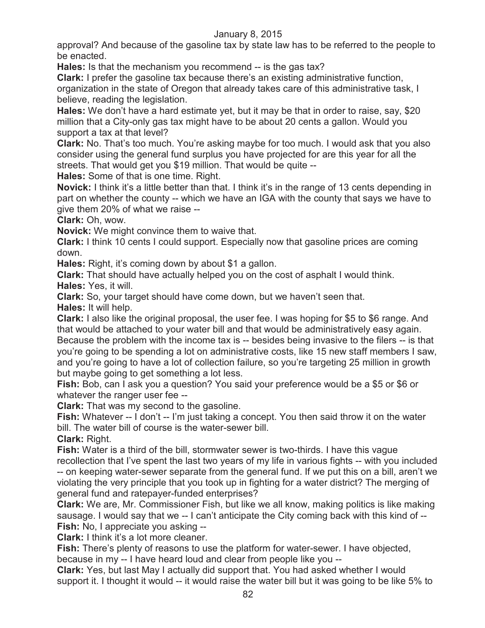approval? And because of the gasoline tax by state law has to be referred to the people to be enacted.

**Hales:** Is that the mechanism you recommend -- is the gas tax?

**Clark:** I prefer the gasoline tax because there's an existing administrative function,

organization in the state of Oregon that already takes care of this administrative task, I believe, reading the legislation.

**Hales:** We don't have a hard estimate yet, but it may be that in order to raise, say, \$20 million that a City-only gas tax might have to be about 20 cents a gallon. Would you support a tax at that level?

**Clark:** No. That's too much. You're asking maybe for too much. I would ask that you also consider using the general fund surplus you have projected for are this year for all the streets. That would get you \$19 million. That would be quite --

**Hales:** Some of that is one time. Right.

**Novick:** I think it's a little better than that. I think it's in the range of 13 cents depending in part on whether the county -- which we have an IGA with the county that says we have to give them 20% of what we raise --

**Clark:** Oh, wow.

**Novick:** We might convince them to waive that.

**Clark:** I think 10 cents I could support. Especially now that gasoline prices are coming down.

**Hales:** Right, it's coming down by about \$1 a gallon.

**Clark:** That should have actually helped you on the cost of asphalt I would think. **Hales:** Yes, it will.

**Clark:** So, your target should have come down, but we haven't seen that.

**Hales:** It will help.

**Clark:** I also like the original proposal, the user fee. I was hoping for \$5 to \$6 range. And that would be attached to your water bill and that would be administratively easy again. Because the problem with the income tax is -- besides being invasive to the filers -- is that you're going to be spending a lot on administrative costs, like 15 new staff members I saw, and you're going to have a lot of collection failure, so you're targeting 25 million in growth but maybe going to get something a lot less.

**Fish:** Bob, can I ask you a question? You said your preference would be a \$5 or \$6 or whatever the ranger user fee --

**Clark:** That was my second to the gasoline.

**Fish:** Whatever -- I don't -- I'm just taking a concept. You then said throw it on the water bill. The water bill of course is the water-sewer bill.

**Clark:** Right.

**Fish:** Water is a third of the bill, stormwater sewer is two-thirds. I have this vague recollection that I've spent the last two years of my life in various fights -- with you included

-- on keeping water-sewer separate from the general fund. If we put this on a bill, aren't we violating the very principle that you took up in fighting for a water district? The merging of general fund and ratepayer-funded enterprises?

**Clark:** We are, Mr. Commissioner Fish, but like we all know, making politics is like making sausage. I would say that we -- I can't anticipate the City coming back with this kind of -- **Fish:** No, I appreciate you asking --

**Clark:** I think it's a lot more cleaner.

**Fish:** There's plenty of reasons to use the platform for water-sewer. I have objected, because in my -- I have heard loud and clear from people like you --

**Clark:** Yes, but last May I actually did support that. You had asked whether I would support it. I thought it would -- it would raise the water bill but it was going to be like 5% to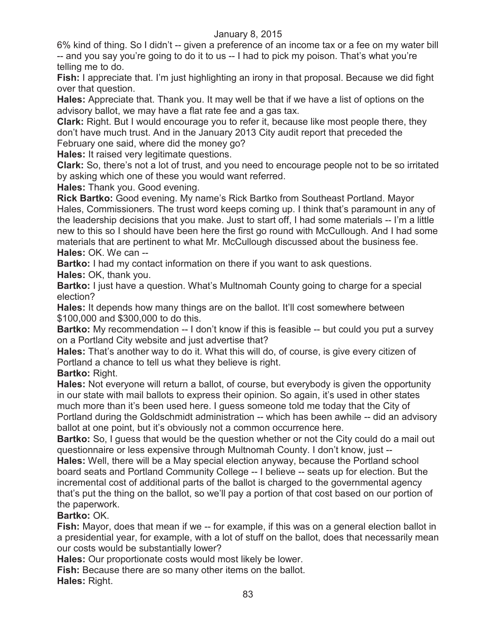6% kind of thing. So I didn't -- given a preference of an income tax or a fee on my water bill -- and you say you're going to do it to us -- I had to pick my poison. That's what you're telling me to do.

**Fish:** I appreciate that. I'm just highlighting an irony in that proposal. Because we did fight over that question.

**Hales:** Appreciate that. Thank you. It may well be that if we have a list of options on the advisory ballot, we may have a flat rate fee and a gas tax.

**Clark:** Right. But I would encourage you to refer it, because like most people there, they don't have much trust. And in the January 2013 City audit report that preceded the February one said, where did the money go?

**Hales:** It raised very legitimate questions.

**Clark:** So, there's not a lot of trust, and you need to encourage people not to be so irritated by asking which one of these you would want referred.

**Hales:** Thank you. Good evening.

**Rick Bartko:** Good evening. My name's Rick Bartko from Southeast Portland. Mayor Hales, Commissioners. The trust word keeps coming up. I think that's paramount in any of the leadership decisions that you make. Just to start off, I had some materials -- I'm a little new to this so I should have been here the first go round with McCullough. And I had some materials that are pertinent to what Mr. McCullough discussed about the business fee. **Hales:** OK. We can --

**Bartko:** I had my contact information on there if you want to ask questions.

**Hales:** OK, thank you.

**Bartko:** I just have a question. What's Multnomah County going to charge for a special election?

**Hales:** It depends how many things are on the ballot. It'll cost somewhere between \$100,000 and \$300,000 to do this.

**Bartko:** My recommendation -- I don't know if this is feasible -- but could you put a survey on a Portland City website and just advertise that?

**Hales:** That's another way to do it. What this will do, of course, is give every citizen of Portland a chance to tell us what they believe is right.

**Bartko:** Right.

**Hales:** Not everyone will return a ballot, of course, but everybody is given the opportunity in our state with mail ballots to express their opinion. So again, it's used in other states much more than it's been used here. I guess someone told me today that the City of Portland during the Goldschmidt administration -- which has been awhile -- did an advisory ballot at one point, but it's obviously not a common occurrence here.

**Bartko:** So, I guess that would be the question whether or not the City could do a mail out questionnaire or less expensive through Multnomah County. I don't know, just --

**Hales:** Well, there will be a May special election anyway, because the Portland school board seats and Portland Community College -- I believe -- seats up for election. But the incremental cost of additional parts of the ballot is charged to the governmental agency that's put the thing on the ballot, so we'll pay a portion of that cost based on our portion of the paperwork.

# **Bartko:** OK.

**Fish:** Mayor, does that mean if we -- for example, if this was on a general election ballot in a presidential year, for example, with a lot of stuff on the ballot, does that necessarily mean our costs would be substantially lower?

**Hales:** Our proportionate costs would most likely be lower.

**Fish:** Because there are so many other items on the ballot. **Hales:** Right.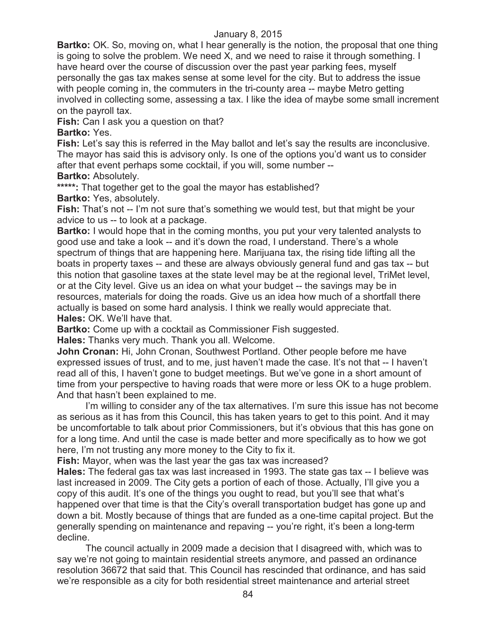**Bartko:** OK. So, moving on, what I hear generally is the notion, the proposal that one thing is going to solve the problem. We need X, and we need to raise it through something. I have heard over the course of discussion over the past year parking fees, myself personally the gas tax makes sense at some level for the city. But to address the issue with people coming in, the commuters in the tri-county area -- maybe Metro getting involved in collecting some, assessing a tax. I like the idea of maybe some small increment on the payroll tax.

**Fish:** Can I ask you a question on that?

**Bartko:** Yes.

**Fish:** Let's say this is referred in the May ballot and let's say the results are inconclusive. The mayor has said this is advisory only. Is one of the options you'd want us to consider after that event perhaps some cocktail, if you will, some number --

**Bartko:** Absolutely.

**\*\*\*\*\*:** That together get to the goal the mayor has established?

**Bartko:** Yes, absolutely.

Fish: That's not -- I'm not sure that's something we would test, but that might be your advice to us -- to look at a package.

**Bartko:** I would hope that in the coming months, you put your very talented analysts to good use and take a look -- and it's down the road, I understand. There's a whole spectrum of things that are happening here. Marijuana tax, the rising tide lifting all the boats in property taxes -- and these are always obviously general fund and gas tax -- but this notion that gasoline taxes at the state level may be at the regional level, TriMet level, or at the City level. Give us an idea on what your budget -- the savings may be in resources, materials for doing the roads. Give us an idea how much of a shortfall there actually is based on some hard analysis. I think we really would appreciate that. **Hales:** OK. We'll have that.

**Bartko:** Come up with a cocktail as Commissioner Fish suggested.

**Hales:** Thanks very much. Thank you all. Welcome.

**John Cronan:** Hi, John Cronan, Southwest Portland. Other people before me have expressed issues of trust, and to me, just haven't made the case. It's not that -- I haven't read all of this, I haven't gone to budget meetings. But we've gone in a short amount of time from your perspective to having roads that were more or less OK to a huge problem. And that hasn't been explained to me.

I'm willing to consider any of the tax alternatives. I'm sure this issue has not become as serious as it has from this Council, this has taken years to get to this point. And it may be uncomfortable to talk about prior Commissioners, but it's obvious that this has gone on for a long time. And until the case is made better and more specifically as to how we got here, I'm not trusting any more money to the City to fix it.

**Fish:** Mayor, when was the last year the gas tax was increased?

**Hales:** The federal gas tax was last increased in 1993. The state gas tax -- I believe was last increased in 2009. The City gets a portion of each of those. Actually, I'll give you a copy of this audit. It's one of the things you ought to read, but you'll see that what's happened over that time is that the City's overall transportation budget has gone up and down a bit. Mostly because of things that are funded as a one-time capital project. But the generally spending on maintenance and repaving -- you're right, it's been a long-term decline.

The council actually in 2009 made a decision that I disagreed with, which was to say we're not going to maintain residential streets anymore, and passed an ordinance resolution 36672 that said that. This Council has rescinded that ordinance, and has said we're responsible as a city for both residential street maintenance and arterial street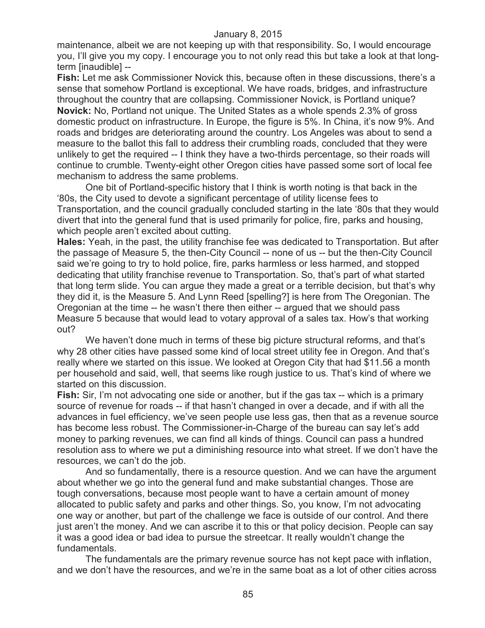maintenance, albeit we are not keeping up with that responsibility. So, I would encourage you, I'll give you my copy. I encourage you to not only read this but take a look at that longterm [inaudible] --

**Fish:** Let me ask Commissioner Novick this, because often in these discussions, there's a sense that somehow Portland is exceptional. We have roads, bridges, and infrastructure throughout the country that are collapsing. Commissioner Novick, is Portland unique? **Novick:** No, Portland not unique. The United States as a whole spends 2.3% of gross domestic product on infrastructure. In Europe, the figure is 5%. In China, it's now 9%. And roads and bridges are deteriorating around the country. Los Angeles was about to send a measure to the ballot this fall to address their crumbling roads, concluded that they were unlikely to get the required -- I think they have a two-thirds percentage, so their roads will continue to crumble. Twenty-eight other Oregon cities have passed some sort of local fee mechanism to address the same problems.

One bit of Portland-specific history that I think is worth noting is that back in the '80s, the City used to devote a significant percentage of utility license fees to Transportation, and the council gradually concluded starting in the late '80s that they would divert that into the general fund that is used primarily for police, fire, parks and housing, which people aren't excited about cutting.

**Hales:** Yeah, in the past, the utility franchise fee was dedicated to Transportation. But after the passage of Measure 5, the then-City Council -- none of us -- but the then-City Council said we're going to try to hold police, fire, parks harmless or less harmed, and stopped dedicating that utility franchise revenue to Transportation. So, that's part of what started that long term slide. You can argue they made a great or a terrible decision, but that's why they did it, is the Measure 5. And Lynn Reed [spelling?] is here from The Oregonian. The Oregonian at the time -- he wasn't there then either -- argued that we should pass Measure 5 because that would lead to votary approval of a sales tax. How's that working out?

We haven't done much in terms of these big picture structural reforms, and that's why 28 other cities have passed some kind of local street utility fee in Oregon. And that's really where we started on this issue. We looked at Oregon City that had \$11.56 a month per household and said, well, that seems like rough justice to us. That's kind of where we started on this discussion.

**Fish:** Sir, I'm not advocating one side or another, but if the gas tax -- which is a primary source of revenue for roads -- if that hasn't changed in over a decade, and if with all the advances in fuel efficiency, we've seen people use less gas, then that as a revenue source has become less robust. The Commissioner-in-Charge of the bureau can say let's add money to parking revenues, we can find all kinds of things. Council can pass a hundred resolution ass to where we put a diminishing resource into what street. If we don't have the resources, we can't do the job.

And so fundamentally, there is a resource question. And we can have the argument about whether we go into the general fund and make substantial changes. Those are tough conversations, because most people want to have a certain amount of money allocated to public safety and parks and other things. So, you know, I'm not advocating one way or another, but part of the challenge we face is outside of our control. And there just aren't the money. And we can ascribe it to this or that policy decision. People can say it was a good idea or bad idea to pursue the streetcar. It really wouldn't change the fundamentals.

The fundamentals are the primary revenue source has not kept pace with inflation, and we don't have the resources, and we're in the same boat as a lot of other cities across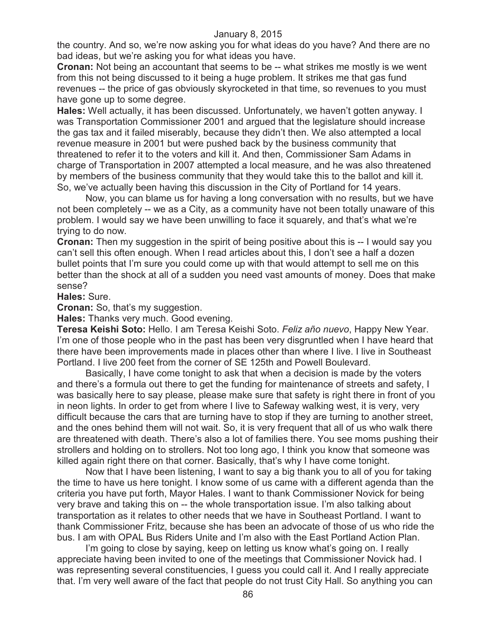the country. And so, we're now asking you for what ideas do you have? And there are no bad ideas, but we're asking you for what ideas you have.

**Cronan:** Not being an accountant that seems to be -- what strikes me mostly is we went from this not being discussed to it being a huge problem. It strikes me that gas fund revenues -- the price of gas obviously skyrocketed in that time, so revenues to you must have gone up to some degree.

**Hales:** Well actually, it has been discussed. Unfortunately, we haven't gotten anyway. I was Transportation Commissioner 2001 and argued that the legislature should increase the gas tax and it failed miserably, because they didn't then. We also attempted a local revenue measure in 2001 but were pushed back by the business community that threatened to refer it to the voters and kill it. And then, Commissioner Sam Adams in charge of Transportation in 2007 attempted a local measure, and he was also threatened by members of the business community that they would take this to the ballot and kill it. So, we've actually been having this discussion in the City of Portland for 14 years.

Now, you can blame us for having a long conversation with no results, but we have not been completely -- we as a City, as a community have not been totally unaware of this problem. I would say we have been unwilling to face it squarely, and that's what we're trying to do now.

**Cronan:** Then my suggestion in the spirit of being positive about this is -- I would say you can't sell this often enough. When I read articles about this, I don't see a half a dozen bullet points that I'm sure you could come up with that would attempt to sell me on this better than the shock at all of a sudden you need vast amounts of money. Does that make sense?

**Hales:** Sure.

**Cronan:** So, that's my suggestion.

**Hales:** Thanks very much. Good evening.

**Teresa Keishi Soto:** Hello. I am Teresa Keishi Soto. *Feliz año nuevo*, Happy New Year. I'm one of those people who in the past has been very disgruntled when I have heard that there have been improvements made in places other than where I live. I live in Southeast Portland. I live 200 feet from the corner of SE 125th and Powell Boulevard.

Basically, I have come tonight to ask that when a decision is made by the voters and there's a formula out there to get the funding for maintenance of streets and safety, I was basically here to say please, please make sure that safety is right there in front of you in neon lights. In order to get from where I live to Safeway walking west, it is very, very difficult because the cars that are turning have to stop if they are turning to another street, and the ones behind them will not wait. So, it is very frequent that all of us who walk there are threatened with death. There's also a lot of families there. You see moms pushing their strollers and holding on to strollers. Not too long ago, I think you know that someone was killed again right there on that corner. Basically, that's why I have come tonight.

Now that I have been listening, I want to say a big thank you to all of you for taking the time to have us here tonight. I know some of us came with a different agenda than the criteria you have put forth, Mayor Hales. I want to thank Commissioner Novick for being very brave and taking this on -- the whole transportation issue. I'm also talking about transportation as it relates to other needs that we have in Southeast Portland. I want to thank Commissioner Fritz, because she has been an advocate of those of us who ride the bus. I am with OPAL Bus Riders Unite and I'm also with the East Portland Action Plan.

I'm going to close by saying, keep on letting us know what's going on. I really appreciate having been invited to one of the meetings that Commissioner Novick had. I was representing several constituencies, I guess you could call it. And I really appreciate that. I'm very well aware of the fact that people do not trust City Hall. So anything you can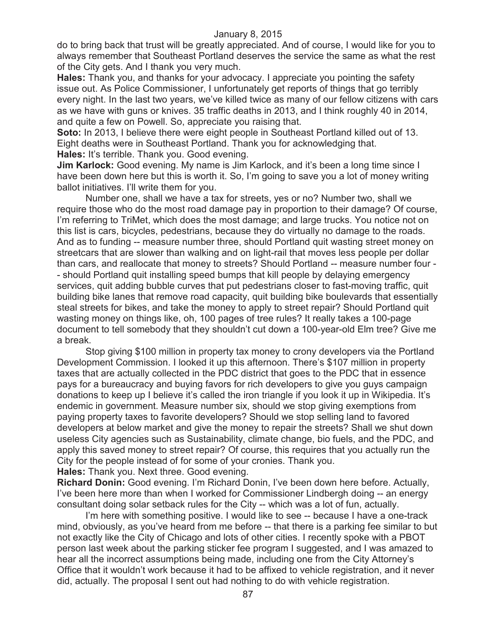do to bring back that trust will be greatly appreciated. And of course, I would like for you to always remember that Southeast Portland deserves the service the same as what the rest of the City gets. And I thank you very much.

**Hales:** Thank you, and thanks for your advocacy. I appreciate you pointing the safety issue out. As Police Commissioner, I unfortunately get reports of things that go terribly every night. In the last two years, we've killed twice as many of our fellow citizens with cars as we have with guns or knives. 35 traffic deaths in 2013, and I think roughly 40 in 2014, and quite a few on Powell. So, appreciate you raising that.

**Soto:** In 2013, I believe there were eight people in Southeast Portland killed out of 13. Eight deaths were in Southeast Portland. Thank you for acknowledging that. **Hales:** It's terrible. Thank you. Good evening.

**Jim Karlock:** Good evening. My name is Jim Karlock, and it's been a long time since I have been down here but this is worth it. So, I'm going to save you a lot of money writing ballot initiatives. I'll write them for you.

Number one, shall we have a tax for streets, yes or no? Number two, shall we require those who do the most road damage pay in proportion to their damage? Of course, I'm referring to TriMet, which does the most damage; and large trucks. You notice not on this list is cars, bicycles, pedestrians, because they do virtually no damage to the roads. And as to funding -- measure number three, should Portland quit wasting street money on streetcars that are slower than walking and on light-rail that moves less people per dollar than cars, and reallocate that money to streets? Should Portland -- measure number four - - should Portland quit installing speed bumps that kill people by delaying emergency services, quit adding bubble curves that put pedestrians closer to fast-moving traffic, quit building bike lanes that remove road capacity, quit building bike boulevards that essentially steal streets for bikes, and take the money to apply to street repair? Should Portland quit wasting money on things like, oh, 100 pages of tree rules? It really takes a 100-page document to tell somebody that they shouldn't cut down a 100-year-old Elm tree? Give me a break.

Stop giving \$100 million in property tax money to crony developers via the Portland Development Commission. I looked it up this afternoon. There's \$107 million in property taxes that are actually collected in the PDC district that goes to the PDC that in essence pays for a bureaucracy and buying favors for rich developers to give you guys campaign donations to keep up I believe it's called the iron triangle if you look it up in Wikipedia. It's endemic in government. Measure number six, should we stop giving exemptions from paying property taxes to favorite developers? Should we stop selling land to favored developers at below market and give the money to repair the streets? Shall we shut down useless City agencies such as Sustainability, climate change, bio fuels, and the PDC, and apply this saved money to street repair? Of course, this requires that you actually run the City for the people instead of for some of your cronies. Thank you.

**Hales:** Thank you. Next three. Good evening.

**Richard Donin:** Good evening. I'm Richard Donin, I've been down here before. Actually, I've been here more than when I worked for Commissioner Lindbergh doing -- an energy consultant doing solar setback rules for the City -- which was a lot of fun, actually.

I'm here with something positive. I would like to see -- because I have a one-track mind, obviously, as you've heard from me before -- that there is a parking fee similar to but not exactly like the City of Chicago and lots of other cities. I recently spoke with a PBOT person last week about the parking sticker fee program I suggested, and I was amazed to hear all the incorrect assumptions being made, including one from the City Attorney's Office that it wouldn't work because it had to be affixed to vehicle registration, and it never did, actually. The proposal I sent out had nothing to do with vehicle registration.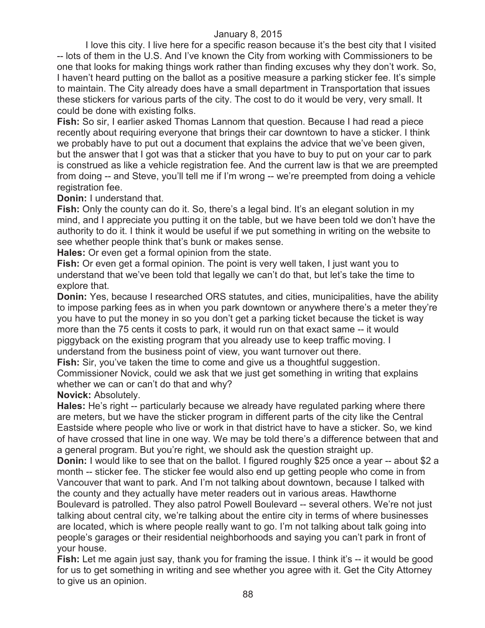I love this city. I live here for a specific reason because it's the best city that I visited -- lots of them in the U.S. And I've known the City from working with Commissioners to be one that looks for making things work rather than finding excuses why they don't work. So, I haven't heard putting on the ballot as a positive measure a parking sticker fee. It's simple to maintain. The City already does have a small department in Transportation that issues these stickers for various parts of the city. The cost to do it would be very, very small. It could be done with existing folks.

**Fish:** So sir, I earlier asked Thomas Lannom that question. Because I had read a piece recently about requiring everyone that brings their car downtown to have a sticker. I think we probably have to put out a document that explains the advice that we've been given, but the answer that I got was that a sticker that you have to buy to put on your car to park is construed as like a vehicle registration fee. And the current law is that we are preempted from doing -- and Steve, you'll tell me if I'm wrong -- we're preempted from doing a vehicle registration fee.

#### **Donin:** I understand that.

Fish: Only the county can do it. So, there's a legal bind. It's an elegant solution in my mind, and I appreciate you putting it on the table, but we have been told we don't have the authority to do it. I think it would be useful if we put something in writing on the website to see whether people think that's bunk or makes sense.

**Hales:** Or even get a formal opinion from the state.

**Fish:** Or even get a formal opinion. The point is very well taken, I just want you to understand that we've been told that legally we can't do that, but let's take the time to explore that.

**Donin:** Yes, because I researched ORS statutes, and cities, municipalities, have the ability to impose parking fees as in when you park downtown or anywhere there's a meter they're you have to put the money in so you don't get a parking ticket because the ticket is way more than the 75 cents it costs to park, it would run on that exact same -- it would piggyback on the existing program that you already use to keep traffic moving. I understand from the business point of view, you want turnover out there.

**Fish:** Sir, you've taken the time to come and give us a thoughtful suggestion.

Commissioner Novick, could we ask that we just get something in writing that explains whether we can or can't do that and why?

#### **Novick:** Absolutely.

**Hales:** He's right -- particularly because we already have regulated parking where there are meters, but we have the sticker program in different parts of the city like the Central Eastside where people who live or work in that district have to have a sticker. So, we kind of have crossed that line in one way. We may be told there's a difference between that and a general program. But you're right, we should ask the question straight up.

**Donin:** I would like to see that on the ballot. I figured roughly \$25 once a year -- about \$2 a month -- sticker fee. The sticker fee would also end up getting people who come in from Vancouver that want to park. And I'm not talking about downtown, because I talked with the county and they actually have meter readers out in various areas. Hawthorne Boulevard is patrolled. They also patrol Powell Boulevard -- several others. We're not just

talking about central city, we're talking about the entire city in terms of where businesses are located, which is where people really want to go. I'm not talking about talk going into people's garages or their residential neighborhoods and saying you can't park in front of your house.

**Fish:** Let me again just say, thank you for framing the issue. I think it's -- it would be good for us to get something in writing and see whether you agree with it. Get the City Attorney to give us an opinion.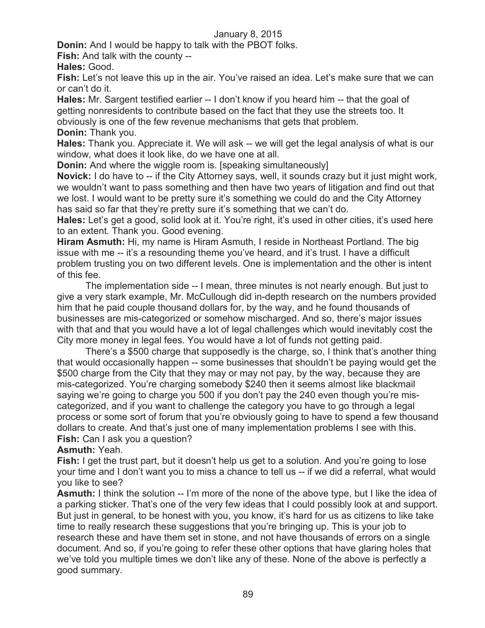**Donin:** And I would be happy to talk with the PBOT folks.

**Fish:** And talk with the county --

**Hales:** Good.

**Fish:** Let's not leave this up in the air. You've raised an idea. Let's make sure that we can or can't do it.

**Hales:** Mr. Sargent testified earlier -- I don't know if you heard him -- that the goal of getting nonresidents to contribute based on the fact that they use the streets too. It obviously is one of the few revenue mechanisms that gets that problem. **Donin:** Thank you.

**Hales:** Thank you. Appreciate it. We will ask -- we will get the legal analysis of what is our window, what does it look like, do we have one at all.

**Donin:** And where the wiggle room is. [speaking simultaneously]

**Novick:** I do have to -- if the City Attorney says, well, it sounds crazy but it just might work, we wouldn't want to pass something and then have two years of litigation and find out that we lost. I would want to be pretty sure it's something we could do and the City Attorney has said so far that they're pretty sure it's something that we can't do.

**Hales:** Let's get a good, solid look at it. You're right, it's used in other cities, it's used here to an extent. Thank you. Good evening.

**Hiram Asmuth:** Hi, my name is Hiram Asmuth, I reside in Northeast Portland. The big issue with me -- it's a resounding theme you've heard, and it's trust. I have a difficult problem trusting you on two different levels. One is implementation and the other is intent of this fee.

The implementation side -- I mean, three minutes is not nearly enough. But just to give a very stark example, Mr. McCullough did in-depth research on the numbers provided him that he paid couple thousand dollars for, by the way, and he found thousands of businesses are mis-categorized or somehow mischarged. And so, there's major issues with that and that you would have a lot of legal challenges which would inevitably cost the City more money in legal fees. You would have a lot of funds not getting paid.

There's a \$500 charge that supposedly is the charge, so, I think that's another thing that would occasionally happen -- some businesses that shouldn't be paying would get the \$500 charge from the City that they may or may not pay, by the way, because they are mis-categorized. You're charging somebody \$240 then it seems almost like blackmail saying we're going to charge you 500 if you don't pay the 240 even though you're miscategorized, and if you want to challenge the category you have to go through a legal process or some sort of forum that you're obviously going to have to spend a few thousand dollars to create. And that's just one of many implementation problems I see with this. **Fish:** Can I ask you a question?

# **Asmuth:** Yeah.

**Fish:** I get the trust part, but it doesn't help us get to a solution. And you're going to lose your time and I don't want you to miss a chance to tell us -- if we did a referral, what would you like to see?

**Asmuth:** I think the solution -- I'm more of the none of the above type, but I like the idea of a parking sticker. That's one of the very few ideas that I could possibly look at and support. But just in general, to be honest with you, you know, it's hard for us as citizens to like take time to really research these suggestions that you're bringing up. This is your job to research these and have them set in stone, and not have thousands of errors on a single document. And so, if you're going to refer these other options that have glaring holes that we've told you multiple times we don't like any of these. None of the above is perfectly a good summary.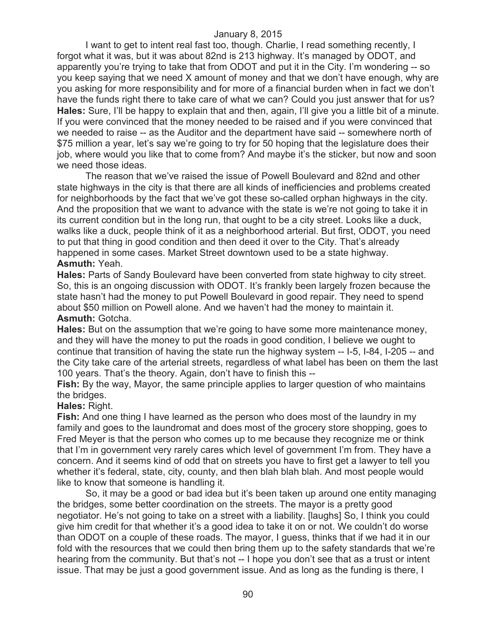I want to get to intent real fast too, though. Charlie, I read something recently, I forgot what it was, but it was about 82nd is 213 highway. It's managed by ODOT, and apparently you're trying to take that from ODOT and put it in the City. I'm wondering -- so you keep saying that we need X amount of money and that we don't have enough, why are you asking for more responsibility and for more of a financial burden when in fact we don't have the funds right there to take care of what we can? Could you just answer that for us? **Hales:** Sure, I'll be happy to explain that and then, again, I'll give you a little bit of a minute. If you were convinced that the money needed to be raised and if you were convinced that we needed to raise -- as the Auditor and the department have said -- somewhere north of \$75 million a year, let's say we're going to try for 50 hoping that the legislature does their job, where would you like that to come from? And maybe it's the sticker, but now and soon we need those ideas.

The reason that we've raised the issue of Powell Boulevard and 82nd and other state highways in the city is that there are all kinds of inefficiencies and problems created for neighborhoods by the fact that we've got these so-called orphan highways in the city. And the proposition that we want to advance with the state is we're not going to take it in its current condition but in the long run, that ought to be a city street. Looks like a duck, walks like a duck, people think of it as a neighborhood arterial. But first, ODOT, you need to put that thing in good condition and then deed it over to the City. That's already happened in some cases. Market Street downtown used to be a state highway. **Asmuth:** Yeah.

**Hales:** Parts of Sandy Boulevard have been converted from state highway to city street. So, this is an ongoing discussion with ODOT. It's frankly been largely frozen because the state hasn't had the money to put Powell Boulevard in good repair. They need to spend about \$50 million on Powell alone. And we haven't had the money to maintain it. **Asmuth:** Gotcha.

**Hales:** But on the assumption that we're going to have some more maintenance money, and they will have the money to put the roads in good condition, I believe we ought to continue that transition of having the state run the highway system -- I-5, I-84, I-205 -- and the City take care of the arterial streets, regardless of what label has been on them the last 100 years. That's the theory. Again, don't have to finish this --

**Fish:** By the way, Mayor, the same principle applies to larger question of who maintains the bridges.

#### **Hales:** Right.

**Fish:** And one thing I have learned as the person who does most of the laundry in my family and goes to the laundromat and does most of the grocery store shopping, goes to Fred Meyer is that the person who comes up to me because they recognize me or think that I'm in government very rarely cares which level of government I'm from. They have a concern. And it seems kind of odd that on streets you have to first get a lawyer to tell you whether it's federal, state, city, county, and then blah blah blah. And most people would like to know that someone is handling it.

So, it may be a good or bad idea but it's been taken up around one entity managing the bridges, some better coordination on the streets. The mayor is a pretty good negotiator. He's not going to take on a street with a liability. [laughs] So, I think you could give him credit for that whether it's a good idea to take it on or not. We couldn't do worse than ODOT on a couple of these roads. The mayor, I guess, thinks that if we had it in our fold with the resources that we could then bring them up to the safety standards that we're hearing from the community. But that's not -- I hope you don't see that as a trust or intent issue. That may be just a good government issue. And as long as the funding is there, I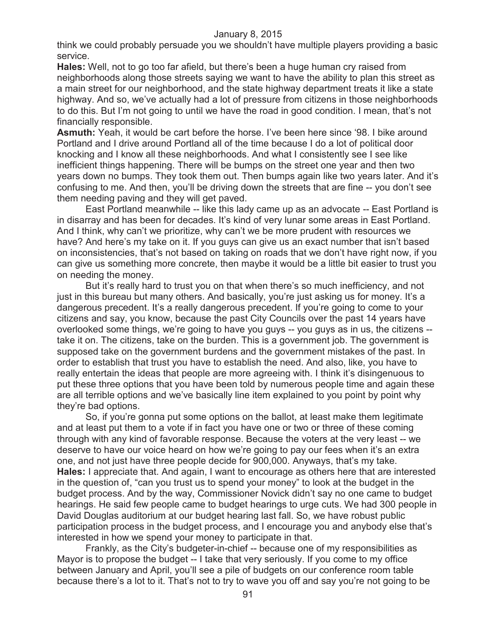think we could probably persuade you we shouldn't have multiple players providing a basic service.

**Hales:** Well, not to go too far afield, but there's been a huge human cry raised from neighborhoods along those streets saying we want to have the ability to plan this street as a main street for our neighborhood, and the state highway department treats it like a state highway. And so, we've actually had a lot of pressure from citizens in those neighborhoods to do this. But I'm not going to until we have the road in good condition. I mean, that's not financially responsible.

**Asmuth:** Yeah, it would be cart before the horse. I've been here since '98. I bike around Portland and I drive around Portland all of the time because I do a lot of political door knocking and I know all these neighborhoods. And what I consistently see I see like inefficient things happening. There will be bumps on the street one year and then two years down no bumps. They took them out. Then bumps again like two years later. And it's confusing to me. And then, you'll be driving down the streets that are fine -- you don't see them needing paving and they will get paved.

East Portland meanwhile -- like this lady came up as an advocate -- East Portland is in disarray and has been for decades. It's kind of very lunar some areas in East Portland. And I think, why can't we prioritize, why can't we be more prudent with resources we have? And here's my take on it. If you guys can give us an exact number that isn't based on inconsistencies, that's not based on taking on roads that we don't have right now, if you can give us something more concrete, then maybe it would be a little bit easier to trust you on needing the money.

But it's really hard to trust you on that when there's so much inefficiency, and not just in this bureau but many others. And basically, you're just asking us for money. It's a dangerous precedent. It's a really dangerous precedent. If you're going to come to your citizens and say, you know, because the past City Councils over the past 14 years have overlooked some things, we're going to have you guys -- you guys as in us, the citizens - take it on. The citizens, take on the burden. This is a government job. The government is supposed take on the government burdens and the government mistakes of the past. In order to establish that trust you have to establish the need. And also, like, you have to really entertain the ideas that people are more agreeing with. I think it's disingenuous to put these three options that you have been told by numerous people time and again these are all terrible options and we've basically line item explained to you point by point why they're bad options.

So, if you're gonna put some options on the ballot, at least make them legitimate and at least put them to a vote if in fact you have one or two or three of these coming through with any kind of favorable response. Because the voters at the very least -- we deserve to have our voice heard on how we're going to pay our fees when it's an extra one, and not just have three people decide for 900,000. Anyways, that's my take. **Hales:** I appreciate that. And again, I want to encourage as others here that are interested in the question of, "can you trust us to spend your money" to look at the budget in the budget process. And by the way, Commissioner Novick didn't say no one came to budget hearings. He said few people came to budget hearings to urge cuts. We had 300 people in David Douglas auditorium at our budget hearing last fall. So, we have robust public participation process in the budget process, and I encourage you and anybody else that's interested in how we spend your money to participate in that.

Frankly, as the City's budgeter-in-chief -- because one of my responsibilities as Mayor is to propose the budget -- I take that very seriously. If you come to my office between January and April, you'll see a pile of budgets on our conference room table because there's a lot to it. That's not to try to wave you off and say you're not going to be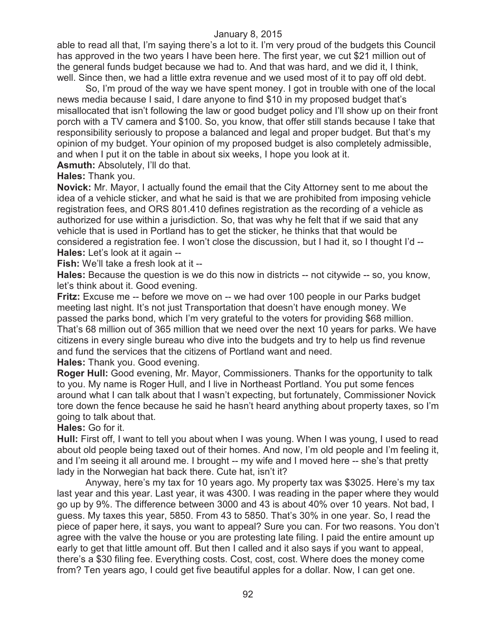able to read all that, I'm saying there's a lot to it. I'm very proud of the budgets this Council has approved in the two years I have been here. The first year, we cut \$21 million out of the general funds budget because we had to. And that was hard, and we did it, I think, well. Since then, we had a little extra revenue and we used most of it to pay off old debt.

So, I'm proud of the way we have spent money. I got in trouble with one of the local news media because I said, I dare anyone to find \$10 in my proposed budget that's misallocated that isn't following the law or good budget policy and I'll show up on their front porch with a TV camera and \$100. So, you know, that offer still stands because I take that responsibility seriously to propose a balanced and legal and proper budget. But that's my opinion of my budget. Your opinion of my proposed budget is also completely admissible, and when I put it on the table in about six weeks, I hope you look at it.

**Asmuth:** Absolutely, I'll do that.

**Hales:** Thank you.

**Novick:** Mr. Mayor, I actually found the email that the City Attorney sent to me about the idea of a vehicle sticker, and what he said is that we are prohibited from imposing vehicle registration fees, and ORS 801.410 defines registration as the recording of a vehicle as authorized for use within a jurisdiction. So, that was why he felt that if we said that any vehicle that is used in Portland has to get the sticker, he thinks that that would be considered a registration fee. I won't close the discussion, but I had it, so I thought I'd -- **Hales:** Let's look at it again --

**Fish:** We'll take a fresh look at it --

**Hales:** Because the question is we do this now in districts -- not citywide -- so, you know, let's think about it. Good evening.

**Fritz:** Excuse me -- before we move on -- we had over 100 people in our Parks budget meeting last night. It's not just Transportation that doesn't have enough money. We passed the parks bond, which I'm very grateful to the voters for providing \$68 million. That's 68 million out of 365 million that we need over the next 10 years for parks. We have citizens in every single bureau who dive into the budgets and try to help us find revenue and fund the services that the citizens of Portland want and need.

**Hales:** Thank you. Good evening.

**Roger Hull:** Good evening, Mr. Mayor, Commissioners. Thanks for the opportunity to talk to you. My name is Roger Hull, and I live in Northeast Portland. You put some fences around what I can talk about that I wasn't expecting, but fortunately, Commissioner Novick tore down the fence because he said he hasn't heard anything about property taxes, so I'm going to talk about that.

**Hales:** Go for it.

**Hull:** First off, I want to tell you about when I was young. When I was young, I used to read about old people being taxed out of their homes. And now, I'm old people and I'm feeling it, and I'm seeing it all around me. I brought -- my wife and I moved here -- she's that pretty lady in the Norwegian hat back there. Cute hat, isn't it?

Anyway, here's my tax for 10 years ago. My property tax was \$3025. Here's my tax last year and this year. Last year, it was 4300. I was reading in the paper where they would go up by 9%. The difference between 3000 and 43 is about 40% over 10 years. Not bad, I guess. My taxes this year, 5850. From 43 to 5850. That's 30% in one year. So, I read the piece of paper here, it says, you want to appeal? Sure you can. For two reasons. You don't agree with the valve the house or you are protesting late filing. I paid the entire amount up early to get that little amount off. But then I called and it also says if you want to appeal, there's a \$30 filing fee. Everything costs. Cost, cost, cost. Where does the money come from? Ten years ago, I could get five beautiful apples for a dollar. Now, I can get one.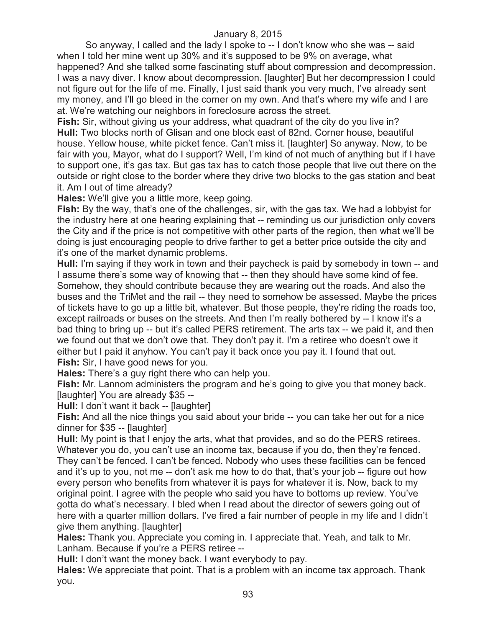So anyway, I called and the lady I spoke to -- I don't know who she was -- said when I told her mine went up 30% and it's supposed to be 9% on average, what happened? And she talked some fascinating stuff about compression and decompression. I was a navy diver. I know about decompression. [laughter] But her decompression I could not figure out for the life of me. Finally, I just said thank you very much, I've already sent my money, and I'll go bleed in the corner on my own. And that's where my wife and I are at. We're watching our neighbors in foreclosure across the street.

**Fish:** Sir, without giving us your address, what quadrant of the city do you live in? **Hull:** Two blocks north of Glisan and one block east of 82nd. Corner house, beautiful house. Yellow house, white picket fence. Can't miss it. [laughter] So anyway. Now, to be fair with you, Mayor, what do I support? Well, I'm kind of not much of anything but if I have to support one, it's gas tax. But gas tax has to catch those people that live out there on the outside or right close to the border where they drive two blocks to the gas station and beat it. Am I out of time already?

**Hales:** We'll give you a little more, keep going.

**Fish:** By the way, that's one of the challenges, sir, with the gas tax. We had a lobbyist for the industry here at one hearing explaining that -- reminding us our jurisdiction only covers the City and if the price is not competitive with other parts of the region, then what we'll be doing is just encouraging people to drive farther to get a better price outside the city and it's one of the market dynamic problems.

**Hull:** I'm saying if they work in town and their paycheck is paid by somebody in town -- and I assume there's some way of knowing that -- then they should have some kind of fee. Somehow, they should contribute because they are wearing out the roads. And also the buses and the TriMet and the rail -- they need to somehow be assessed. Maybe the prices of tickets have to go up a little bit, whatever. But those people, they're riding the roads too, except railroads or buses on the streets. And then I'm really bothered by -- I know it's a bad thing to bring up -- but it's called PERS retirement. The arts tax -- we paid it, and then we found out that we don't owe that. They don't pay it. I'm a retiree who doesn't owe it either but I paid it anyhow. You can't pay it back once you pay it. I found that out. **Fish:** Sir, I have good news for you.

**Hales:** There's a guy right there who can help you.

**Fish:** Mr. Lannom administers the program and he's going to give you that money back. [laughter] You are already \$35 --

**Hull:** I don't want it back -- [laughter]

**Fish:** And all the nice things you said about your bride -- you can take her out for a nice dinner for \$35 -- [laughter]

**Hull:** My point is that I enjoy the arts, what that provides, and so do the PERS retirees. Whatever you do, you can't use an income tax, because if you do, then they're fenced. They can't be fenced. I can't be fenced. Nobody who uses these facilities can be fenced and it's up to you, not me -- don't ask me how to do that, that's your job -- figure out how every person who benefits from whatever it is pays for whatever it is. Now, back to my original point. I agree with the people who said you have to bottoms up review. You've gotta do what's necessary. I bled when I read about the director of sewers going out of here with a quarter million dollars. I've fired a fair number of people in my life and I didn't give them anything. [laughter]

**Hales:** Thank you. Appreciate you coming in. I appreciate that. Yeah, and talk to Mr. Lanham. Because if you're a PERS retiree --

**Hull:** I don't want the money back. I want everybody to pay.

**Hales:** We appreciate that point. That is a problem with an income tax approach. Thank you.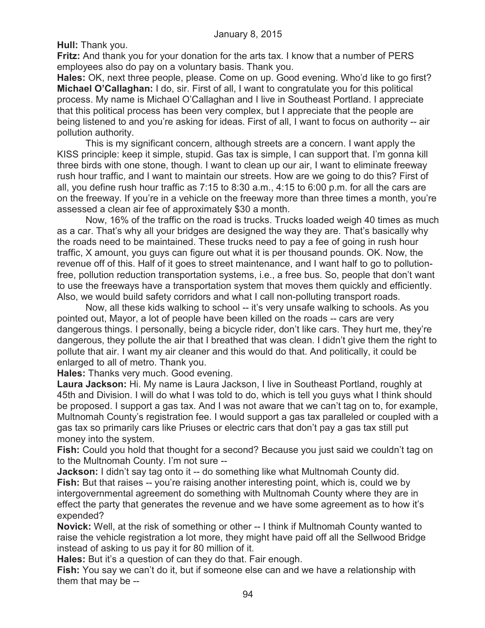**Hull:** Thank you.

**Fritz:** And thank you for your donation for the arts tax. I know that a number of PERS employees also do pay on a voluntary basis. Thank you.

**Hales:** OK, next three people, please. Come on up. Good evening. Who'd like to go first? **Michael O'Callaghan:** I do, sir. First of all, I want to congratulate you for this political process. My name is Michael O'Callaghan and I live in Southeast Portland. I appreciate that this political process has been very complex, but I appreciate that the people are being listened to and you're asking for ideas. First of all, I want to focus on authority -- air pollution authority.

This is my significant concern, although streets are a concern. I want apply the KISS principle: keep it simple, stupid. Gas tax is simple, I can support that. I'm gonna kill three birds with one stone, though. I want to clean up our air, I want to eliminate freeway rush hour traffic, and I want to maintain our streets. How are we going to do this? First of all, you define rush hour traffic as 7:15 to 8:30 a.m., 4:15 to 6:00 p.m. for all the cars are on the freeway. If you're in a vehicle on the freeway more than three times a month, you're assessed a clean air fee of approximately \$30 a month.

Now, 16% of the traffic on the road is trucks. Trucks loaded weigh 40 times as much as a car. That's why all your bridges are designed the way they are. That's basically why the roads need to be maintained. These trucks need to pay a fee of going in rush hour traffic, X amount, you guys can figure out what it is per thousand pounds. OK. Now, the revenue off of this. Half of it goes to street maintenance, and I want half to go to pollutionfree, pollution reduction transportation systems, i.e., a free bus. So, people that don't want to use the freeways have a transportation system that moves them quickly and efficiently. Also, we would build safety corridors and what I call non-polluting transport roads.

Now, all these kids walking to school -- it's very unsafe walking to schools. As you pointed out, Mayor, a lot of people have been killed on the roads -- cars are very dangerous things. I personally, being a bicycle rider, don't like cars. They hurt me, they're dangerous, they pollute the air that I breathed that was clean. I didn't give them the right to pollute that air. I want my air cleaner and this would do that. And politically, it could be enlarged to all of metro. Thank you.

**Hales:** Thanks very much. Good evening.

**Laura Jackson:** Hi. My name is Laura Jackson, I live in Southeast Portland, roughly at 45th and Division. I will do what I was told to do, which is tell you guys what I think should be proposed. I support a gas tax. And I was not aware that we can't tag on to, for example, Multnomah County's registration fee. I would support a gas tax paralleled or coupled with a gas tax so primarily cars like Priuses or electric cars that don't pay a gas tax still put money into the system.

**Fish:** Could you hold that thought for a second? Because you just said we couldn't tag on to the Multnomah County. I'm not sure --

**Jackson:** I didn't say tag onto it -- do something like what Multnomah County did. **Fish:** But that raises -- you're raising another interesting point, which is, could we by intergovernmental agreement do something with Multnomah County where they are in effect the party that generates the revenue and we have some agreement as to how it's expended?

**Novick:** Well, at the risk of something or other -- I think if Multnomah County wanted to raise the vehicle registration a lot more, they might have paid off all the Sellwood Bridge instead of asking to us pay it for 80 million of it.

**Hales:** But it's a question of can they do that. Fair enough.

**Fish:** You say we can't do it, but if someone else can and we have a relationship with them that may be --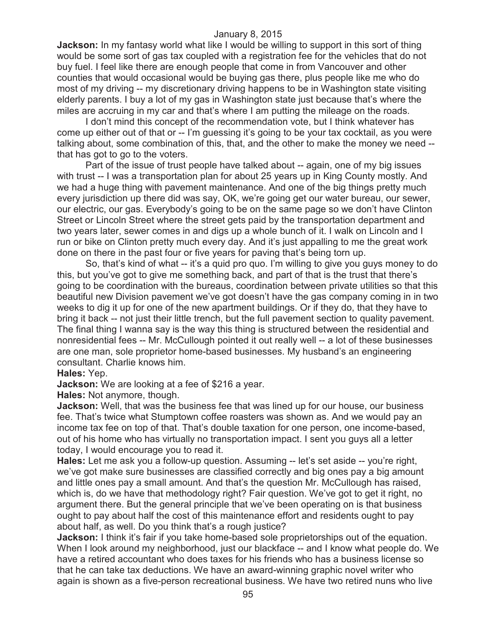**Jackson:** In my fantasy world what like I would be willing to support in this sort of thing would be some sort of gas tax coupled with a registration fee for the vehicles that do not buy fuel. I feel like there are enough people that come in from Vancouver and other counties that would occasional would be buying gas there, plus people like me who do most of my driving -- my discretionary driving happens to be in Washington state visiting elderly parents. I buy a lot of my gas in Washington state just because that's where the miles are accruing in my car and that's where I am putting the mileage on the roads.

I don't mind this concept of the recommendation vote, but I think whatever has come up either out of that or -- I'm guessing it's going to be your tax cocktail, as you were talking about, some combination of this, that, and the other to make the money we need - that has got to go to the voters.

Part of the issue of trust people have talked about -- again, one of my big issues with trust -- I was a transportation plan for about 25 years up in King County mostly. And we had a huge thing with pavement maintenance. And one of the big things pretty much every jurisdiction up there did was say, OK, we're going get our water bureau, our sewer, our electric, our gas. Everybody's going to be on the same page so we don't have Clinton Street or Lincoln Street where the street gets paid by the transportation department and two years later, sewer comes in and digs up a whole bunch of it. I walk on Lincoln and I run or bike on Clinton pretty much every day. And it's just appalling to me the great work done on there in the past four or five years for paving that's being torn up.

So, that's kind of what -- it's a quid pro quo. I'm willing to give you guys money to do this, but you've got to give me something back, and part of that is the trust that there's going to be coordination with the bureaus, coordination between private utilities so that this beautiful new Division pavement we've got doesn't have the gas company coming in in two weeks to dig it up for one of the new apartment buildings. Or if they do, that they have to bring it back -- not just their little trench, but the full pavement section to quality pavement. The final thing I wanna say is the way this thing is structured between the residential and nonresidential fees -- Mr. McCullough pointed it out really well -- a lot of these businesses are one man, sole proprietor home-based businesses. My husband's an engineering consultant. Charlie knows him.

#### **Hales:** Yep.

**Jackson:** We are looking at a fee of \$216 a year.

**Hales:** Not anymore, though.

**Jackson:** Well, that was the business fee that was lined up for our house, our business fee. That's twice what Stumptown coffee roasters was shown as. And we would pay an income tax fee on top of that. That's double taxation for one person, one income-based, out of his home who has virtually no transportation impact. I sent you guys all a letter today, I would encourage you to read it.

**Hales:** Let me ask you a follow-up question. Assuming -- let's set aside -- you're right, we've got make sure businesses are classified correctly and big ones pay a big amount and little ones pay a small amount. And that's the question Mr. McCullough has raised, which is, do we have that methodology right? Fair question. We've got to get it right, no argument there. But the general principle that we've been operating on is that business ought to pay about half the cost of this maintenance effort and residents ought to pay about half, as well. Do you think that's a rough justice?

**Jackson:** I think it's fair if you take home-based sole proprietorships out of the equation. When I look around my neighborhood, just our blackface -- and I know what people do. We have a retired accountant who does taxes for his friends who has a business license so that he can take tax deductions. We have an award-winning graphic novel writer who again is shown as a five-person recreational business. We have two retired nuns who live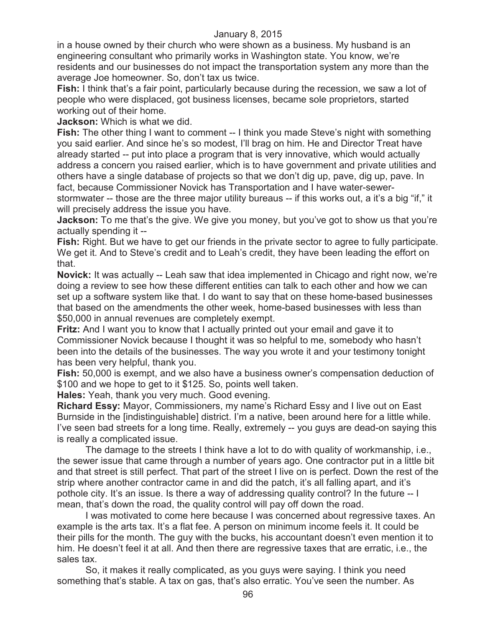in a house owned by their church who were shown as a business. My husband is an engineering consultant who primarily works in Washington state. You know, we're residents and our businesses do not impact the transportation system any more than the average Joe homeowner. So, don't tax us twice.

**Fish:** I think that's a fair point, particularly because during the recession, we saw a lot of people who were displaced, got business licenses, became sole proprietors, started working out of their home.

**Jackson:** Which is what we did.

**Fish:** The other thing I want to comment -- I think you made Steve's night with something you said earlier. And since he's so modest, I'll brag on him. He and Director Treat have already started -- put into place a program that is very innovative, which would actually address a concern you raised earlier, which is to have government and private utilities and others have a single database of projects so that we don't dig up, pave, dig up, pave. In fact, because Commissioner Novick has Transportation and I have water-sewer-

stormwater -- those are the three major utility bureaus -- if this works out, a it's a big "if," it will precisely address the issue you have.

**Jackson:** To me that's the give. We give you money, but you've got to show us that you're actually spending it --

**Fish:** Right. But we have to get our friends in the private sector to agree to fully participate. We get it. And to Steve's credit and to Leah's credit, they have been leading the effort on that.

**Novick:** It was actually -- Leah saw that idea implemented in Chicago and right now, we're doing a review to see how these different entities can talk to each other and how we can set up a software system like that. I do want to say that on these home-based businesses that based on the amendments the other week, home-based businesses with less than \$50,000 in annual revenues are completely exempt.

**Fritz:** And I want you to know that I actually printed out your email and gave it to Commissioner Novick because I thought it was so helpful to me, somebody who hasn't been into the details of the businesses. The way you wrote it and your testimony tonight has been very helpful, thank you.

**Fish:** 50,000 is exempt, and we also have a business owner's compensation deduction of \$100 and we hope to get to it \$125. So, points well taken.

**Hales:** Yeah, thank you very much. Good evening.

**Richard Essy:** Mayor, Commissioners, my name's Richard Essy and I live out on East Burnside in the [indistinguishable] district. I'm a native, been around here for a little while. I've seen bad streets for a long time. Really, extremely -- you guys are dead-on saying this is really a complicated issue.

The damage to the streets I think have a lot to do with quality of workmanship, i.e., the sewer issue that came through a number of years ago. One contractor put in a little bit and that street is still perfect. That part of the street I live on is perfect. Down the rest of the strip where another contractor came in and did the patch, it's all falling apart, and it's pothole city. It's an issue. Is there a way of addressing quality control? In the future -- I mean, that's down the road, the quality control will pay off down the road.

I was motivated to come here because I was concerned about regressive taxes. An example is the arts tax. It's a flat fee. A person on minimum income feels it. It could be their pills for the month. The guy with the bucks, his accountant doesn't even mention it to him. He doesn't feel it at all. And then there are regressive taxes that are erratic, i.e., the sales tax.

So, it makes it really complicated, as you guys were saying. I think you need something that's stable. A tax on gas, that's also erratic. You've seen the number. As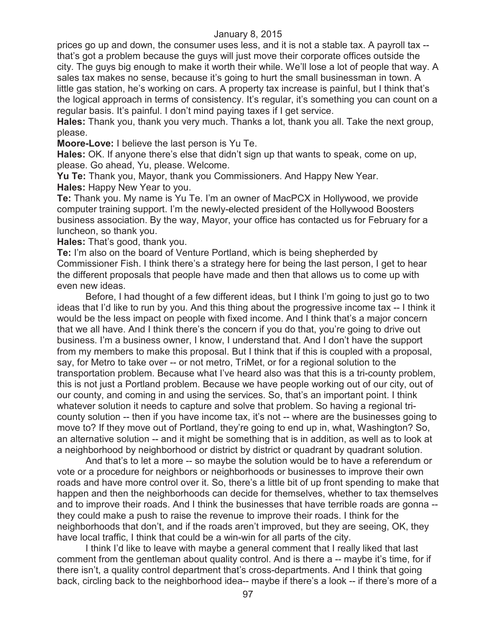prices go up and down, the consumer uses less, and it is not a stable tax. A payroll tax - that's got a problem because the guys will just move their corporate offices outside the city. The guys big enough to make it worth their while. We'll lose a lot of people that way. A sales tax makes no sense, because it's going to hurt the small businessman in town. A little gas station, he's working on cars. A property tax increase is painful, but I think that's the logical approach in terms of consistency. It's regular, it's something you can count on a regular basis. It's painful. I don't mind paying taxes if I get service.

**Hales:** Thank you, thank you very much. Thanks a lot, thank you all. Take the next group, please.

**Moore-Love:** I believe the last person is Yu Te.

**Hales:** OK. If anyone there's else that didn't sign up that wants to speak, come on up, please. Go ahead, Yu, please. Welcome.

**Yu Te:** Thank you, Mayor, thank you Commissioners. And Happy New Year. **Hales:** Happy New Year to you.

**Te:** Thank you. My name is Yu Te. I'm an owner of MacPCX in Hollywood, we provide computer training support. I'm the newly-elected president of the Hollywood Boosters business association. By the way, Mayor, your office has contacted us for February for a luncheon, so thank you.

**Hales:** That's good, thank you.

**Te:** I'm also on the board of Venture Portland, which is being shepherded by Commissioner Fish. I think there's a strategy here for being the last person, I get to hear the different proposals that people have made and then that allows us to come up with even new ideas.

Before, I had thought of a few different ideas, but I think I'm going to just go to two ideas that I'd like to run by you. And this thing about the progressive income tax -- I think it would be the less impact on people with fixed income. And I think that's a major concern that we all have. And I think there's the concern if you do that, you're going to drive out business. I'm a business owner, I know, I understand that. And I don't have the support from my members to make this proposal. But I think that if this is coupled with a proposal, say, for Metro to take over -- or not metro, TriMet, or for a regional solution to the transportation problem. Because what I've heard also was that this is a tri-county problem, this is not just a Portland problem. Because we have people working out of our city, out of our county, and coming in and using the services. So, that's an important point. I think whatever solution it needs to capture and solve that problem. So having a regional tricounty solution -- then if you have income tax, it's not -- where are the businesses going to move to? If they move out of Portland, they're going to end up in, what, Washington? So, an alternative solution -- and it might be something that is in addition, as well as to look at a neighborhood by neighborhood or district by district or quadrant by quadrant solution.

And that's to let a more -- so maybe the solution would be to have a referendum or vote or a procedure for neighbors or neighborhoods or businesses to improve their own roads and have more control over it. So, there's a little bit of up front spending to make that happen and then the neighborhoods can decide for themselves, whether to tax themselves and to improve their roads. And I think the businesses that have terrible roads are gonna - they could make a push to raise the revenue to improve their roads. I think for the neighborhoods that don't, and if the roads aren't improved, but they are seeing, OK, they have local traffic, I think that could be a win-win for all parts of the city.

I think I'd like to leave with maybe a general comment that I really liked that last comment from the gentleman about quality control. And is there a -- maybe it's time, for if there isn't, a quality control department that's cross-departments. And I think that going back, circling back to the neighborhood idea-- maybe if there's a look -- if there's more of a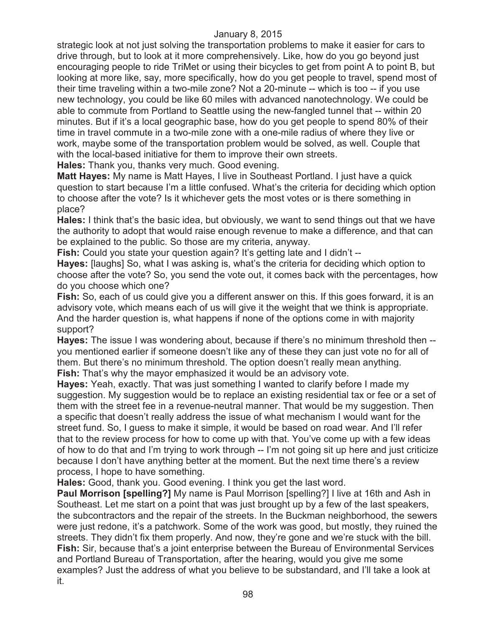strategic look at not just solving the transportation problems to make it easier for cars to drive through, but to look at it more comprehensively. Like, how do you go beyond just encouraging people to ride TriMet or using their bicycles to get from point A to point B, but looking at more like, say, more specifically, how do you get people to travel, spend most of their time traveling within a two-mile zone? Not a 20-minute -- which is too -- if you use new technology, you could be like 60 miles with advanced nanotechnology. We could be able to commute from Portland to Seattle using the new-fangled tunnel that -- within 20 minutes. But if it's a local geographic base, how do you get people to spend 80% of their time in travel commute in a two-mile zone with a one-mile radius of where they live or work, maybe some of the transportation problem would be solved, as well. Couple that with the local-based initiative for them to improve their own streets.

**Hales:** Thank you, thanks very much. Good evening.

**Matt Hayes:** My name is Matt Hayes, I live in Southeast Portland. I just have a quick question to start because I'm a little confused. What's the criteria for deciding which option to choose after the vote? Is it whichever gets the most votes or is there something in place?

**Hales:** I think that's the basic idea, but obviously, we want to send things out that we have the authority to adopt that would raise enough revenue to make a difference, and that can be explained to the public. So those are my criteria, anyway.

**Fish:** Could you state your question again? It's getting late and I didn't --

**Hayes:** [laughs] So, what I was asking is, what's the criteria for deciding which option to choose after the vote? So, you send the vote out, it comes back with the percentages, how do you choose which one?

**Fish:** So, each of us could give you a different answer on this. If this goes forward, it is an advisory vote, which means each of us will give it the weight that we think is appropriate. And the harder question is, what happens if none of the options come in with majority support?

**Hayes:** The issue I was wondering about, because if there's no minimum threshold then - you mentioned earlier if someone doesn't like any of these they can just vote no for all of them. But there's no minimum threshold. The option doesn't really mean anything. **Fish:** That's why the mayor emphasized it would be an advisory vote.

**Hayes:** Yeah, exactly. That was just something I wanted to clarify before I made my suggestion. My suggestion would be to replace an existing residential tax or fee or a set of them with the street fee in a revenue-neutral manner. That would be my suggestion. Then a specific that doesn't really address the issue of what mechanism I would want for the street fund. So, I guess to make it simple, it would be based on road wear. And I'll refer that to the review process for how to come up with that. You've come up with a few ideas of how to do that and I'm trying to work through -- I'm not going sit up here and just criticize because I don't have anything better at the moment. But the next time there's a review process, I hope to have something.

**Hales:** Good, thank you. Good evening. I think you get the last word.

**Paul Morrison [spelling?]** My name is Paul Morrison [spelling?] I live at 16th and Ash in Southeast. Let me start on a point that was just brought up by a few of the last speakers, the subcontractors and the repair of the streets. In the Buckman neighborhood, the sewers were just redone, it's a patchwork. Some of the work was good, but mostly, they ruined the streets. They didn't fix them properly. And now, they're gone and we're stuck with the bill. **Fish:** Sir, because that's a joint enterprise between the Bureau of Environmental Services and Portland Bureau of Transportation, after the hearing, would you give me some examples? Just the address of what you believe to be substandard, and I'll take a look at it.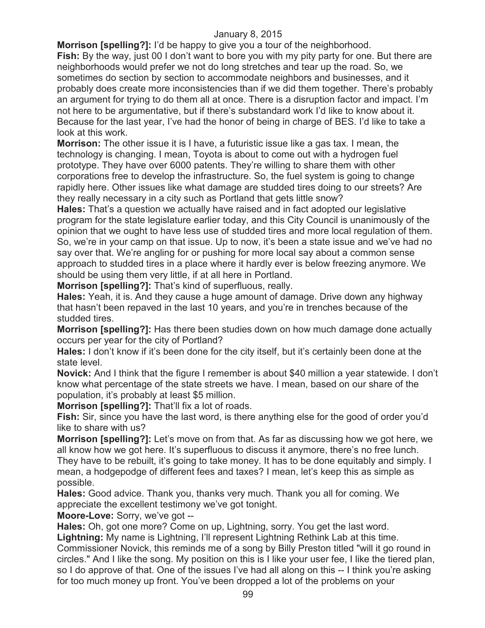**Morrison [spelling?]:** I'd be happy to give you a tour of the neighborhood. **Fish:** By the way, just 00 I don't want to bore you with my pity party for one. But there are neighborhoods would prefer we not do long stretches and tear up the road. So, we sometimes do section by section to accommodate neighbors and businesses, and it probably does create more inconsistencies than if we did them together. There's probably

an argument for trying to do them all at once. There is a disruption factor and impact. I'm not here to be argumentative, but if there's substandard work I'd like to know about it. Because for the last year, I've had the honor of being in charge of BES. I'd like to take a look at this work.

**Morrison:** The other issue it is I have, a futuristic issue like a gas tax. I mean, the technology is changing. I mean, Toyota is about to come out with a hydrogen fuel prototype. They have over 6000 patents. They're willing to share them with other corporations free to develop the infrastructure. So, the fuel system is going to change rapidly here. Other issues like what damage are studded tires doing to our streets? Are they really necessary in a city such as Portland that gets little snow?

**Hales:** That's a question we actually have raised and in fact adopted our legislative program for the state legislature earlier today, and this City Council is unanimously of the opinion that we ought to have less use of studded tires and more local regulation of them. So, we're in your camp on that issue. Up to now, it's been a state issue and we've had no say over that. We're angling for or pushing for more local say about a common sense approach to studded tires in a place where it hardly ever is below freezing anymore. We should be using them very little, if at all here in Portland.

**Morrison [spelling?]:** That's kind of superfluous, really.

**Hales:** Yeah, it is. And they cause a huge amount of damage. Drive down any highway that hasn't been repaved in the last 10 years, and you're in trenches because of the studded tires.

**Morrison [spelling?]:** Has there been studies down on how much damage done actually occurs per year for the city of Portland?

**Hales:** I don't know if it's been done for the city itself, but it's certainly been done at the state level.

**Novick:** And I think that the figure I remember is about \$40 million a year statewide. I don't know what percentage of the state streets we have. I mean, based on our share of the population, it's probably at least \$5 million.

**Morrison [spelling?]:** That'll fix a lot of roads.

**Fish:** Sir, since you have the last word, is there anything else for the good of order you'd like to share with us?

**Morrison [spelling?]:** Let's move on from that. As far as discussing how we got here, we all know how we got here. It's superfluous to discuss it anymore, there's no free lunch. They have to be rebuilt, it's going to take money. It has to be done equitably and simply. I

mean, a hodgepodge of different fees and taxes? I mean, let's keep this as simple as possible.

**Hales:** Good advice. Thank you, thanks very much. Thank you all for coming. We appreciate the excellent testimony we've got tonight.

**Moore-Love:** Sorry, we've got --

**Hales:** Oh, got one more? Come on up, Lightning, sorry. You get the last word.

**Lightning:** My name is Lightning, I'll represent Lightning Rethink Lab at this time.

Commissioner Novick, this reminds me of a song by Billy Preston titled "will it go round in circles." And I like the song. My position on this is I like your user fee, I like the tiered plan, so I do approve of that. One of the issues I've had all along on this -- I think you're asking for too much money up front. You've been dropped a lot of the problems on your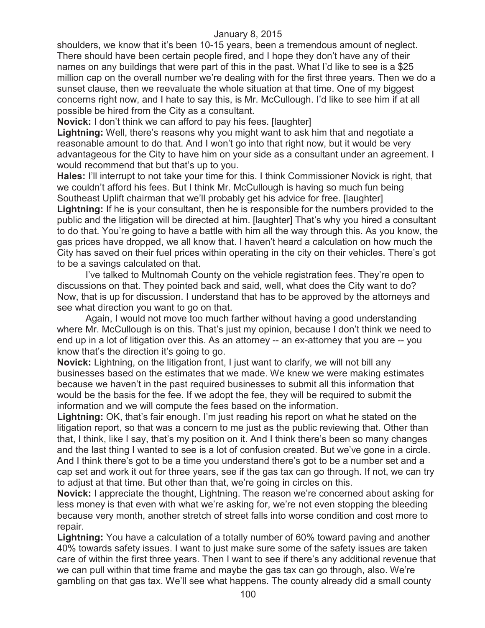shoulders, we know that it's been 10-15 years, been a tremendous amount of neglect. There should have been certain people fired, and I hope they don't have any of their names on any buildings that were part of this in the past. What I'd like to see is a \$25 million cap on the overall number we're dealing with for the first three years. Then we do a sunset clause, then we reevaluate the whole situation at that time. One of my biggest concerns right now, and I hate to say this, is Mr. McCullough. I'd like to see him if at all possible be hired from the City as a consultant.

**Novick:** I don't think we can afford to pay his fees. [laughter]

**Lightning:** Well, there's reasons why you might want to ask him that and negotiate a reasonable amount to do that. And I won't go into that right now, but it would be very advantageous for the City to have him on your side as a consultant under an agreement. I would recommend that but that's up to you.

**Hales:** I'll interrupt to not take your time for this. I think Commissioner Novick is right, that we couldn't afford his fees. But I think Mr. McCullough is having so much fun being Southeast Uplift chairman that we'll probably get his advice for free. [laughter] **Lightning:** If he is your consultant, then he is responsible for the numbers provided to the public and the litigation will be directed at him. [laughter] That's why you hired a consultant to do that. You're going to have a battle with him all the way through this. As you know, the gas prices have dropped, we all know that. I haven't heard a calculation on how much the City has saved on their fuel prices within operating in the city on their vehicles. There's got to be a savings calculated on that.

I've talked to Multnomah County on the vehicle registration fees. They're open to discussions on that. They pointed back and said, well, what does the City want to do? Now, that is up for discussion. I understand that has to be approved by the attorneys and see what direction you want to go on that.

Again, I would not move too much farther without having a good understanding where Mr. McCullough is on this. That's just my opinion, because I don't think we need to end up in a lot of litigation over this. As an attorney -- an ex-attorney that you are -- you know that's the direction it's going to go.

**Novick:** Lightning, on the litigation front, I just want to clarify, we will not bill any businesses based on the estimates that we made. We knew we were making estimates because we haven't in the past required businesses to submit all this information that would be the basis for the fee. If we adopt the fee, they will be required to submit the information and we will compute the fees based on the information.

**Lightning:** OK, that's fair enough. I'm just reading his report on what he stated on the litigation report, so that was a concern to me just as the public reviewing that. Other than that, I think, like I say, that's my position on it. And I think there's been so many changes and the last thing I wanted to see is a lot of confusion created. But we've gone in a circle. And I think there's got to be a time you understand there's got to be a number set and a cap set and work it out for three years, see if the gas tax can go through. If not, we can try to adjust at that time. But other than that, we're going in circles on this.

**Novick:** I appreciate the thought, Lightning. The reason we're concerned about asking for less money is that even with what we're asking for, we're not even stopping the bleeding because very month, another stretch of street falls into worse condition and cost more to repair.

**Lightning:** You have a calculation of a totally number of 60% toward paving and another 40% towards safety issues. I want to just make sure some of the safety issues are taken care of within the first three years. Then I want to see if there's any additional revenue that we can pull within that time frame and maybe the gas tax can go through, also. We're gambling on that gas tax. We'll see what happens. The county already did a small county